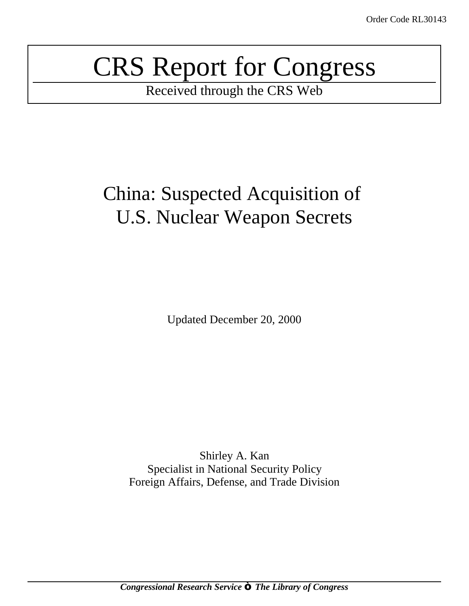# CRS Report for Congress

Received through the CRS Web

## China: Suspected Acquisition of U.S. Nuclear Weapon Secrets

Updated December 20, 2000

Shirley A. Kan Specialist in National Security Policy Foreign Affairs, Defense, and Trade Division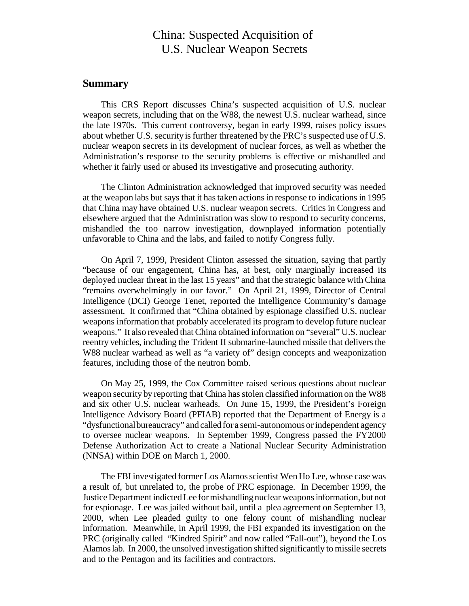## China: Suspected Acquisition of U.S. Nuclear Weapon Secrets

## **Summary**

This CRS Report discusses China's suspected acquisition of U.S. nuclear weapon secrets, including that on the W88, the newest U.S. nuclear warhead, since the late 1970s. This current controversy, began in early 1999, raises policy issues about whether U.S. security is further threatened by the PRC's suspected use of U.S. nuclear weapon secrets in its development of nuclear forces, as well as whether the Administration's response to the security problems is effective or mishandled and whether it fairly used or abused its investigative and prosecuting authority.

The Clinton Administration acknowledged that improved security was needed at the weapon labs but says that it hastaken actions in response to indications in 1995 that China may have obtained U.S. nuclear weapon secrets. Critics in Congress and elsewhere argued that the Administration was slow to respond to security concerns, mishandled the too narrow investigation, downplayed information potentially unfavorable to China and the labs, and failed to notify Congress fully.

On April 7, 1999, President Clinton assessed the situation, saying that partly "because of our engagement, China has, at best, only marginally increased its deployed nuclear threat in the last 15 years" and that the strategic balance withChina "remains overwhelmingly in our favor." On April 21, 1999, Director of Central Intelligence (DCI) George Tenet, reported the Intelligence Community's damage assessment. It confirmed that "China obtained by espionage classified U.S. nuclear weapons information that probably accelerated its program to develop future nuclear weapons." It also revealed that China obtained information on "several" U.S. nuclear reentry vehicles, including the Trident II submarine-launched missile that delivers the W88 nuclear warhead as well as "a variety of" design concepts and weaponization features, including those of the neutron bomb.

On May 25, 1999, the Cox Committee raised serious questions about nuclear weapon security by reporting that China hasstolen classified information on the W88 and six other U.S. nuclear warheads. On June 15, 1999, the President's Foreign Intelligence Advisory Board (PFIAB) reported that the Department of Energy is a "dysfunctional bureaucracy" and called for a semi-autonomous or independent agency to oversee nuclear weapons. In September 1999, Congress passed the FY2000 Defense Authorization Act to create a National Nuclear Security Administration (NNSA) within DOE on March 1, 2000.

The FBI investigated former Los Alamos scientist Wen Ho Lee, whose case was a result of, but unrelated to, the probe of PRC espionage. In December 1999, the JusticeDepartment indictedLee formishandling nuclear weaponsinformation, but not for espionage. Lee was jailed without bail, until a plea agreement on September 13, 2000, when Lee pleaded guilty to one felony count of mishandling nuclear information. Meanwhile, in April 1999, the FBI expanded its investigation on the PRC (originally called "Kindred Spirit" and now called "Fall-out"), beyond the Los Alamoslab. In 2000, the unsolved investigation shifted significantly to missile secrets and to the Pentagon and its facilities and contractors.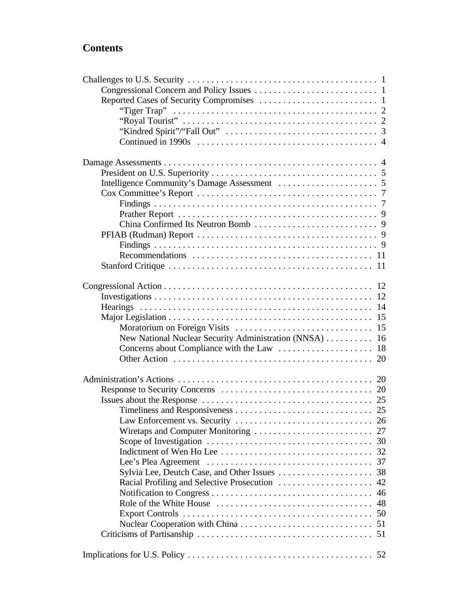## **Contents**

| New National Nuclear Security Administration (NNSA)  16                                                |  |
|--------------------------------------------------------------------------------------------------------|--|
|                                                                                                        |  |
|                                                                                                        |  |
|                                                                                                        |  |
|                                                                                                        |  |
|                                                                                                        |  |
|                                                                                                        |  |
|                                                                                                        |  |
| Law Enforcement vs. Security $\dots \dots \dots \dots \dots \dots \dots \dots \dots \dots \dots \dots$ |  |
|                                                                                                        |  |
|                                                                                                        |  |
|                                                                                                        |  |
|                                                                                                        |  |
|                                                                                                        |  |
|                                                                                                        |  |
|                                                                                                        |  |
|                                                                                                        |  |
|                                                                                                        |  |
|                                                                                                        |  |
|                                                                                                        |  |
|                                                                                                        |  |
|                                                                                                        |  |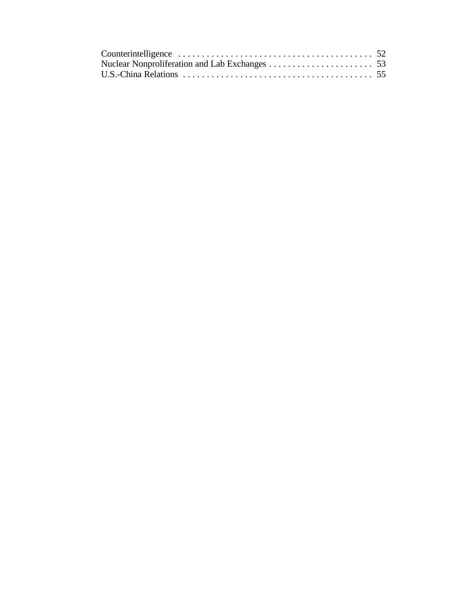| Counterintelligence $\ldots \ldots \ldots \ldots \ldots \ldots \ldots \ldots \ldots \ldots \ldots \ldots$ |  |
|-----------------------------------------------------------------------------------------------------------|--|
|                                                                                                           |  |
|                                                                                                           |  |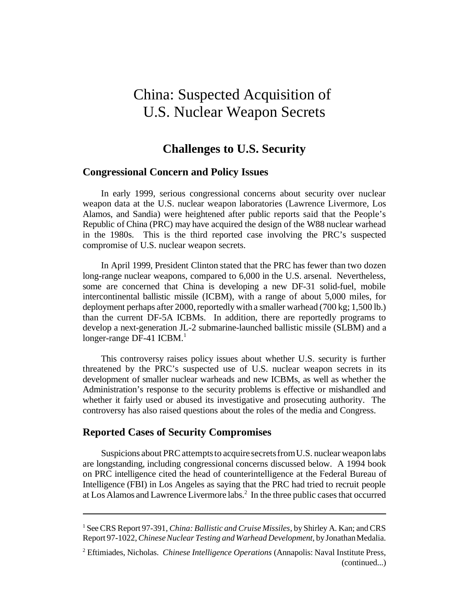## China: Suspected Acquisition of U.S. Nuclear Weapon Secrets

## **Challenges to U.S. Security**

## **Congressional Concern and Policy Issues**

In early 1999, serious congressional concerns about security over nuclear weapon data at the U.S. nuclear weapon laboratories (Lawrence Livermore, Los Alamos, and Sandia) were heightened after public reports said that the People's Republic of China (PRC) may have acquired the design of the W88 nuclear warhead in the 1980s. This is the third reported case involving the PRC's suspected compromise of U.S. nuclear weapon secrets.

In April 1999, President Clinton stated that the PRC has fewer than two dozen long-range nuclear weapons, compared to 6,000 in the U.S. arsenal. Nevertheless, some are concerned that China is developing a new DF-31 solid-fuel, mobile intercontinental ballistic missile (ICBM), with a range of about 5,000 miles, for deployment perhaps after 2000, reportedly with a smaller warhead  $(700 \text{ kg}; 1,500 \text{ lb.})$ than the current DF-5A ICBMs. In addition, there are reportedly programs to develop a next-generation JL-2 submarine-launched ballistic missile (SLBM) and a longer-range DF-41 ICBM.<sup>1</sup>

This controversy raises policy issues about whether U.S. security is further threatened by the PRC's suspected use of U.S. nuclear weapon secrets in its development of smaller nuclear warheads and new ICBMs, as well as whether the Administration's response to the security problems is effective or mishandled and whether it fairly used or abused its investigative and prosecuting authority. The controversy has also raised questions about the roles of the media and Congress.

## **Reported Cases of Security Compromises**

Suspicions about PRC attempts to acquire secrets from U.S. nuclear weapon labs are longstanding, including congressional concerns discussed below. A 1994 book on PRC intelligence cited the head of counterintelligence at the Federal Bureau of Intelligence (FBI) in Los Angeles as saying that the PRC had tried to recruit people at Los Alamos and Lawrence Livermore labs. $^2$  In the three public cases that occurred

<sup>1</sup> SeeCRS Report 97-391, *China: Ballistic and Cruise Missiles*, by Shirley A. Kan; andCRS Report 97-1022,*ChineseNuclear Testing and Warhead Development*, by JonathanMedalia.

<sup>2</sup> Eftimiades, Nicholas. *Chinese Intelligence Operations* (Annapolis: Naval Institute Press, (continued...)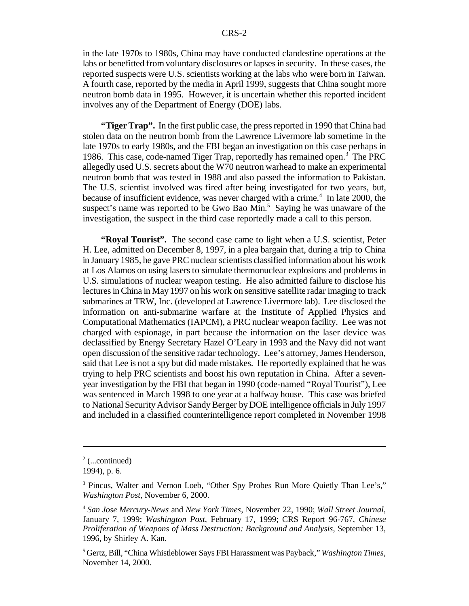in the late 1970s to 1980s, China may have conducted clandestine operations at the labs or benefitted from voluntary disclosures or lapses in security. In these cases, the reported suspects were U.S. scientists working at the labs who were born in Taiwan. A fourth case, reported by the media in April 1999, suggests that China sought more neutron bomb data in 1995. However, it is uncertain whether this reported incident involves any of the Department of Energy (DOE) labs.

**"Tiger Trap".** In the first public case, the press reported in 1990 that China had stolen data on the neutron bomb from the Lawrence Livermore lab sometime in the late 1970s to early 1980s, and the FBI began an investigation on this case perhaps in 1986. This case, code-named Tiger Trap, reportedly has remained open.<sup>3</sup> The PRC allegedly used U.S. secrets about the W70 neutron warhead to make an experimental neutron bomb that was tested in 1988 and also passed the information to Pakistan. The U.S. scientist involved was fired after being investigated for two years, but, because of insufficient evidence, was never charged with a crime.<sup>4</sup> In late 2000, the suspect's name was reported to be Gwo Bao Min.<sup>5</sup> Saying he was unaware of the investigation, the suspect in the third case reportedly made a call to this person.

**"Royal Tourist".** The second case came to light when a U.S. scientist, Peter H. Lee, admitted on December 8, 1997, in a plea bargain that, during a trip to China in January 1985, he gave PRC nuclear scientists classified information about his work at Los Alamos on using lasersto simulate thermonuclear explosions and problems in U.S. simulations of nuclear weapon testing. He also admitted failure to disclose his lectures in China in May 1997 on his work on sensitive satellite radar imaging to track submarines at TRW, Inc. (developed at Lawrence Livermore lab). Lee disclosed the information on anti-submarine warfare at the Institute of Applied Physics and Computational Mathematics (IAPCM), a PRC nuclear weapon facility. Lee was not charged with espionage, in part because the information on the laser device was declassified by Energy Secretary Hazel O'Leary in 1993 and the Navy did not want open discussion of the sensitive radar technology. Lee's attorney, James Henderson, said that Lee is not a spy but did made mistakes. He reportedly explained that he was trying to help PRC scientists and boost his own reputation in China. After a sevenyear investigation by the FBI that began in 1990 (code-named "Royal Tourist"), Lee was sentenced in March 1998 to one year at a halfway house. This case was briefed to National Security Advisor Sandy Berger by DOE intelligence officials in July 1997 and included in a classified counterintelligence report completed in November 1998

 $2$  (...continued)

<sup>1994),</sup> p. 6.

<sup>&</sup>lt;sup>3</sup> Pincus, Walter and Vernon Loeb, "Other Spy Probes Run More Quietly Than Lee's," *Washington Post*, November 6, 2000.

<sup>4</sup> *San Jose Mercury-News* and *New York Times*, November 22, 1990; *Wall Street Journal*, January 7, 1999; *Washington Post*, February 17, 1999; CRS Report 96-767, *Chinese Proliferation of Weapons of Mass Destruction: Background and Analysis*, September 13, 1996, by Shirley A. Kan.

<sup>5</sup> Gertz, Bill, "China Whistleblower Says FBI Harassment was Payback," *Washington Times*, November 14, 2000.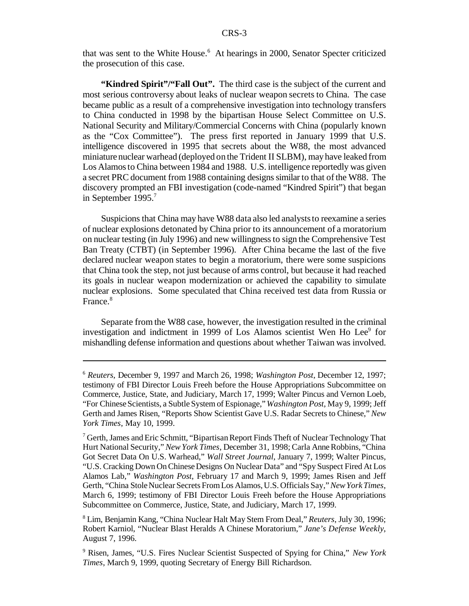that was sent to the White House.<sup>6</sup> At hearings in 2000, Senator Specter criticized the prosecution of this case.

**"Kindred Spirit"/"Fall Out".** The third case is the subject of the current and most serious controversy about leaks of nuclear weapon secrets to China. The case became public as a result of a comprehensive investigation into technology transfers to China conducted in 1998 by the bipartisan House Select Committee on U.S. National Security and Military/Commercial Concerns with China (popularly known as the "Cox Committee"). The press first reported in January 1999 that U.S. intelligence discovered in 1995 that secrets about the W88, the most advanced miniature nuclear warhead (deployed on the Trident II SLBM), may have leaked from Los Alamosto China between 1984 and 1988. U.S. intelligence reportedly was given a secret PRC document from 1988 containing designs similar to that of the W88. The discovery prompted an FBI investigation (code-named "Kindred Spirit") that began in September 1995.<sup>7</sup>

Suspicions that China may have W88 data also led analyststo reexamine a series of nuclear explosions detonated by China prior to its announcement of a moratorium on nuclear testing (in July 1996) and new willingnessto sign the Comprehensive Test Ban Treaty (CTBT) (in September 1996). After China became the last of the five declared nuclear weapon states to begin a moratorium, there were some suspicions that China took the step, not just because of arms control, but because it had reached its goals in nuclear weapon modernization or achieved the capability to simulate nuclear explosions. Some speculated that China received test data from Russia or France.<sup>8</sup>

Separate from the W88 case, however, the investigation resulted in the criminal investigation and indictment in 1999 of Los Alamos scientist Wen Ho Lee<sup>9</sup> for mishandling defense information and questions about whether Taiwan was involved.

<sup>6</sup> *Reuters*, December 9, 1997 and March 26, 1998; *Washington Post*, December 12, 1997; testimony of FBI Director Louis Freeh before the House Appropriations Subcommittee on Commerce, Justice, State, and Judiciary, March 17, 1999; Walter Pincus and Vernon Loeb, "For Chinese Scientists, a Subtle System of Espionage," *Washington Post*, May 9, 1999; Jeff Gerth and James Risen, "Reports Show Scientist Gave U.S. Radar Secrets to Chinese," *New York Times*, May 10, 1999.

 $7$  Gerth, James and Eric Schmitt, "Bipartisan Report Finds Theft of Nuclear Technology That Hurt National Security," *New York Times*, December 31, 1998; Carla AnneRobbins, "China Got Secret Data On U.S. Warhead," *Wall Street Journal*, January 7, 1999; Walter Pincus, "U.S. Cracking Down OnChineseDesigns On Nuclear Data" and "Spy Suspect Fired At Los Alamos Lab," *Washington Post*, February 17 and March 9, 1999; James Risen and Jeff Gerth, "China StoleNuclear Secrets FromLos Alamos,U.S. Officials Say,"*NewYorkTimes*, March 6, 1999; testimony of FBI Director Louis Freeh before the House Appropriations Subcommittee on Commerce, Justice, State, and Judiciary, March 17, 1999.

<sup>8</sup> Lim, Benjamin Kang, "China Nuclear Halt May Stem From Deal," *Reuters*, July 30, 1996; Robert Karniol, "Nuclear Blast Heralds A Chinese Moratorium," *Jane's Defense Weekly*, August 7, 1996.

<sup>9</sup> Risen, James, "U.S. Fires Nuclear Scientist Suspected of Spying for China," *New York Times*, March 9, 1999, quoting Secretary of Energy Bill Richardson.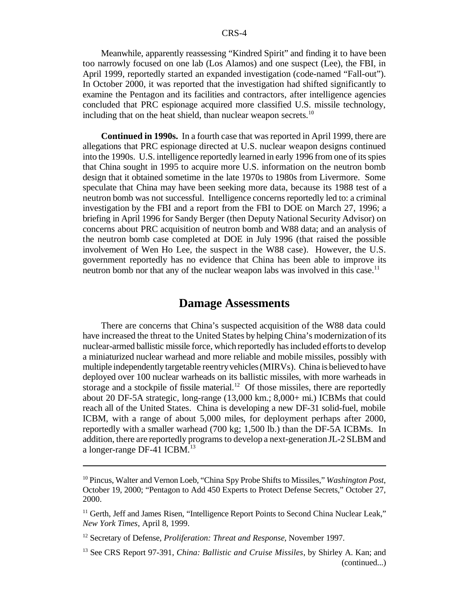Meanwhile, apparently reassessing "Kindred Spirit" and finding it to have been too narrowly focused on one lab (Los Alamos) and one suspect (Lee), the FBI, in April 1999, reportedly started an expanded investigation (code-named "Fall-out"). In October 2000, it was reported that the investigation had shifted significantly to examine the Pentagon and its facilities and contractors, after intelligence agencies concluded that PRC espionage acquired more classified U.S. missile technology, including that on the heat shield, than nuclear weapon secrets.<sup>10</sup>

**Continued in 1990s.** In a fourth case that was reported in April 1999, there are allegations that PRC espionage directed at U.S. nuclear weapon designs continued into the 1990s. U.S. intelligence reportedly learned in early 1996 from one of its spies that China sought in 1995 to acquire more U.S. information on the neutron bomb design that it obtained sometime in the late 1970s to 1980s from Livermore. Some speculate that China may have been seeking more data, because its 1988 test of a neutron bomb was not successful. Intelligence concerns reportedly led to: a criminal investigation by the FBI and a report from the FBI to DOE on March 27, 1996; a briefing in April 1996 for Sandy Berger (then Deputy National Security Advisor) on concerns about PRC acquisition of neutron bomb and W88 data; and an analysis of the neutron bomb case completed at DOE in July 1996 (that raised the possible involvement of Wen Ho Lee, the suspect in the W88 case). However, the U.S. government reportedly has no evidence that China has been able to improve its neutron bomb nor that any of the nuclear weapon labs was involved in this case.<sup>11</sup>

## **Damage Assessments**

There are concerns that China's suspected acquisition of the W88 data could have increased the threat to the United States by helping China's modernization ofits nuclear-armed ballistic missile force, which reportedly has included efforts to develop a miniaturized nuclear warhead and more reliable and mobile missiles, possibly with multiple independently targetable reentryvehicles(MIRVs). China is believed to have deployed over 100 nuclear warheads on its ballistic missiles, with more warheads in storage and a stockpile of fissile material.<sup>12</sup> Of those missiles, there are reportedly about 20 DF-5A strategic, long-range (13,000 km.; 8,000+ mi.) ICBMs that could reach all of the United States. China is developing a new DF-31 solid-fuel, mobile ICBM, with a range of about 5,000 miles, for deployment perhaps after 2000, reportedly with a smaller warhead (700 kg; 1,500 lb.) than the DF-5A ICBMs. In addition, there are reportedly programs to develop a next-generation JL-2 SLBM and a longer-range DF-41 ICBM.<sup>13</sup>

<sup>10</sup> Pincus, Walter and Vernon Loeb, "China Spy Probe Shifts to Missiles," *Washington Post*, October 19, 2000; "Pentagon to Add 450 Experts to Protect Defense Secrets," October 27, 2000.

<sup>&</sup>lt;sup>11</sup> Gerth, Jeff and James Risen, "Intelligence Report Points to Second China Nuclear Leak," *New York Times*, April 8, 1999.

<sup>12</sup> Secretary of Defense, *Proliferation: Threat and Response*, November 1997.

<sup>13</sup> See CRS Report 97-391, *China: Ballistic and Cruise Missiles*, by Shirley A. Kan; and (continued...)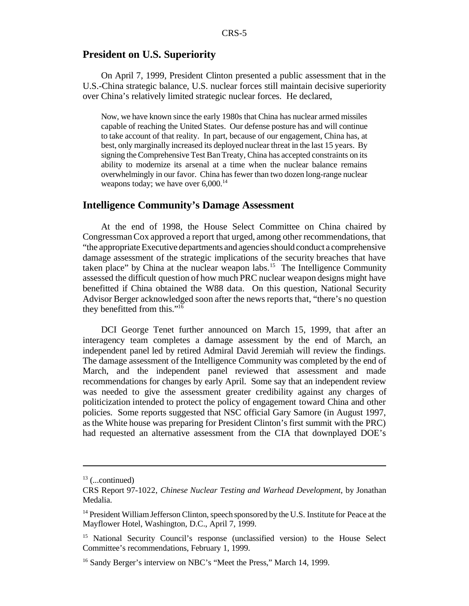## **President on U.S. Superiority**

On April 7, 1999, President Clinton presented a public assessment that in the U.S.-China strategic balance, U.S. nuclear forces still maintain decisive superiority over China's relatively limited strategic nuclear forces. He declared,

Now, we have known since the early 1980s that China has nuclear armed missiles capable of reaching the United States. Our defense posture has and will continue to take account of that reality. In part, because of our engagement, China has, at best, only marginally increased its deployed nuclear threat in the last 15 years. By signing the Comprehensive Test Ban Treaty, China has accepted constraints on its ability to modernize its arsenal at a time when the nuclear balance remains overwhelmingly in our favor. China has fewer than two dozen long-range nuclear weapons today; we have over  $6,000$ .<sup>14</sup>

## **Intelligence Community's Damage Assessment**

At the end of 1998, the House Select Committee on China chaired by CongressmanCox approved a report that urged, among other recommendations, that "the appropriate Executive departments and agencies should conduct a comprehensive damage assessment of the strategic implications of the security breaches that have taken place" by China at the nuclear weapon labs.<sup>15</sup> The Intelligence Community assessed the difficult question of how much PRC nuclear weapon designs might have benefitted if China obtained the W88 data. On this question, National Security Advisor Berger acknowledged soon after the news reports that, "there's no question they benefitted from this."<sup>16</sup>

DCI George Tenet further announced on March 15, 1999, that after an interagency team completes a damage assessment by the end of March, an independent panel led by retired Admiral David Jeremiah will review the findings. The damage assessment of the Intelligence Community was completed by the end of March, and the independent panel reviewed that assessment and made recommendations for changes by early April. Some say that an independent review was needed to give the assessment greater credibility against any charges of politicization intended to protect the policy of engagement toward China and other policies. Some reports suggested that NSC official Gary Samore (in August 1997, asthe White house was preparing for President Clinton's first summit with the PRC) had requested an alternative assessment from the CIA that downplayed DOE's

 $13$  (...continued)

CRS Report 97-1022, *Chinese Nuclear Testing and Warhead Development*, by Jonathan Medalia.

<sup>&</sup>lt;sup>14</sup> President William Jefferson Clinton, speech sponsored by the U.S. Institute for Peace at the Mayflower Hotel, Washington, D.C., April 7, 1999.

<sup>&</sup>lt;sup>15</sup> National Security Council's response (unclassified version) to the House Select Committee's recommendations, February 1, 1999.

<sup>&</sup>lt;sup>16</sup> Sandy Berger's interview on NBC's "Meet the Press," March 14, 1999.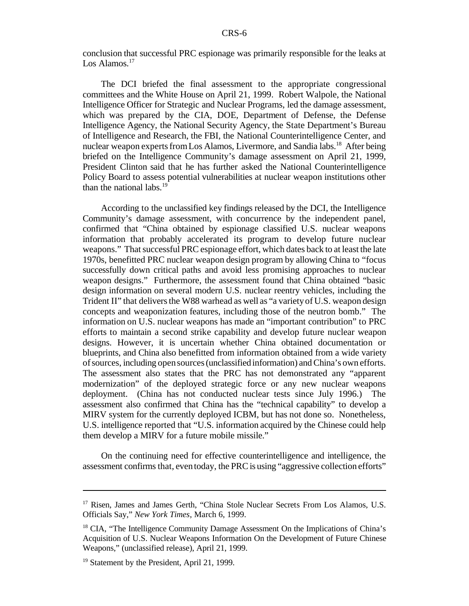conclusion that successful PRC espionage was primarily responsible for the leaks at Los Alamos.<sup>17</sup>

The DCI briefed the final assessment to the appropriate congressional committees and the White House on April 21, 1999. Robert Walpole, the National Intelligence Officer for Strategic and Nuclear Programs, led the damage assessment, which was prepared by the CIA, DOE, Department of Defense, the Defense Intelligence Agency, the National Security Agency, the State Department's Bureau of Intelligence and Research, the FBI, the National Counterintelligence Center, and nuclear weapon experts from Los Alamos, Livermore, and Sandia labs.<sup>18</sup> After being briefed on the Intelligence Community's damage assessment on April 21, 1999, President Clinton said that he has further asked the National Counterintelligence Policy Board to assess potential vulnerabilities at nuclear weapon institutions other than the national labs. $^{19}$ 

According to the unclassified key findings released by the DCI, the Intelligence Community's damage assessment, with concurrence by the independent panel, confirmed that "China obtained by espionage classified U.S. nuclear weapons information that probably accelerated its program to develop future nuclear weapons." That successful PRC espionage effort, which dates back to at least the late 1970s, benefitted PRC nuclear weapon design program by allowing China to "focus successfully down critical paths and avoid less promising approaches to nuclear weapon designs." Furthermore, the assessment found that China obtained "basic design information on several modern U.S. nuclear reentry vehicles, including the Trident II" that delivers the W88 warhead as well as "a variety of U.S. weapon design concepts and weaponization features, including those of the neutron bomb." The information on U.S. nuclear weapons has made an "important contribution" to PRC efforts to maintain a second strike capability and develop future nuclear weapon designs. However, it is uncertain whether China obtained documentation or blueprints, and China also benefitted from information obtained from a wide variety ofsources, including opensources(unclassified information) andChina's own efforts. The assessment also states that the PRC has not demonstrated any "apparent modernization" of the deployed strategic force or any new nuclear weapons deployment. (China has not conducted nuclear tests since July 1996.) The assessment also confirmed that China has the "technical capability" to develop a MIRV system for the currently deployed ICBM, but has not done so. Nonetheless, U.S. intelligence reported that "U.S. information acquired by the Chinese could help them develop a MIRV for a future mobile missile."

On the continuing need for effective counterintelligence and intelligence, the assessment confirms that, even today, the PRC is using "aggressive collection efforts"

<sup>&</sup>lt;sup>17</sup> Risen, James and James Gerth, "China Stole Nuclear Secrets From Los Alamos, U.S. Officials Say," *New York Times*, March 6, 1999.

<sup>&</sup>lt;sup>18</sup> CIA, "The Intelligence Community Damage Assessment On the Implications of China's Acquisition of U.S. Nuclear Weapons Information On the Development of Future Chinese Weapons," (unclassified release), April 21, 1999.

<sup>&</sup>lt;sup>19</sup> Statement by the President, April 21, 1999.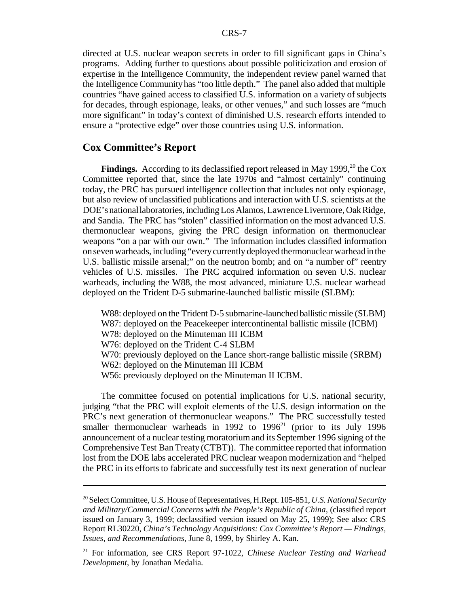directed at U.S. nuclear weapon secrets in order to fill significant gaps in China's programs. Adding further to questions about possible politicization and erosion of expertise in the Intelligence Community, the independent review panel warned that the Intelligence Communityhas "too little depth." The panel also added that multiple countries "have gained access to classified U.S. information on a variety of subjects for decades, through espionage, leaks, or other venues," and such losses are "much more significant" in today's context of diminished U.S. research efforts intended to ensure a "protective edge" over those countries using U.S. information.

## **Cox Committee's Report**

Findings. According to its declassified report released in May 1999,<sup>20</sup> the Cox Committee reported that, since the late 1970s and "almost certainly" continuing today, the PRC has pursued intelligence collection that includes not only espionage, but also review of unclassified publications and interaction with U.S. scientists at the DOE's nationallaboratories, includingLosAlamos,LawrenceLivermore, Oak Ridge, and Sandia. The PRC has "stolen" classified information on the most advanced U.S. thermonuclear weapons, giving the PRC design information on thermonuclear weapons "on a par with our own." The information includes classified information onsevenwarheads, including "everycurrently deployed thermonuclear warhead inthe U.S. ballistic missile arsenal;" on the neutron bomb; and on "a number of" reentry vehicles of U.S. missiles. The PRC acquired information on seven U.S. nuclear warheads, including the W88, the most advanced, miniature U.S. nuclear warhead deployed on the Trident D-5 submarine-launched ballistic missile (SLBM):

W88: deployed on the Trident D-5 submarine-launched ballistic missile (SLBM) W87: deployed on the Peacekeeper intercontinental ballistic missile (ICBM) W78: deployed on the Minuteman III ICBM W76: deployed on the Trident C-4 SLBM W70: previously deployed on the Lance short-range ballistic missile (SRBM) W62: deployed on the Minuteman III ICBM W56: previously deployed on the Minuteman II ICBM.

The committee focused on potential implications for U.S. national security, judging "that the PRC will exploit elements of the U.S. design information on the PRC's next generation of thermonuclear weapons." The PRC successfully tested smaller thermonuclear warheads in 1992 to  $1996<sup>21</sup>$  (prior to its July 1996 announcement of a nuclear testing moratorium and its September 1996 signing of the Comprehensive Test Ban Treaty (CTBT)). The committee reported that information lost fromthe DOE labs accelerated PRC nuclear weapon modernization and "helped the PRC in its efforts to fabricate and successfully test its next generation of nuclear

<sup>20</sup> Select Committee, U.S. House of Representatives, H.Rept. 105-851,*U.S.National Security and Military/Commercial Concerns with the People's Republic of China*, (classified report issued on January 3, 1999; declassified version issued on May 25, 1999); See also: CRS Report RL30220, *China's Technology Acquisitions: Cox Committee's Report — Findings, Issues, and Recommendations*, June 8, 1999, by Shirley A. Kan.

<sup>21</sup> For information, see CRS Report 97-1022, *Chinese Nuclear Testing and Warhead Development*, by Jonathan Medalia.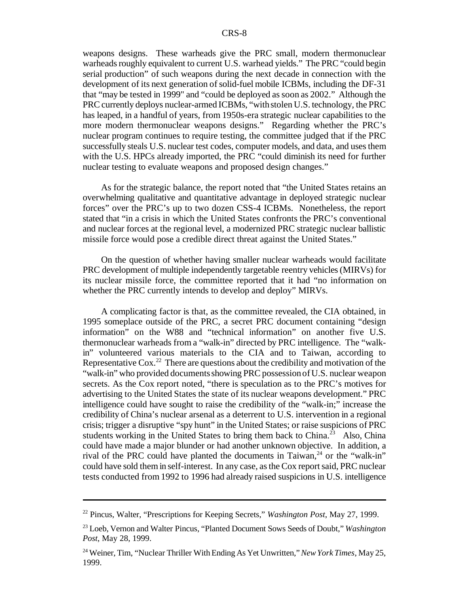weapons designs. These warheads give the PRC small, modern thermonuclear warheads roughly equivalent to current U.S. warhead yields." The PRC "could begin serial production" of such weapons during the next decade in connection with the development of its next generation of solid-fuel mobile ICBMs, including the DF-31 that "may be tested in 1999" and "could be deployed assoon as 2002." Although the PRC currently deploys nuclear-armed ICBMs, "with stolen U.S. technology, the PRC has leaped, in a handful of years, from 1950s-era strategic nuclear capabilities to the more modern thermonuclear weapons designs." Regarding whether the PRC's nuclear program continues to require testing, the committee judged that if the PRC successfully steals U.S. nuclear test codes, computer models, and data, and usesthem with the U.S. HPCs already imported, the PRC "could diminish its need for further nuclear testing to evaluate weapons and proposed design changes."

As for the strategic balance, the report noted that "the United States retains an overwhelming qualitative and quantitative advantage in deployed strategic nuclear forces" over the PRC's up to two dozen CSS-4 ICBMs. Nonetheless, the report stated that "in a crisis in which the United States confronts the PRC's conventional and nuclear forces at the regional level, a modernized PRC strategic nuclear ballistic missile force would pose a credible direct threat against the United States."

On the question of whether having smaller nuclear warheads would facilitate PRC development of multiple independently targetable reentry vehicles(MIRVs) for its nuclear missile force, the committee reported that it had "no information on whether the PRC currently intends to develop and deploy" MIRVs.

A complicating factor is that, as the committee revealed, the CIA obtained, in 1995 someplace outside of the PRC, a secret PRC document containing "design information" on the W88 and "technical information" on another five U.S. thermonuclear warheads from a "walk-in" directed by PRC intelligence. The "walkin" volunteered various materials to the CIA and to Taiwan, according to Representative  $\cos^{22}$  There are questions about the credibility and motivation of the "walk-in" who provided documents showing PRC possession of U.S. nuclear weapon secrets. As the Cox report noted, "there is speculation as to the PRC's motives for advertising to the United States the state of its nuclear weapons development." PRC intelligence could have sought to raise the credibility of the "walk-in;" increase the credibility of China's nuclear arsenal as a deterrent to U.S. intervention in a regional crisis; trigger a disruptive "spy hunt" in the United States; or raise suspicions of PRC students working in the United States to bring them back to China.<sup>23</sup> Also, China could have made a major blunder or had another unknown objective. In addition, a rival of the PRC could have planted the documents in Taiwan, $^{24}$  or the "walk-in" could have sold themin self-interest. In any case, as the Cox report said, PRC nuclear tests conducted from 1992 to 1996 had already raised suspicions in U.S. intelligence

<sup>22</sup> Pincus, Walter, "Prescriptions for Keeping Secrets," *Washington Post*, May 27, 1999.

<sup>23</sup> Loeb, Vernon and Walter Pincus, "Planted Document Sows Seeds of Doubt," *Washington Post*, May 28, 1999.

<sup>24</sup> Weiner, Tim, "Nuclear Thriller WithEnding As Yet Unwritten,"*NewYork Times*, May 25, 1999.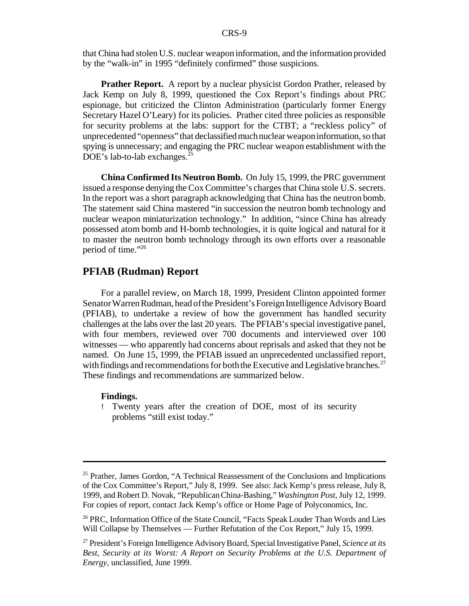that China had stolen U.S. nuclear weapon information, and the information provided by the "walk-in" in 1995 "definitely confirmed" those suspicions.

**Prather Report.** A report by a nuclear physicist Gordon Prather, released by Jack Kemp on July 8, 1999, questioned the Cox Report's findings about PRC espionage, but criticized the Clinton Administration (particularly former Energy Secretary Hazel O'Leary) for its policies. Prather cited three policies as responsible for security problems at the labs: support for the CTBT; a "reckless policy" of unprecedented "openness" that declassifiedmuchnuclear weaponinformation,so that spying is unnecessary; and engaging the PRC nuclear weapon establishment with the DOE's lab-to-lab exchanges.<sup>25</sup>

**China Confirmed Its Neutron Bomb.** On July 15, 1999, the PRC government issued a response denying the Cox Committee's charges that China stole U.S. secrets. In the report was a short paragraph acknowledging that China has the neutron bomb. The statement said China mastered "in succession the neutron bomb technology and nuclear weapon miniaturization technology." In addition, "since China has already possessed atom bomb and H-bomb technologies, it is quite logical and natural for it to master the neutron bomb technology through its own efforts over a reasonable period of time."<sup>26</sup>

## **PFIAB (Rudman) Report**

For a parallel review, on March 18, 1999, President Clinton appointed former Senator Warren Rudman, head of the President's Foreign Intelligence Advisory Board (PFIAB), to undertake a review of how the government has handled security challenges at the labs over the last 20 years. The PFIAB's special investigative panel, with four members, reviewed over 700 documents and interviewed over 100 witnesses — who apparently had concerns about reprisals and asked that they not be named. On June 15, 1999, the PFIAB issued an unprecedented unclassified report, with findings and recommendations for both the Executive and Legislative branches.<sup>27</sup> These findings and recommendations are summarized below.

## **Findings.**

! Twenty years after the creation of DOE, most of its security problems "still exist today."

 $25$  Prather, James Gordon, "A Technical Reassessment of the Conclusions and Implications of the Cox Committee's Report," July 8, 1999. See also: Jack Kemp's press release, July 8, 1999, and Robert D. Novak, "RepublicanChina-Bashing," *Washington Post*, July 12, 1999. For copies of report, contact Jack Kemp's office or Home Page of Polyconomics, Inc.

<sup>&</sup>lt;sup>26</sup> PRC, Information Office of the State Council, "Facts Speak Louder Than Words and Lies Will Collapse by Themselves — Further Refutation of the Cox Report," July 15, 1999.

<sup>27</sup> President's Foreign IntelligenceAdvisoryBoard, SpecialInvestigative Panel, *Science at its Best, Security at its Worst: A Report on Security Problems at the U.S. Department of Energy*, unclassified, June 1999.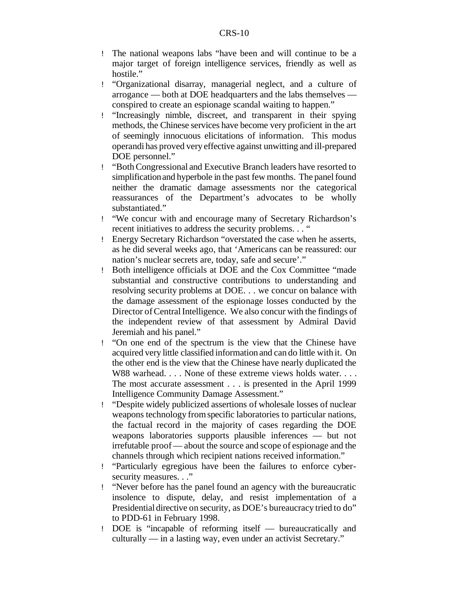- ! The national weapons labs "have been and will continue to be a major target of foreign intelligence services, friendly as well as hostile."
- ! "Organizational disarray, managerial neglect, and a culture of arrogance — both at DOE headquarters and the labs themselves conspired to create an espionage scandal waiting to happen."
- ! "Increasingly nimble, discreet, and transparent in their spying methods, the Chinese services have become very proficient in the art of seemingly innocuous elicitations of information. This modus operandi has proved very effective against unwitting and ill-prepared DOE personnel."
- ! "BothCongressional and Executive Branch leaders have resorted to simplificationand hyperbole in the past few months. The panel found neither the dramatic damage assessments nor the categorical reassurances of the Department's advocates to be wholly substantiated."
- ! "We concur with and encourage many of Secretary Richardson's recent initiatives to address the security problems. . . "
- ! Energy Secretary Richardson "overstated the case when he asserts, as he did several weeks ago, that 'Americans can be reassured: our nation's nuclear secrets are, today, safe and secure'."
- ! Both intelligence officials at DOE and the Cox Committee "made substantial and constructive contributions to understanding and resolving security problems at DOE. . . we concur on balance with the damage assessment of the espionage losses conducted by the Director of Central Intelligence. We also concur with the findings of the independent review of that assessment by Admiral David Jeremiah and his panel."
- ! "On one end of the spectrum is the view that the Chinese have acquired very little classified information and can do little with it. On the other end is the view that the Chinese have nearly duplicated the W88 warhead.... None of these extreme views holds water.... The most accurate assessment . . . is presented in the April 1999 Intelligence Community Damage Assessment."
- ! "Despite widely publicized assertions of wholesale losses of nuclear weapons technology fromspecific laboratories to particular nations, the factual record in the majority of cases regarding the DOE weapons laboratories supports plausible inferences — but not irrefutable proof— about the source and scope of espionage and the channels through which recipient nations received information."
- ! "Particularly egregious have been the failures to enforce cybersecurity measures. . ."
- ! "Never before has the panel found an agency with the bureaucratic insolence to dispute, delay, and resist implementation of a Presidential directive on security, as DOE's bureaucracy tried to do" to PDD-61 in February 1998.
- ! DOE is "incapable of reforming itself bureaucratically and culturally — in a lasting way, even under an activist Secretary."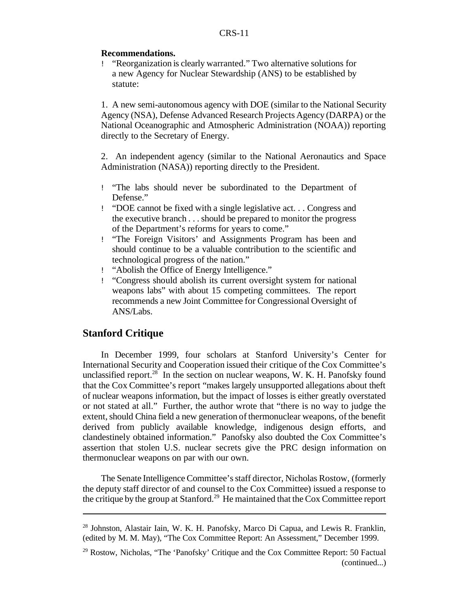## **Recommendations.**

! "Reorganization is clearly warranted." Two alternative solutions for a new Agency for Nuclear Stewardship (ANS) to be established by statute:

1. A new semi-autonomous agency with DOE (similar to the National Security Agency (NSA), Defense Advanced Research Projects Agency (DARPA) or the National Oceanographic and Atmospheric Administration (NOAA)) reporting directly to the Secretary of Energy.

2. An independent agency (similar to the National Aeronautics and Space Administration (NASA)) reporting directly to the President.

- ! "The labs should never be subordinated to the Department of Defense."
- ! "DOE cannot be fixed with a single legislative act. . . Congress and the executive branch . . . should be prepared to monitor the progress of the Department's reforms for years to come."
- ! "The Foreign Visitors' and Assignments Program has been and should continue to be a valuable contribution to the scientific and technological progress of the nation."
- ! "Abolish the Office of Energy Intelligence."
- ! "Congress should abolish its current oversight system for national weapons labs" with about 15 competing committees. The report recommends a new Joint Committee for Congressional Oversight of ANS/Labs.

## **Stanford Critique**

In December 1999, four scholars at Stanford University's Center for International Security and Cooperation issued their critique of the Cox Committee's unclassified report.<sup>28</sup> In the section on nuclear weapons, W. K. H. Panofsky found that the Cox Committee's report "makes largely unsupported allegations about theft of nuclear weapons information, but the impact of losses is either greatly overstated or not stated at all." Further, the author wrote that "there is no way to judge the extent, should China field a new generation of thermonuclear weapons, of the benefit derived from publicly available knowledge, indigenous design efforts, and clandestinely obtained information." Panofsky also doubted the Cox Committee's assertion that stolen U.S. nuclear secrets give the PRC design information on thermonuclear weapons on par with our own.

The Senate Intelligence Committee'sstaff director, Nicholas Rostow, (formerly the deputy staff director of and counsel to the Cox Committee) issued a response to the critique by the group at Stanford.<sup>29</sup> He maintained that the Cox Committee report

 $^{28}$  Johnston, Alastair Iain, W. K. H. Panofsky, Marco Di Capua, and Lewis R. Franklin, (edited by M. M. May), "The Cox Committee Report: An Assessment," December 1999.

 $29$  Rostow, Nicholas, "The 'Panofsky' Critique and the Cox Committee Report: 50 Factual (continued...)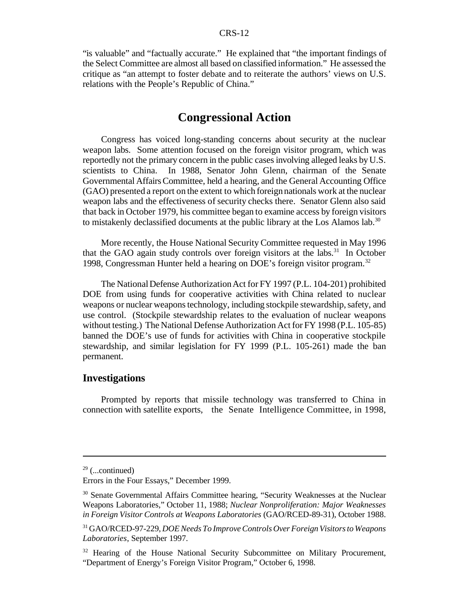"is valuable" and "factually accurate." He explained that "the important findings of the Select Committee are almost all based on classified information." He assessed the critique as "an attempt to foster debate and to reiterate the authors' views on U.S. relations with the People's Republic of China."

## **Congressional Action**

Congress has voiced long-standing concerns about security at the nuclear weapon labs. Some attention focused on the foreign visitor program, which was reportedly not the primary concern in the public cases involving alleged leaks by U.S. scientists to China. In 1988, Senator John Glenn, chairman of the Senate Governmental AffairsCommittee, held a hearing, and the General Accounting Office (GAO) presented a report on the extent to which foreign nationals work at the nuclear weapon labs and the effectiveness of security checks there. Senator Glenn also said that back in October 1979, his committee began to examine access by foreign visitors to mistakenly declassified documents at the public library at the Los Alamos lab.<sup>30</sup>

More recently, the House National Security Committee requested in May 1996 that the GAO again study controls over foreign visitors at the labs.<sup>31</sup> In October 1998, Congressman Hunter held a hearing on DOE's foreign visitor program.<sup>32</sup>

The National Defense Authorization Act for FY 1997 (P.L. 104-201) prohibited DOE from using funds for cooperative activities with China related to nuclear weapons or nuclear weaponstechnology, including stockpile stewardship, safety, and use control. (Stockpile stewardship relates to the evaluation of nuclear weapons without testing.) The National Defense Authorization Act for FY 1998 (P.L. 105-85) banned the DOE's use of funds for activities with China in cooperative stockpile stewardship, and similar legislation for FY 1999 (P.L. 105-261) made the ban permanent.

## **Investigations**

Prompted by reports that missile technology was transferred to China in connection with satellite exports, the Senate Intelligence Committee, in 1998,

 $29$  (...continued)

Errors in the Four Essays," December 1999.

<sup>&</sup>lt;sup>30</sup> Senate Governmental Affairs Committee hearing, "Security Weaknesses at the Nuclear Weapons Laboratories," October 11, 1988; *Nuclear Nonproliferation: Major Weaknesses in Foreign Visitor Controls at Weapons Laboratories* (GAO/RCED-89-31), October 1988.

<sup>31</sup> GAO/RCED-97-229, *DOENeeds To ImproveControls Over ForeignVisitorsto Weapons Laboratories*, September 1997.

<sup>&</sup>lt;sup>32</sup> Hearing of the House National Security Subcommittee on Military Procurement, "Department of Energy's Foreign Visitor Program," October 6, 1998.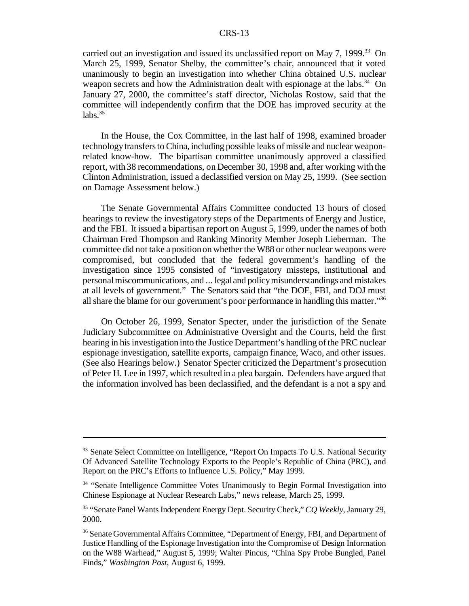carried out an investigation and issued its unclassified report on May 7, 1999.<sup>33</sup> On March 25, 1999, Senator Shelby, the committee's chair, announced that it voted unanimously to begin an investigation into whether China obtained U.S. nuclear weapon secrets and how the Administration dealt with espionage at the labs.<sup>34</sup> On January 27, 2000, the committee's staff director, Nicholas Rostow, said that the committee will independently confirm that the DOE has improved security at the  $labs.<sup>35</sup>$ 

In the House, the Cox Committee, in the last half of 1998, examined broader technology transfers to China, including possible leaks of missile and nuclear weaponrelated know-how. The bipartisan committee unanimously approved a classified report, with 38 recommendations, on December 30, 1998 and, after working with the Clinton Administration, issued a declassified version on May 25, 1999. (See section on Damage Assessment below.)

The Senate Governmental Affairs Committee conducted 13 hours of closed hearings to review the investigatory steps of the Departments of Energy and Justice, and the FBI. It issued a bipartisan report on August 5, 1999, under the names of both Chairman Fred Thompson and Ranking Minority Member Joseph Lieberman. The committee did not take a positiononwhether the W88 or other nuclear weapons were compromised, but concluded that the federal government's handling of the investigation since 1995 consisted of "investigatory missteps, institutional and personalmiscommunications, and ... legal and policymisunderstandings and mistakes at all levels of government." The Senators said that "the DOE, FBI, and DOJ must all share the blame for our government's poor performance in handling this matter."<sup>36</sup>

On October 26, 1999, Senator Specter, under the jurisdiction of the Senate Judiciary Subcommittee on Administrative Oversight and the Courts, held the first hearing in hisinvestigation into the Justice Department's handling ofthe PRC nuclear espionage investigation, satellite exports, campaign finance, Waco, and other issues. (See also Hearings below.) Senator Specter criticized the Department's prosecution of Peter H. Lee in 1997, which resulted in a plea bargain. Defenders have argued that the information involved has been declassified, and the defendant is a not a spy and

<sup>&</sup>lt;sup>33</sup> Senate Select Committee on Intelligence, "Report On Impacts To U.S. National Security Of Advanced Satellite Technology Exports to the People's Republic of China (PRC), and Report on the PRC's Efforts to Influence U.S. Policy," May 1999.

<sup>&</sup>lt;sup>34</sup> "Senate Intelligence Committee Votes Unanimously to Begin Formal Investigation into Chinese Espionage at Nuclear Research Labs," news release, March 25, 1999.

<sup>35</sup> "Senate Panel WantsIndependent Energy Dept. Security Check,"*CQ Weekly*, January 29, 2000.

<sup>&</sup>lt;sup>36</sup> Senate Governmental Affairs Committee, "Department of Energy, FBI, and Department of Justice Handling of the Espionage Investigation into the Compromise of Design Information on the W88 Warhead," August 5, 1999; Walter Pincus, "China Spy Probe Bungled, Panel Finds," *Washington Post*, August 6, 1999.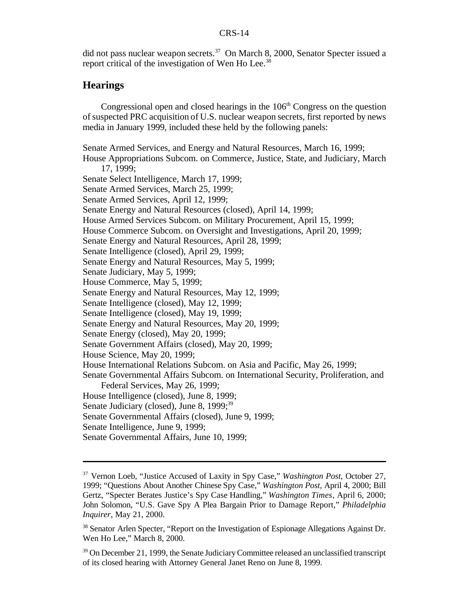did not pass nuclear weapon secrets.<sup>37</sup> On March 8, 2000, Senator Specter issued a report critical of the investigation of Wen Ho Lee.<sup>38</sup>

## **Hearings**

Congressional open and closed hearings in the  $106<sup>th</sup>$  Congress on the question ofsuspected PRC acquisition of U.S. nuclear weapon secrets, first reported by news media in January 1999, included these held by the following panels:

Senate Armed Services, and Energy and Natural Resources, March 16, 1999; House Appropriations Subcom. on Commerce, Justice, State, and Judiciary, March 17, 1999; Senate Select Intelligence, March 17, 1999; Senate Armed Services, March 25, 1999; Senate Armed Services, April 12, 1999; Senate Energy and Natural Resources (closed), April 14, 1999; House Armed Services Subcom. on Military Procurement, April 15, 1999; House Commerce Subcom. on Oversight and Investigations, April 20, 1999; Senate Energy and Natural Resources, April 28, 1999; Senate Intelligence (closed), April 29, 1999; Senate Energy and Natural Resources, May 5, 1999; Senate Judiciary, May 5, 1999; House Commerce, May 5, 1999; Senate Energy and Natural Resources, May 12, 1999; Senate Intelligence (closed), May 12, 1999; Senate Intelligence (closed), May 19, 1999; Senate Energy and Natural Resources, May 20, 1999; Senate Energy (closed), May 20, 1999; Senate Government Affairs (closed), May 20, 1999; House Science, May 20, 1999; House International Relations Subcom. on Asia and Pacific, May 26, 1999; Senate Governmental Affairs Subcom. on International Security, Proliferation, and Federal Services, May 26, 1999; House Intelligence (closed), June 8, 1999; Senate Judiciary (closed), June 8, 1999;<sup>39</sup> Senate Governmental Affairs (closed), June 9, 1999; Senate Intelligence, June 9, 1999; Senate Governmental Affairs, June 10, 1999;

<sup>37</sup> Vernon Loeb, "Justice Accused of Laxity in Spy Case," *Washington Post*, October 27, 1999; "Questions About Another Chinese Spy Case," *Washington Post*, April 4, 2000; Bill Gertz, "Specter Berates Justice's Spy Case Handling," *Washington Times*, April 6, 2000; John Solomon, "U.S. Gave Spy A Plea Bargain Prior to Damage Report," *Philadelphia Inquirer*, May 21, 2000.

<sup>&</sup>lt;sup>38</sup> Senator Arlen Specter, "Report on the Investigation of Espionage Allegations Against Dr. Wen Ho Lee," March 8, 2000.

 $39$  On December 21, 1999, the Senate Judiciary Committee released an unclassified transcript of its closed hearing with Attorney General Janet Reno on June 8, 1999.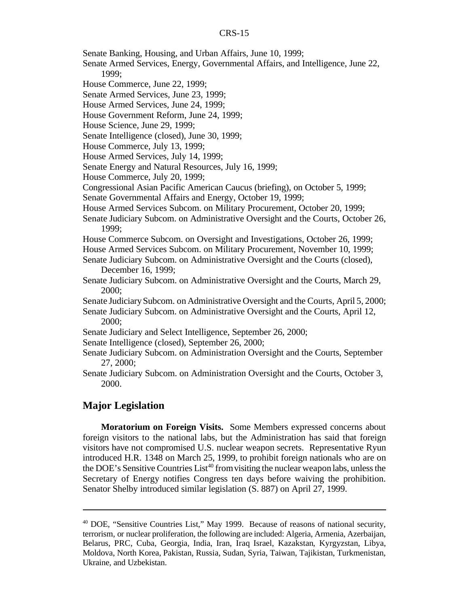- Senate Banking, Housing, and Urban Affairs, June 10, 1999;
- Senate Armed Services, Energy, Governmental Affairs, and Intelligence, June 22, 1999;
- House Commerce, June 22, 1999;
- Senate Armed Services, June 23, 1999;
- House Armed Services, June 24, 1999;
- House Government Reform, June 24, 1999;
- House Science, June 29, 1999;
- Senate Intelligence (closed), June 30, 1999;
- House Commerce, July 13, 1999;
- House Armed Services, July 14, 1999;
- Senate Energy and Natural Resources, July 16, 1999;
- House Commerce, July 20, 1999;
- Congressional Asian Pacific American Caucus (briefing), on October 5, 1999;
- Senate Governmental Affairs and Energy, October 19, 1999;
- House Armed Services Subcom. on Military Procurement, October 20, 1999;
- Senate Judiciary Subcom. on Administrative Oversight and the Courts, October 26, 1999;
- House Commerce Subcom. on Oversight and Investigations, October 26, 1999;
- House Armed Services Subcom. on Military Procurement, November 10, 1999;
- Senate Judiciary Subcom. on Administrative Oversight and the Courts (closed), December 16, 1999;
- Senate Judiciary Subcom. on Administrative Oversight and the Courts, March 29, 2000;
- Senate JudiciarySubcom. on Administrative Oversight and the Courts, April 5, 2000; Senate Judiciary Subcom. on Administrative Oversight and the Courts, April 12,
	- 2000;
- Senate Judiciary and Select Intelligence, September 26, 2000;
- Senate Intelligence (closed), September 26, 2000;
- Senate Judiciary Subcom. on Administration Oversight and the Courts, September 27, 2000;
- Senate Judiciary Subcom. on Administration Oversight and the Courts, October 3, 2000.

## **Major Legislation**

**Moratorium on Foreign Visits.** Some Members expressed concerns about foreign visitors to the national labs, but the Administration has said that foreign visitors have not compromised U.S. nuclear weapon secrets. Representative Ryun introduced H.R. 1348 on March 25, 1999, to prohibit foreign nationals who are on the DOE's Sensitive Countries  $List^{40}$  from visiting the nuclear weapon labs, unless the Secretary of Energy notifies Congress ten days before waiving the prohibition. Senator Shelby introduced similar legislation (S. 887) on April 27, 1999.

<sup>40</sup> DOE, "Sensitive Countries List," May 1999. Because of reasons of national security, terrorism, or nuclear proliferation, the following are included: Algeria, Armenia, Azerbaijan, Belarus, PRC, Cuba, Georgia, India, Iran, Iraq Israel, Kazakstan, Kyrgyzstan, Libya, Moldova, North Korea, Pakistan, Russia, Sudan, Syria, Taiwan, Tajikistan, Turkmenistan, Ukraine, and Uzbekistan.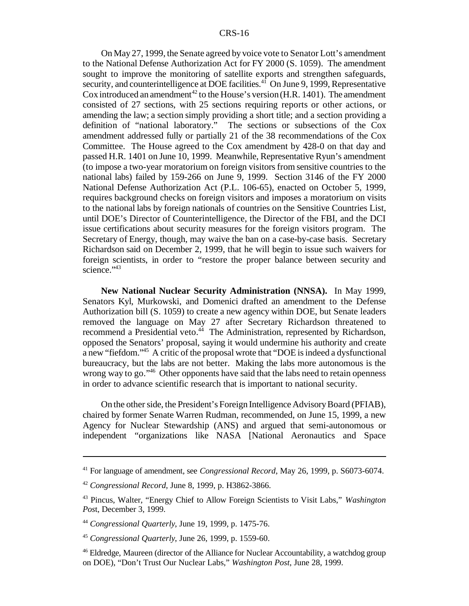On May 27, 1999, the Senate agreed by voice vote to Senator Lott's amendment to the National Defense Authorization Act for FY 2000 (S. 1059). The amendment sought to improve the monitoring of satellite exports and strengthen safeguards, security, and counterintelligence at DOE facilities. $4\overline{1}$  On June 9, 1999, Representative Cox introduced an amendment<sup>42</sup> to the House's version  $(H.R. 1401)$ . The amendment consisted of 27 sections, with 25 sections requiring reports or other actions, or amending the law; a section simply providing a short title; and a section providing a definition of "national laboratory." The sections or subsections of the Cox amendment addressed fully or partially 21 of the 38 recommendations of the Cox Committee. The House agreed to the Cox amendment by 428-0 on that day and passed H.R. 1401 on June 10, 1999. Meanwhile, Representative Ryun's amendment (to impose a two-year moratorium on foreign visitorsfrom sensitive countries to the national labs) failed by 159-266 on June 9, 1999. Section 3146 of the FY 2000 National Defense Authorization Act (P.L. 106-65), enacted on October 5, 1999, requires background checks on foreign visitors and imposes a moratorium on visits to the national labs by foreign nationals of countries on the Sensitive Countries List, until DOE's Director of Counterintelligence, the Director of the FBI, and the DCI issue certifications about security measures for the foreign visitors program. The Secretary of Energy, though, may waive the ban on a case-by-case basis. Secretary Richardson said on December 2, 1999, that he will begin to issue such waivers for foreign scientists, in order to "restore the proper balance between security and science." <sup>43</sup>

**New National Nuclear Security Administration (NNSA).** In May 1999, Senators Kyl, Murkowski, and Domenici drafted an amendment to the Defense Authorization bill (S. 1059) to create a new agency within DOE, but Senate leaders removed the language on May 27 after Secretary Richardson threatened to recommend a Presidential veto.<sup>44</sup> The Administration, represented by Richardson, opposed the Senators' proposal, saying it would undermine his authority and create a new "fiefdom."<sup>45</sup> A critic of the proposal wrote that "DOE is indeed a dysfunctional bureaucracy, but the labs are not better. Making the labs more autonomous is the wrong way to go."<sup>46</sup> Other opponents have said that the labs need to retain openness in order to advance scientific research that is important to national security.

On the other side, the President's Foreign Intelligence Advisory Board (PFIAB), chaired by former Senate Warren Rudman, recommended, on June 15, 1999, a new Agency for Nuclear Stewardship (ANS) and argued that semi-autonomous or independent "organizations like NASA [National Aeronautics and Space

<sup>41</sup> For language of amendment, see *Congressional Record*, May 26, 1999, p. S6073-6074.

<sup>42</sup> *Congressional Record*, June 8, 1999, p. H3862-3866.

<sup>43</sup> Pincus, Walter, "Energy Chief to Allow Foreign Scientists to Visit Labs," *Washington Pos*t, December 3, 1999.

<sup>44</sup> *Congressional Quarterly*, June 19, 1999, p. 1475-76.

<sup>45</sup> *Congressional Quarterly*, June 26, 1999, p. 1559-60.

<sup>46</sup> Eldredge, Maureen (director of the Alliance for Nuclear Accountability, a watchdog group on DOE), "Don't Trust Our Nuclear Labs," *Washington Post*, June 28, 1999.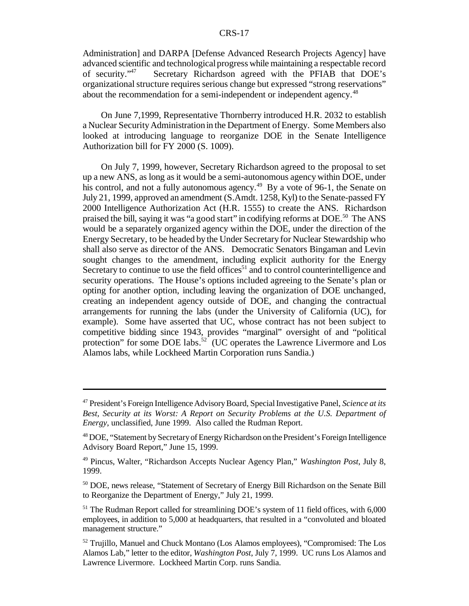Administration] and DARPA [Defense Advanced Research Projects Agency] have advanced scientific and technologicalprogress while maintaining a respectable record of security."<sup>47</sup> Secretary Richardson agreed with the PFIAB that DOE's organizational structure requires serious change but expressed "strong reservations" about the recommendation for a semi-independent or independent agency.<sup>48</sup>

On June 7,1999, Representative Thornberry introduced H.R. 2032 to establish a Nuclear Security Administration in the Department of Energy. Some Members also looked at introducing language to reorganize DOE in the Senate Intelligence Authorization bill for FY 2000 (S. 1009).

On July 7, 1999, however, Secretary Richardson agreed to the proposal to set up a new ANS, as long asit would be a semi-autonomous agency within DOE, under his control, and not a fully autonomous agency.<sup>49</sup> By a vote of 96-1, the Senate on July 21, 1999, approved an amendment (S.Amdt. 1258, Kyl) to the Senate-passed FY 2000 Intelligence Authorization Act (H.R. 1555) to create the ANS. Richardson praised the bill, saying it was "a good start" in codifying reforms at DOE.<sup>50</sup> The ANS would be a separately organized agency within the DOE, under the direction of the Energy Secretary, to be headed by the Under Secretary for Nuclear Stewardship who shall also serve as director of the ANS. Democratic Senators Bingaman and Levin sought changes to the amendment, including explicit authority for the Energy Secretary to continue to use the field offices $51$  and to control counterintelligence and security operations. The House's options included agreeing to the Senate's plan or opting for another option, including leaving the organization of DOE unchanged, creating an independent agency outside of DOE, and changing the contractual arrangements for running the labs (under the University of California (UC), for example). Some have asserted that UC, whose contract has not been subject to competitive bidding since 1943, provides "marginal" oversight of and "political protection" for some DOE labs.<sup>52</sup> (UC operates the Lawrence Livermore and Los Alamos labs, while Lockheed Martin Corporation runs Sandia.)

<sup>47</sup> President's Foreign IntelligenceAdvisoryBoard, SpecialInvestigative Panel, *Science at its Best, Security at its Worst: A Report on Security Problems at the U.S. Department of Energy*, unclassified, June 1999. Also called the Rudman Report.

<sup>&</sup>lt;sup>48</sup> DOE, "Statement by Secretary of Energy Richardson on the President's Foreign Intelligence Advisory Board Report," June 15, 1999.

<sup>49</sup> Pincus, Walter, "Richardson Accepts Nuclear Agency Plan," *Washington Post*, July 8, 1999.

<sup>&</sup>lt;sup>50</sup> DOE, news release, "Statement of Secretary of Energy Bill Richardson on the Senate Bill to Reorganize the Department of Energy," July 21, 1999.

<sup>&</sup>lt;sup>51</sup> The Rudman Report called for streamlining DOE's system of 11 field offices, with 6,000 employees, in addition to 5,000 at headquarters, that resulted in a "convoluted and bloated management structure."

 $52$  Trujillo, Manuel and Chuck Montano (Los Alamos employees), "Compromised: The Los Alamos Lab," letter to the editor, *Washington Post*, July 7, 1999. UC runs Los Alamos and Lawrence Livermore. Lockheed Martin Corp. runs Sandia.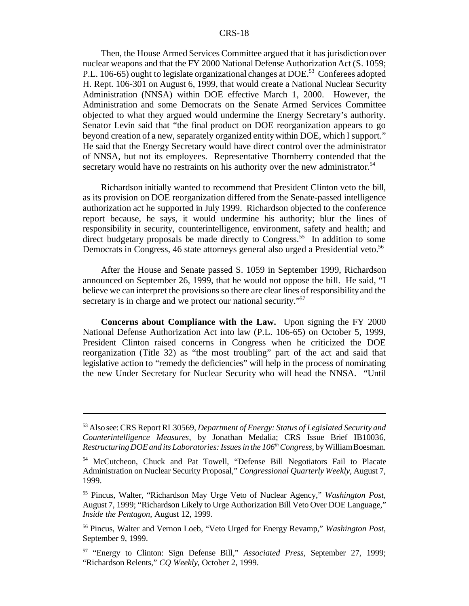Then, the House Armed Services Committee argued that it has jurisdiction over nuclear weapons and that the FY 2000 National Defense Authorization Act (S. 1059; P.L. 106-65) ought to legislate organizational changes at DOE.<sup>53</sup> Conferees adopted H. Rept. 106-301 on August 6, 1999, that would create a National Nuclear Security Administration (NNSA) within DOE effective March 1, 2000. However, the Administration and some Democrats on the Senate Armed Services Committee objected to what they argued would undermine the Energy Secretary's authority. Senator Levin said that "the final product on DOE reorganization appears to go beyond creation of a new, separately organized entitywithin DOE, which I support." He said that the Energy Secretary would have direct control over the administrator of NNSA, but not its employees. Representative Thornberry contended that the secretary would have no restraints on his authority over the new administrator.<sup>54</sup>

Richardson initially wanted to recommend that President Clinton veto the bill, as its provision on DOE reorganization differed from the Senate-passed intelligence authorization act he supported in July 1999. Richardson objected to the conference report because, he says, it would undermine his authority; blur the lines of responsibility in security, counterintelligence, environment, safety and health; and direct budgetary proposals be made directly to Congress.<sup>55</sup> In addition to some Democrats in Congress, 46 state attorneys general also urged a Presidential veto.<sup>56</sup>

After the House and Senate passed S. 1059 in September 1999, Richardson announced on September 26, 1999, that he would not oppose the bill. He said, "I believe we can interpret the provisions so there are clear lines of responsibility and the secretary is in charge and we protect our national security."<sup>57</sup>

**Concerns about Compliance with the Law.** Upon signing the FY 2000 National Defense Authorization Act into law (P.L. 106-65) on October 5, 1999, President Clinton raised concerns in Congress when he criticized the DOE reorganization (Title 32) as "the most troubling" part of the act and said that legislative action to "remedy the deficiencies" will help in the process of nominating the new Under Secretary for Nuclear Security who will head the NNSA. "Until

<sup>53</sup> Also see: CRS Report RL30569, *Department of Energy: Status of Legislated Security and Counterintelligence Measures*, by Jonathan Medalia; CRS Issue Brief IB10036, *Restructuring DOEand its Laboratories:Issuesin the 106thCongress*, byWilliamBoesman.

<sup>54</sup> McCutcheon, Chuck and Pat Towell, "Defense Bill Negotiators Fail to Placate Administration on Nuclear Security Proposal," *Congressional Quarterly Weekly*, August 7, 1999.

<sup>55</sup> Pincus, Walter, "Richardson May Urge Veto of Nuclear Agency," *Washington Post*, August 7, 1999; "Richardson Likely to Urge Authorization Bill Veto Over DOE Language," *Inside the Pentagon*, August 12, 1999.

<sup>56</sup> Pincus, Walter and Vernon Loeb, "Veto Urged for Energy Revamp," *Washington Post*, September 9, 1999.

<sup>57</sup> "Energy to Clinton: Sign Defense Bill," *Associated Press*, September 27, 1999; "Richardson Relents," *CQ Weekly*, October 2, 1999.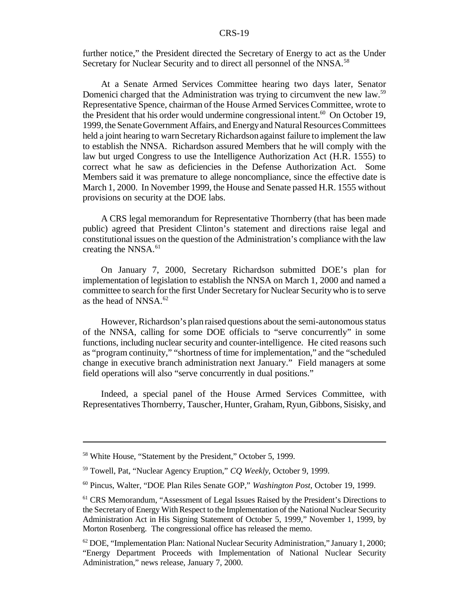further notice," the President directed the Secretary of Energy to act as the Under Secretary for Nuclear Security and to direct all personnel of the NNSA.<sup>58</sup>

At a Senate Armed Services Committee hearing two days later, Senator Domenici charged that the Administration was trying to circumvent the new law.<sup>59</sup> Representative Spence, chairman of the House Armed Services Committee, wrote to the President that his order would undermine congressional intent.<sup>60</sup> On October 19, 1999, the Senate Government Affairs, and Energy and Natural Resources Committees held a joint hearing to warn Secretary Richardson against failure to implement the law to establish the NNSA. Richardson assured Members that he will comply with the law but urged Congress to use the Intelligence Authorization Act (H.R. 1555) to correct what he saw as deficiencies in the Defense Authorization Act. Some Members said it was premature to allege noncompliance, since the effective date is March 1, 2000. In November 1999, the House and Senate passed H.R. 1555 without provisions on security at the DOE labs.

A CRS legal memorandum for Representative Thornberry (that has been made public) agreed that President Clinton's statement and directions raise legal and constitutional issues on the question ofthe Administration's compliance with the law creating the NNSA.<sup>61</sup>

On January 7, 2000, Secretary Richardson submitted DOE's plan for implementation of legislation to establish the NNSA on March 1, 2000 and named a committee to search for the first Under Secretary for Nuclear Security who is to serve as the head of NNSA. $62$ 

However, Richardson's plan raised questions about the semi-autonomous status of the NNSA, calling for some DOE officials to "serve concurrently" in some functions, including nuclear security and counter-intelligence. He cited reasons such as "program continuity," "shortness of time for implementation," and the "scheduled change in executive branch administration next January." Field managers at some field operations will also "serve concurrently in dual positions."

Indeed, a special panel of the House Armed Services Committee, with Representatives Thornberry, Tauscher, Hunter, Graham, Ryun, Gibbons, Sisisky, and

<sup>&</sup>lt;sup>58</sup> White House, "Statement by the President," October 5, 1999.

<sup>59</sup> Towell, Pat, "Nuclear Agency Eruption," *CQ Weekly*, October 9, 1999.

<sup>60</sup> Pincus, Walter, "DOE Plan Riles Senate GOP," *Washington Post*, October 19, 1999.

<sup>61</sup> CRS Memorandum, "Assessment of Legal Issues Raised by the President's Directions to the Secretary of Energy With Respect to the Implementation of the National Nuclear Security Administration Act in His Signing Statement of October 5, 1999," November 1, 1999, by Morton Rosenberg. The congressional office has released the memo.

 $62$  DOE, "Implementation Plan: National Nuclear Security Administration," January 1, 2000; "Energy Department Proceeds with Implementation of National Nuclear Security Administration," news release, January 7, 2000.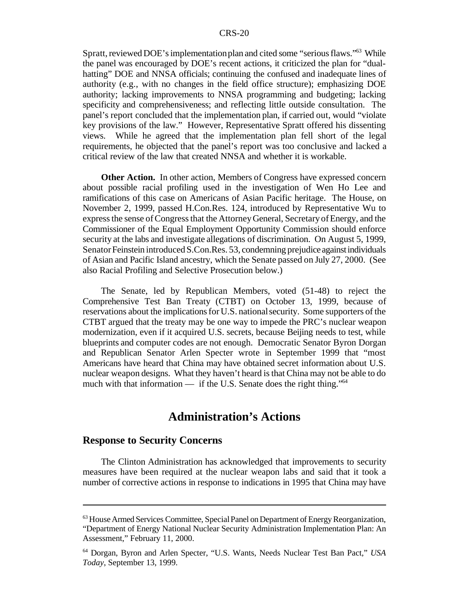Spratt, reviewed DOE's implementation plan and cited some "serious flaws."<sup>63</sup> While the panel was encouraged by DOE's recent actions, it criticized the plan for "dualhatting" DOE and NNSA officials; continuing the confused and inadequate lines of authority (e.g., with no changes in the field office structure); emphasizing DOE authority; lacking improvements to NNSA programming and budgeting; lacking specificity and comprehensiveness; and reflecting little outside consultation. The panel's report concluded that the implementation plan, if carried out, would "violate key provisions of the law." However, Representative Spratt offered his dissenting views. While he agreed that the implementation plan fell short of the legal requirements, he objected that the panel's report was too conclusive and lacked a critical review of the law that created NNSA and whether it is workable.

**Other Action.** In other action, Members of Congress have expressed concern about possible racial profiling used in the investigation of Wen Ho Lee and ramifications of this case on Americans of Asian Pacific heritage. The House, on November 2, 1999, passed H.Con.Res. 124, introduced by Representative Wu to expressthe sense ofCongressthat the AttorneyGeneral, SecretaryofEnergy, and the Commissioner of the Equal Employment Opportunity Commission should enforce security at the labs and investigate allegations of discrimination. On August 5, 1999, Senator Feinstein introduced S.Con.Res. 53, condemning prejudice against individuals of Asian and Pacific Island ancestry, which the Senate passed on July 27, 2000. (See also Racial Profiling and Selective Prosecution below.)

The Senate, led by Republican Members, voted (51-48) to reject the Comprehensive Test Ban Treaty (CTBT) on October 13, 1999, because of reservations about the implications for U.S. national security. Some supporters of the CTBT argued that the treaty may be one way to impede the PRC's nuclear weapon modernization, even if it acquired U.S. secrets, because Beijing needs to test, while blueprints and computer codes are not enough. Democratic Senator Byron Dorgan and Republican Senator Arlen Specter wrote in September 1999 that "most Americans have heard that China may have obtained secret information about U.S. nuclear weapon designs. What they haven't heard is that China may not be able to do much with that information — if the U.S. Senate does the right thing."<sup>64</sup>

## **Administration's Actions**

## **Response to Security Concerns**

The Clinton Administration has acknowledged that improvements to security measures have been required at the nuclear weapon labs and said that it took a number of corrective actions in response to indications in 1995 that China may have

<sup>&</sup>lt;sup>63</sup> House Armed Services Committee, Special Panel on Department of Energy Reorganization, "Department of Energy National Nuclear Security Administration Implementation Plan: An Assessment," February 11, 2000.

<sup>64</sup> Dorgan, Byron and Arlen Specter, "U.S. Wants, Needs Nuclear Test Ban Pact," *USA Today*, September 13, 1999.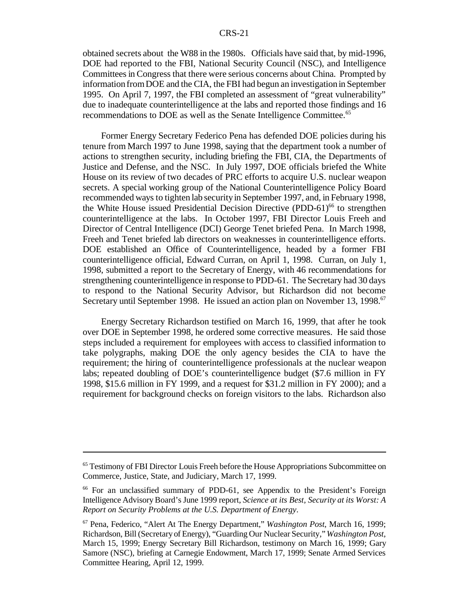obtained secrets about the W88 in the 1980s. Officials have said that, by mid-1996, DOE had reported to the FBI, National Security Council (NSC), and Intelligence Committeesin Congress that there were serious concerns about China. Prompted by information fromDOE and the CIA, the FBI had begun an investigation in September 1995. On April 7, 1997, the FBI completed an assessment of "great vulnerability" due to inadequate counterintelligence at the labs and reported those findings and 16 recommendations to DOE as well as the Senate Intelligence Committee.<sup>65</sup>

Former Energy Secretary Federico Pena has defended DOE policies during his tenure from March 1997 to June 1998, saying that the department took a number of actions to strengthen security, including briefing the FBI, CIA, the Departments of Justice and Defense, and the NSC. In July 1997, DOE officials briefed the White House on its review of two decades of PRC efforts to acquire U.S. nuclear weapon secrets. A special working group of the National Counterintelligence Policy Board recommended ways to tighten lab securityin September 1997, and, in February 1998, the White House issued Presidential Decision Directive (PDD-61)<sup>66</sup> to strengthen counterintelligence at the labs. In October 1997, FBI Director Louis Freeh and Director of Central Intelligence (DCI) George Tenet briefed Pena. In March 1998, Freeh and Tenet briefed lab directors on weaknesses in counterintelligence efforts. DOE established an Office of Counterintelligence, headed by a former FBI counterintelligence official, Edward Curran, on April 1, 1998. Curran, on July 1, 1998, submitted a report to the Secretary of Energy, with 46 recommendations for strengthening counterintelligence in response to PDD-61. The Secretary had 30 days to respond to the National Security Advisor, but Richardson did not become Secretary until September 1998. He issued an action plan on November 13, 1998.<sup>67</sup>

Energy Secretary Richardson testified on March 16, 1999, that after he took over DOE in September 1998, he ordered some corrective measures. He said those steps included a requirement for employees with access to classified information to take polygraphs, making DOE the only agency besides the CIA to have the requirement; the hiring of counterintelligence professionals at the nuclear weapon labs; repeated doubling of DOE's counterintelligence budget (\$7.6 million in FY 1998, \$15.6 million in FY 1999, and a request for \$31.2 million in FY 2000); and a requirement for background checks on foreign visitors to the labs. Richardson also

<sup>&</sup>lt;sup>65</sup> Testimony of FBI Director Louis Freeh before the House Appropriations Subcommittee on Commerce, Justice, State, and Judiciary, March 17, 1999.

<sup>&</sup>lt;sup>66</sup> For an unclassified summary of PDD-61, see Appendix to the President's Foreign Intelligence AdvisoryBoard's June 1999 report, *Science at its Best, Security at its Worst: A Report on Security Problems at the U.S. Department of Energy*.

<sup>67</sup> Pena, Federico, "Alert At The Energy Department," *Washington Post*, March 16, 1999; Richardson, Bill (Secretary of Energy), "Guarding Our Nuclear Security," *Washington Post*, March 15, 1999; Energy Secretary Bill Richardson, testimony on March 16, 1999; Gary Samore (NSC), briefing at Carnegie Endowment, March 17, 1999; Senate Armed Services Committee Hearing, April 12, 1999.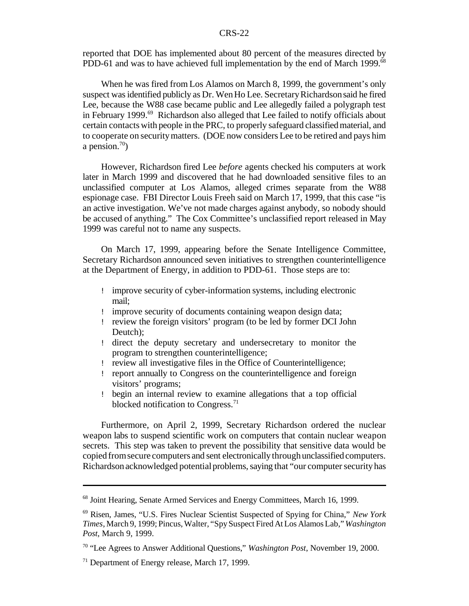reported that DOE has implemented about 80 percent of the measures directed by PDD-61 and was to have achieved full implementation by the end of March 1999.<sup>68</sup>

When he was fired from Los Alamos on March 8, 1999, the government's only suspect wasidentified publicly as Dr. WenHo Lee. SecretaryRichardsonsaid he fired Lee, because the W88 case became public and Lee allegedly failed a polygraph test in February 1999.<sup>69</sup> Richardson also alleged that Lee failed to notify officials about certain contacts with people in the PRC, to properly safeguard classified material, and to cooperate on securitymatters. (DOE now considers Lee to be retired and pays him a pension.<sup>70</sup>)

However, Richardson fired Lee *before* agents checked his computers at work later in March 1999 and discovered that he had downloaded sensitive files to an unclassified computer at Los Alamos, alleged crimes separate from the W88 espionage case. FBI Director Louis Freeh said on March 17, 1999, that this case "is an active investigation. We've not made charges against anybody, so nobody should be accused of anything." The Cox Committee's unclassified report released in May 1999 was careful not to name any suspects.

On March 17, 1999, appearing before the Senate Intelligence Committee, Secretary Richardson announced seven initiatives to strengthen counterintelligence at the Department of Energy, in addition to PDD-61. Those steps are to:

- ! improve security of cyber-information systems, including electronic mail;
- ! improve security of documents containing weapon design data;
- ! review the foreign visitors' program (to be led by former DCI John Deutch);
- ! direct the deputy secretary and undersecretary to monitor the program to strengthen counterintelligence;
- ! review all investigative files in the Office of Counterintelligence;
- ! report annually to Congress on the counterintelligence and foreign visitors' programs;
- ! begin an internal review to examine allegations that a top official blocked notification to Congress.<sup>71</sup>

Furthermore, on April 2, 1999, Secretary Richardson ordered the nuclear weapon labs to suspend scientific work on computers that contain nuclear weapon secrets. This step was taken to prevent the possibility that sensitive data would be copied from secure computers and sent electronically through unclassified computers. Richardson acknowledged potential problems, saying that "our computer security has

<sup>68</sup> Joint Hearing, Senate Armed Services and Energy Committees, March 16, 1999.

<sup>69</sup> Risen, James, "U.S. Fires Nuclear Scientist Suspected of Spying for China," *New York Times*, March 9, 1999; Pincus,Walter, "SpySuspect FiredAtLos Alamos Lab,"*Washington Post*, March 9, 1999.

<sup>70</sup> "Lee Agrees to Answer Additional Questions," *Washington Post*, November 19, 2000.

<sup>71</sup> Department of Energy release, March 17, 1999.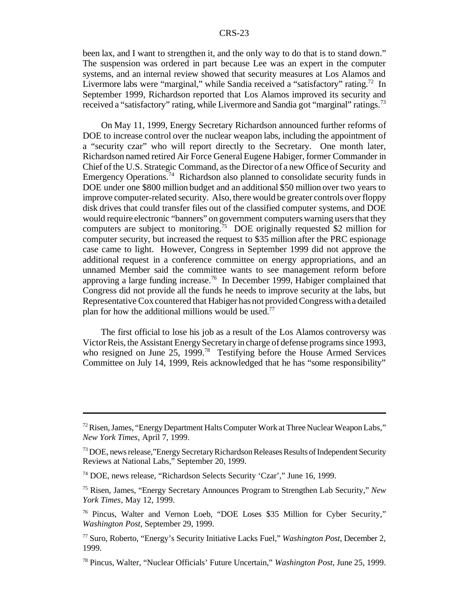been lax, and I want to strengthen it, and the only way to do that is to stand down." The suspension was ordered in part because Lee was an expert in the computer systems, and an internal review showed that security measures at Los Alamos and Livermore labs were "marginal," while Sandia received a "satisfactory" rating.<sup>72</sup> In September 1999, Richardson reported that Los Alamos improved its security and received a "satisfactory" rating, while Livermore and Sandia got "marginal" ratings.<sup>73</sup>

On May 11, 1999, Energy Secretary Richardson announced further reforms of DOE to increase control over the nuclear weapon labs, including the appointment of a "security czar" who will report directly to the Secretary. One month later, Richardson named retired Air Force General Eugene Habiger, former Commander in Chief ofthe U.S. Strategic Command, asthe Director of a new Office of Security and Emergency Operations.<sup>74</sup> Richardson also planned to consolidate security funds in DOE under one \$800 million budget and an additional \$50 million over two years to improve computer-related security. Also, there would be greater controls over floppy disk drives that could transfer files out of the classified computer systems, and DOE would require electronic "banners" on government computers warning users that they computers are subject to monitoring.<sup>75</sup> DOE originally requested \$2 million for computer security, but increased the request to \$35 million after the PRC espionage case came to light. However, Congress in September 1999 did not approve the additional request in a conference committee on energy appropriations, and an unnamed Member said the committee wants to see management reform before approving a large funding increase.<sup>76</sup> In December 1999, Habiger complained that Congress did not provide all the funds he needs to improve security at the labs, but Representative Cox countered that Habiger has not providedCongress witha detailed plan for how the additional millions would be used.<sup>77</sup>

The first official to lose his job as a result of the Los Alamos controversy was Victor Reis, the Assistant Energy Secretary in charge of defense programs since 1993, who resigned on June 25, 1999.<sup>78</sup> Testifying before the House Armed Services Committee on July 14, 1999, Reis acknowledged that he has "some responsibility"

 $72$  Risen, James, "Energy Department Halts Computer Work at Three Nuclear Weapon Labs," *New York Times*, April 7, 1999.

<sup>&</sup>lt;sup>73</sup> DOE, news release, "Energy Secretary Richardson Releases Results of Independent Security Reviews at National Labs," September 20, 1999.

<sup>74</sup> DOE, news release, "Richardson Selects Security 'Czar'," June 16, 1999.

<sup>75</sup> Risen, James, "Energy Secretary Announces Program to Strengthen Lab Security," *New York Times*, May 12, 1999.

<sup>76</sup> Pincus, Walter and Vernon Loeb, "DOE Loses \$35 Million for Cyber Security," *Washington Post*, September 29, 1999.

<sup>77</sup> Suro, Roberto, "Energy's Security Initiative Lacks Fuel," *Washington Post*, December 2, 1999.

<sup>78</sup> Pincus, Walter, "Nuclear Officials' Future Uncertain," *Washington Post*, June 25, 1999.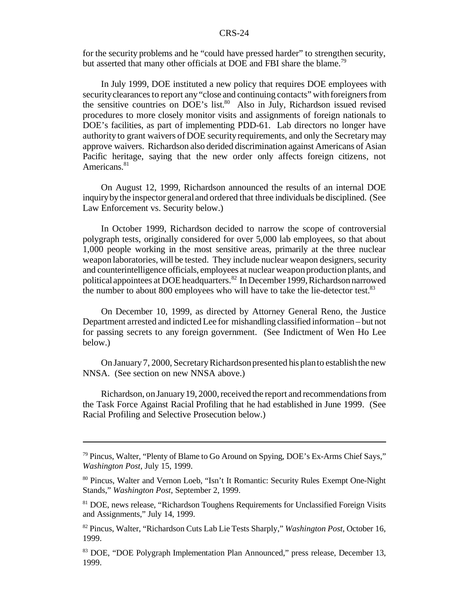for the security problems and he "could have pressed harder" to strengthen security, but asserted that many other officials at DOE and FBI share the blame.<sup>79</sup>

In July 1999, DOE instituted a new policy that requires DOE employees with security clearances to report any "close and continuing contacts" with foreigners from the sensitive countries on DOE's list.<sup>80</sup> Also in July, Richardson issued revised procedures to more closely monitor visits and assignments of foreign nationals to DOE's facilities, as part of implementing PDD-61. Lab directors no longer have authority to grant waivers of DOE securityrequirements, and only the Secretary may approve waivers. Richardson also derided discrimination against Americans of Asian Pacific heritage, saying that the new order only affects foreign citizens, not Americans.<sup>81</sup>

On August 12, 1999, Richardson announced the results of an internal DOE inquirybythe inspector general and ordered that three individuals be disciplined. (See Law Enforcement vs. Security below.)

In October 1999, Richardson decided to narrow the scope of controversial polygraph tests, originally considered for over 5,000 lab employees, so that about 1,000 people working in the most sensitive areas, primarily at the three nuclear weapon laboratories, will be tested. They include nuclear weapon designers, security and counterintelligence officials, employees at nuclear weapon productionplants, and political appointees at DOE headquarters.<sup>82</sup> In December 1999, Richardson narrowed the number to about 800 employees who will have to take the lie-detector test.<sup>83</sup>

On December 10, 1999, as directed by Attorney General Reno, the Justice Department arrested and indictedLee for mishandling classified information – but not for passing secrets to any foreign government. (See Indictment of Wen Ho Lee below.)

On January 7, 2000, Secretary Richardson presented his plan to establish the new NNSA. (See section on new NNSA above.)

Richardson, on January 19, 2000, received the report and recommendations from the Task Force Against Racial Profiling that he had established in June 1999. (See Racial Profiling and Selective Prosecution below.)

 $^{79}$  Pincus, Walter, "Plenty of Blame to Go Around on Spying, DOE's Ex-Arms Chief Says," *Washington Post*, July 15, 1999.

<sup>80</sup> Pincus, Walter and Vernon Loeb, "Isn't It Romantic: Security Rules Exempt One-Night Stands," *Washington Post*, September 2, 1999.

<sup>&</sup>lt;sup>81</sup> DOE, news release, "Richardson Toughens Requirements for Unclassified Foreign Visits and Assignments," July 14, 1999.

<sup>82</sup> Pincus, Walter, "Richardson Cuts Lab Lie Tests Sharply," *Washington Post*, October 16, 1999.

<sup>83</sup> DOE, "DOE Polygraph Implementation Plan Announced," press release, December 13, 1999.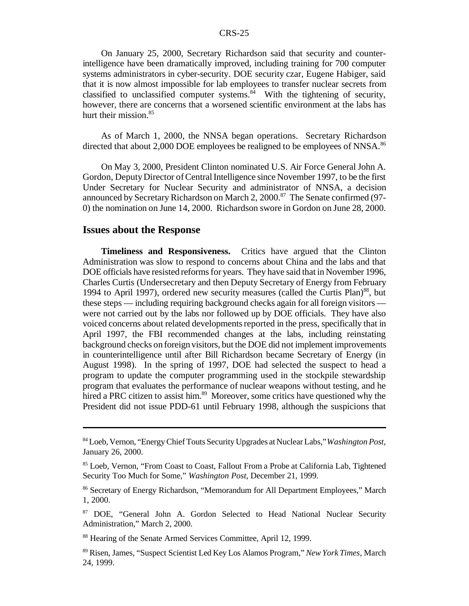On January 25, 2000, Secretary Richardson said that security and counterintelligence have been dramatically improved, including training for 700 computer systems administrators in cyber-security. DOE security czar, Eugene Habiger, said that it is now almost impossible for lab employees to transfer nuclear secrets from classified to unclassified computer systems. $84$  With the tightening of security, however, there are concerns that a worsened scientific environment at the labs has hurt their mission.<sup>85</sup>

As of March 1, 2000, the NNSA began operations. Secretary Richardson directed that about 2,000 DOE employees be realigned to be employees of NNSA.<sup>86</sup>

On May 3, 2000, President Clinton nominated U.S. Air Force General John A. Gordon, Deputy Director of Central Intelligence since November 1997, to be the first Under Secretary for Nuclear Security and administrator of NNSA, a decision announced by Secretary Richardson on March 2, 2000.<sup>87</sup> The Senate confirmed (97-0) the nomination on June 14, 2000. Richardson swore in Gordon on June 28, 2000.

### **Issues about the Response**

**Timeliness and Responsiveness.** Critics have argued that the Clinton Administration was slow to respond to concerns about China and the labs and that DOE officials have resisted reforms for years. They have said that in November 1996, Charles Curtis (Undersecretary and then Deputy Secretary of Energy from February 1994 to April 1997), ordered new security measures (called the Curtis Plan)<sup>88</sup>, but these steps — including requiring background checks again for all foreign visitors were not carried out by the labs nor followed up by DOE officials. They have also voiced concerns about related developments reported in the press, specifically that in April 1997, the FBI recommended changes at the labs, including reinstating background checks on foreign visitors, but the DOE did not implement improvements in counterintelligence until after Bill Richardson became Secretary of Energy (in August 1998). In the spring of 1997, DOE had selected the suspect to head a program to update the computer programming used in the stockpile stewardship program that evaluates the performance of nuclear weapons without testing, and he hired a PRC citizen to assist him.<sup>89</sup> Moreover, some critics have questioned why the President did not issue PDD-61 until February 1998, although the suspicions that

<sup>84</sup>Loeb,Vernon, "Energy Chief Touts Security Upgrades at Nuclear Labs," *Washington Post*, January 26, 2000.

<sup>&</sup>lt;sup>85</sup> Loeb, Vernon, "From Coast to Coast, Fallout From a Probe at California Lab, Tightened Security Too Much for Some," *Washington Post*, December 21, 1999.

<sup>86</sup> Secretary of Energy Richardson, "Memorandum for All Department Employees," March 1, 2000.

<sup>&</sup>lt;sup>87</sup> DOE, "General John A. Gordon Selected to Head National Nuclear Security Administration," March 2, 2000.

<sup>88</sup> Hearing of the Senate Armed Services Committee, April 12, 1999.

<sup>89</sup> Risen, James, "Suspect Scientist Led Key Los Alamos Program," *New York Times*, March 24, 1999.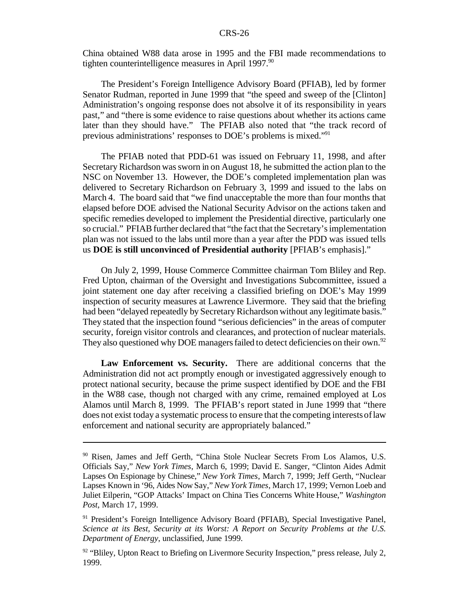China obtained W88 data arose in 1995 and the FBI made recommendations to tighten counterintelligence measures in April  $1997.^{90}$ 

The President's Foreign Intelligence Advisory Board (PFIAB), led by former Senator Rudman, reported in June 1999 that "the speed and sweep of the [Clinton] Administration's ongoing response does not absolve it of its responsibility in years past," and "there is some evidence to raise questions about whether its actions came later than they should have." The PFIAB also noted that "the track record of previous administrations' responses to DOE's problems is mixed."<sup>91</sup>

The PFIAB noted that PDD-61 was issued on February 11, 1998, and after Secretary Richardson was sworn in on August 18, he submitted the action plan to the NSC on November 13. However, the DOE's completed implementation plan was delivered to Secretary Richardson on February 3, 1999 and issued to the labs on March 4. The board said that "we find unacceptable the more than four months that elapsed before DOE advised the National Security Advisor on the actions taken and specific remedies developed to implement the Presidential directive, particularly one so crucial." PFIAB further declared that "the fact that the Secretary's implementation plan was not issued to the labs until more than a year after the PDD was issued tells us **DOE is still unconvinced of Presidential authority** [PFIAB's emphasis]."

On July 2, 1999, House Commerce Committee chairman Tom Bliley and Rep. Fred Upton, chairman of the Oversight and Investigations Subcommittee, issued a joint statement one day after receiving a classified briefing on DOE's May 1999 inspection of security measures at Lawrence Livermore. They said that the briefing had been "delayed repeatedly by Secretary Richardson without any legitimate basis." They stated that the inspection found "serious deficiencies" in the areas of computer security, foreign visitor controls and clearances, and protection of nuclear materials. They also questioned why DOE managers failed to detect deficiencies on their own.<sup>92</sup>

**Law Enforcement vs. Security.** There are additional concerns that the Administration did not act promptly enough or investigated aggressively enough to protect national security, because the prime suspect identified by DOE and the FBI in the W88 case, though not charged with any crime, remained employed at Los Alamos until March 8, 1999. The PFIAB's report stated in June 1999 that "there does not exist today a systematic processto ensure that the competing interestsoflaw enforcement and national security are appropriately balanced."

<sup>&</sup>lt;sup>90</sup> Risen, James and Jeff Gerth, "China Stole Nuclear Secrets From Los Alamos, U.S. Officials Say," *New York Times*, March 6, 1999; David E. Sanger, "Clinton Aides Admit Lapses On Espionage by Chinese," *New York Times*, March 7, 1999; Jeff Gerth, "Nuclear Lapses Known in '96, Aides Now Say," *New York Times*, March 17, 1999; Vernon Loeb and Juliet Eilperin, "GOP Attacks' Impact on China Ties Concerns White House," *Washington Post*, March 17, 1999.

<sup>&</sup>lt;sup>91</sup> President's Foreign Intelligence Advisory Board (PFIAB), Special Investigative Panel, *Science at its Best, Security at its Worst: A Report on Security Problems at the U.S. Department of Energy*, unclassified, June 1999.

 $92$  "Bliley, Upton React to Briefing on Livermore Security Inspection," press release, July 2, 1999.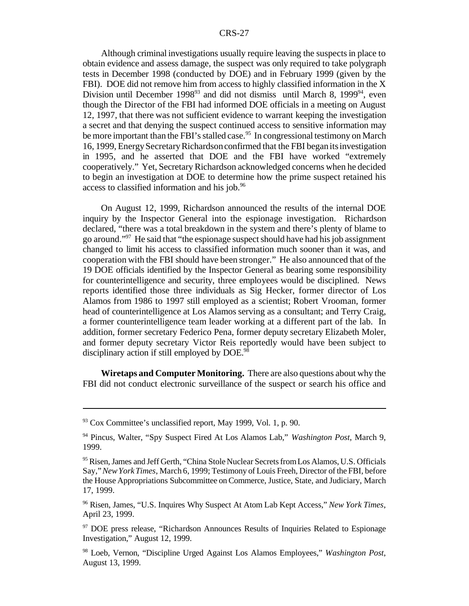Although criminal investigations usually require leaving the suspects in place to obtain evidence and assess damage, the suspect was only required to take polygraph tests in December 1998 (conducted by DOE) and in February 1999 (given by the FBI). DOE did not remove him from access to highly classified information in the X Division until December 1998 $93$  and did not dismiss until March 8, 1999 $^{94}$ , even though the Director of the FBI had informed DOE officials in a meeting on August 12, 1997, that there was not sufficient evidence to warrant keeping the investigation a secret and that denying the suspect continued access to sensitive information may be more important than the FBI's stalled case.<sup>95</sup> In congressional testimony on March 16, 1999, EnergySecretaryRichardsonconfirmed that the FBI began itsinvestigation in 1995, and he asserted that DOE and the FBI have worked "extremely cooperatively." Yet, Secretary Richardson acknowledged concerns when he decided to begin an investigation at DOE to determine how the prime suspect retained his access to classified information and his job.<sup>96</sup>

On August 12, 1999, Richardson announced the results of the internal DOE inquiry by the Inspector General into the espionage investigation. Richardson declared, "there was a total breakdown in the system and there's plenty of blame to go around."<sup>97</sup> He said that "the espionage suspect should have had his job assignment changed to limit his access to classified information much sooner than it was, and cooperation with the FBI should have been stronger." He also announced that of the 19 DOE officials identified by the Inspector General as bearing some responsibility for counterintelligence and security, three employees would be disciplined. News reports identified those three individuals as Sig Hecker, former director of Los Alamos from 1986 to 1997 still employed as a scientist; Robert Vrooman, former head of counterintelligence at Los Alamos serving as a consultant; and Terry Craig, a former counterintelligence team leader working at a different part of the lab. In addition, former secretary Federico Pena, former deputy secretary Elizabeth Moler, and former deputy secretary Victor Reis reportedly would have been subject to disciplinary action if still employed by DOE.<sup>98</sup>

**Wiretaps and Computer Monitoring.** There are also questions about why the FBI did not conduct electronic surveillance of the suspect or search his office and

 $93$  Cox Committee's unclassified report, May 1999, Vol. 1, p. 90.

<sup>94</sup> Pincus, Walter, "Spy Suspect Fired At Los Alamos Lab," *Washington Post*, March 9, 1999.

<sup>&</sup>lt;sup>95</sup> Risen, James and Jeff Gerth, "China Stole Nuclear Secrets from Los Alamos, U.S. Officials Say,"*NewYorkTimes*, March 6, 1999; Testimony of Louis Freeh, Director of the FBI, before the House Appropriations Subcommittee on Commerce, Justice, State, and Judiciary, March 17, 1999.

<sup>96</sup> Risen, James, "U.S. Inquires Why Suspect At Atom Lab Kept Access," *New York Times*, April 23, 1999.

<sup>97</sup> DOE press release, "Richardson Announces Results of Inquiries Related to Espionage Investigation," August 12, 1999.

<sup>98</sup> Loeb, Vernon, "Discipline Urged Against Los Alamos Employees," *Washington Post*, August 13, 1999.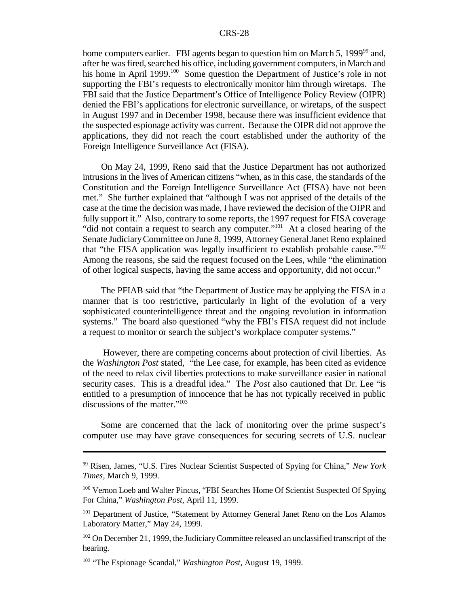home computers earlier. FBI agents began to question him on March 5, 1999<sup>99</sup> and, after he was fired, searched his office, including government computers, in March and his home in April 1999.<sup>100</sup> Some question the Department of Justice's role in not supporting the FBI's requests to electronically monitor him through wiretaps. The FBI said that the Justice Department's Office of Intelligence Policy Review (OIPR) denied the FBI's applications for electronic surveillance, or wiretaps, of the suspect in August 1997 and in December 1998, because there was insufficient evidence that the suspected espionage activity was current. Because the OIPR did not approve the applications, they did not reach the court established under the authority of the Foreign Intelligence Surveillance Act (FISA).

On May 24, 1999, Reno said that the Justice Department has not authorized intrusions in the lives of American citizens "when, as in this case, the standards of the Constitution and the Foreign Intelligence Surveillance Act (FISA) have not been met." She further explained that "although I was not apprised of the details of the case at the time the decision was made, I have reviewed the decision of the OIPR and fully support it." Also, contrary to some reports, the 1997 request for FISA coverage "did not contain a request to search any computer."<sup>101</sup> At a closed hearing of the Senate JudiciaryCommittee on June 8, 1999, Attorney GeneralJanet Reno explained that "the FISA application was legally insufficient to establish probable cause."<sup>102</sup> Among the reasons, she said the request focused on the Lees, while "the elimination of other logical suspects, having the same access and opportunity, did not occur."

The PFIAB said that "the Department of Justice may be applying the FISA in a manner that is too restrictive, particularly in light of the evolution of a very sophisticated counterintelligence threat and the ongoing revolution in information systems." The board also questioned "why the FBI's FISA request did not include a request to monitor or search the subject's workplace computer systems."

However, there are competing concerns about protection of civil liberties. As the *Washington Post* stated, "the Lee case, for example, has been cited as evidence of the need to relax civil liberties protections to make surveillance easier in national security cases. This is a dreadful idea." The *Post* also cautioned that Dr. Lee "is entitled to a presumption of innocence that he has not typically received in public discussions of the matter."<sup>103</sup>

Some are concerned that the lack of monitoring over the prime suspect's computer use may have grave consequences for securing secrets of U.S. nuclear

<sup>99</sup> Risen, James, "U.S. Fires Nuclear Scientist Suspected of Spying for China," *New York Times*, March 9, 1999.

<sup>&</sup>lt;sup>100</sup> Vernon Loeb and Walter Pincus, "FBI Searches Home Of Scientist Suspected Of Spying For China," *Washington Post*, April 11, 1999.

<sup>&</sup>lt;sup>101</sup> Department of Justice, "Statement by Attorney General Janet Reno on the Los Alamos Laboratory Matter," May 24, 1999.

<sup>&</sup>lt;sup>102</sup> On December 21, 1999, the Judiciary Committee released an unclassified transcript of the hearing.

<sup>103</sup> "The Espionage Scandal," *Washington Post*, August 19, 1999.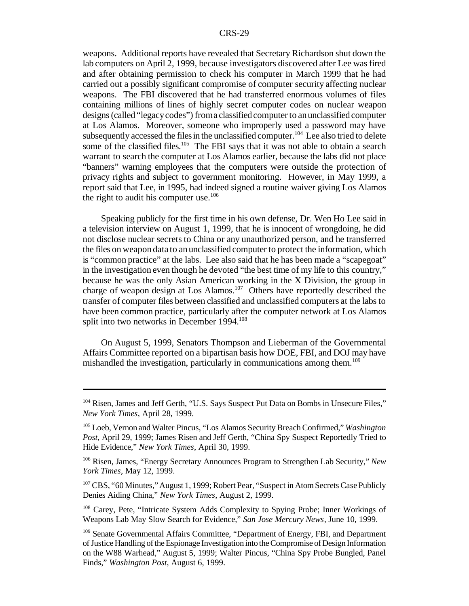weapons. Additional reports have revealed that Secretary Richardson shut down the lab computers on April 2, 1999, because investigators discovered after Lee was fired and after obtaining permission to check his computer in March 1999 that he had carried out a possibly significant compromise of computer security affecting nuclear weapons. The FBI discovered that he had transferred enormous volumes of files containing millions of lines of highly secret computer codes on nuclear weapon designs (called "legacy codes") from a classified computer to an unclassified computer at Los Alamos. Moreover, someone who improperly used a password may have subsequently accessed the files in the unclassified computer.<sup>104</sup> Lee also tried to delete some of the classified files.<sup>105</sup> The FBI says that it was not able to obtain a search warrant to search the computer at Los Alamos earlier, because the labs did not place "banners" warning employees that the computers were outside the protection of privacy rights and subject to government monitoring. However, in May 1999, a report said that Lee, in 1995, had indeed signed a routine waiver giving Los Alamos the right to audit his computer use.<sup>106</sup>

Speaking publicly for the first time in his own defense, Dr. Wen Ho Lee said in a television interview on August 1, 1999, that he is innocent of wrongdoing, he did not disclose nuclear secrets to China or any unauthorized person, and he transferred the files on weapon data to an unclassified computer to protect the information, which is "common practice" at the labs. Lee also said that he has been made a "scapegoat" in the investigation even though he devoted "the best time of my life to this country," because he was the only Asian American working in the X Division, the group in charge of weapon design at Los Alamos.<sup>107</sup> Others have reportedly described the transfer of computer files between classified and unclassified computers at the labs to have been common practice, particularly after the computer network at Los Alamos split into two networks in December 1994.<sup>108</sup>

On August 5, 1999, Senators Thompson and Lieberman of the Governmental Affairs Committee reported on a bipartisan basis how DOE, FBI, and DOJ may have mishandled the investigation, particularly in communications among them.<sup>109</sup>

<sup>104</sup> Risen, James and Jeff Gerth, "U.S. Says Suspect Put Data on Bombs in Unsecure Files," *New York Times*, April 28, 1999.

<sup>105</sup> Loeb, Vernon and Walter Pincus, "Los Alamos Security Breach Confirmed," *Washington Post*, April 29, 1999; James Risen and Jeff Gerth, "China Spy Suspect Reportedly Tried to Hide Evidence," *New York Times*, April 30, 1999.

<sup>106</sup> Risen, James, "Energy Secretary Announces Program to Strengthen Lab Security," *New York Times*, May 12, 1999.

<sup>&</sup>lt;sup>107</sup> CBS, "60 Minutes," August 1, 1999; Robert Pear, "Suspect in Atom Secrets Case Publicly Denies Aiding China," *New York Times*, August 2, 1999.

<sup>108</sup> Carey, Pete, "Intricate System Adds Complexity to Spying Probe; Inner Workings of Weapons Lab May Slow Search for Evidence," *San Jose Mercury News*, June 10, 1999.

<sup>&</sup>lt;sup>109</sup> Senate Governmental Affairs Committee, "Department of Energy, FBI, and Department ofJusticeHandling of the Espionage Investigation into the Compromise of Design Information on the W88 Warhead," August 5, 1999; Walter Pincus, "China Spy Probe Bungled, Panel Finds," *Washington Post*, August 6, 1999.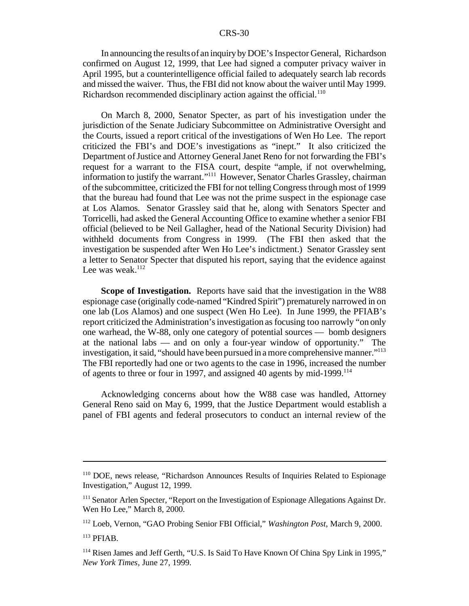In announcing the results of an inquiry by DOE's Inspector General, Richardson confirmed on August 12, 1999, that Lee had signed a computer privacy waiver in April 1995, but a counterintelligence official failed to adequately search lab records and missed the waiver. Thus, the FBI did not know about the waiver until May 1999. Richardson recommended disciplinary action against the official.<sup>110</sup>

On March 8, 2000, Senator Specter, as part of his investigation under the jurisdiction of the Senate Judiciary Subcommittee on Administrative Oversight and the Courts, issued a report critical of the investigations of Wen Ho Lee. The report criticized the FBI's and DOE's investigations as "inept." It also criticized the Department ofJustice and Attorney GeneralJanet Reno for not forwarding the FBI's request for a warrant to the FISA court, despite "ample, if not overwhelming, information to justify the warrant."<sup>111</sup> However, Senator Charles Grassley, chairman ofthe subcommittee, criticized the FBI for not telling Congressthrough most of 1999 that the bureau had found that Lee was not the prime suspect in the espionage case at Los Alamos. Senator Grassley said that he, along with Senators Specter and Torricelli, had asked the General Accounting Office to examine whether a senior FBI official (believed to be Neil Gallagher, head of the National Security Division) had withheld documents from Congress in 1999. (The FBI then asked that the investigation be suspended after Wen Ho Lee's indictment.) Senator Grassley sent a letter to Senator Specter that disputed his report, saying that the evidence against Lee was weak. $112$ 

**Scope of Investigation.** Reports have said that the investigation in the W88 espionage case (originally code-named "Kindred Spirit") prematurely narrowed in on one lab (Los Alamos) and one suspect (Wen Ho Lee). In June 1999, the PFIAB's report criticized the Administration'sinvestigation asfocusing too narrowly "on only one warhead, the W-88, only one category of potential sources — bomb designers at the national labs — and on only a four-year window of opportunity." The investigation, it said, "should have been pursued in a more comprehensive manner."<sup>113</sup> The FBI reportedly had one or two agents to the case in 1996, increased the number of agents to three or four in 1997, and assigned 40 agents by mid-1999.<sup>114</sup>

Acknowledging concerns about how the W88 case was handled, Attorney General Reno said on May 6, 1999, that the Justice Department would establish a panel of FBI agents and federal prosecutors to conduct an internal review of the

<sup>110</sup> DOE, news release, "Richardson Announces Results of Inquiries Related to Espionage Investigation," August 12, 1999.

<sup>&</sup>lt;sup>111</sup> Senator Arlen Specter, "Report on the Investigation of Espionage Allegations Against Dr. Wen Ho Lee," March 8, 2000.

<sup>112</sup> Loeb, Vernon, "GAO Probing Senior FBI Official," *Washington Post*, March 9, 2000.

<sup>113</sup> PFIAB.

<sup>114</sup> Risen James and Jeff Gerth, "U.S. Is Said To Have Known Of China Spy Link in 1995," *New York Times*, June 27, 1999.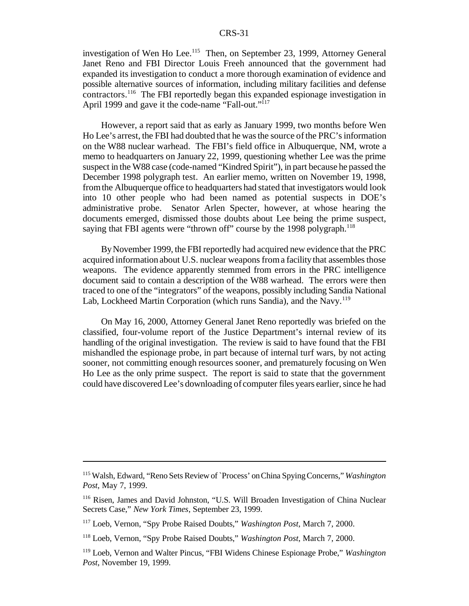investigation of Wen Ho Lee.<sup>115</sup> Then, on September 23, 1999, Attorney General Janet Reno and FBI Director Louis Freeh announced that the government had expanded its investigation to conduct a more thorough examination of evidence and possible alternative sources of information, including military facilities and defense contractors.<sup>116</sup> The FBI reportedly began this expanded espionage investigation in April 1999 and gave it the code-name "Fall-out."<sup>117</sup>

However, a report said that as early as January 1999, two months before Wen Ho Lee's arrest, the FBI had doubted that he was the source of the PRC's information on the W88 nuclear warhead. The FBI's field office in Albuquerque, NM, wrote a memo to headquarters on January 22, 1999, questioning whether Lee was the prime suspect in the W88 case (code-named "Kindred Spirit"), in part because he passed the December 1998 polygraph test. An earlier memo, written on November 19, 1998, fromthe Albuquerque office to headquarters had stated that investigators would look into 10 other people who had been named as potential suspects in DOE's administrative probe. Senator Arlen Specter, however, at whose hearing the documents emerged, dismissed those doubts about Lee being the prime suspect, saying that FBI agents were "thrown off" course by the 1998 polygraph.<sup>118</sup>

ByNovember 1999, the FBI reportedly had acquired new evidence that the PRC acquired information about U.S. nuclear weapons from a facility that assembles those weapons. The evidence apparently stemmed from errors in the PRC intelligence document said to contain a description of the W88 warhead. The errors were then traced to one of the "integrators" of the weapons, possibly including Sandia National Lab, Lockheed Martin Corporation (which runs Sandia), and the Navy.<sup>119</sup>

On May 16, 2000, Attorney General Janet Reno reportedly was briefed on the classified, four-volume report of the Justice Department's internal review of its handling of the original investigation. The review is said to have found that the FBI mishandled the espionage probe, in part because of internal turf wars, by not acting sooner, not committing enough resources sooner, and prematurely focusing on Wen Ho Lee as the only prime suspect. The report is said to state that the government could have discovered Lee's downloading of computer files years earlier, since he had

<sup>115</sup> Walsh, Edward, "Reno Sets Review of `Process' onChina SpyingConcerns," *Washington Post*, May 7, 1999.

<sup>116</sup> Risen, James and David Johnston, "U.S. Will Broaden Investigation of China Nuclear Secrets Case," *New York Times*, September 23, 1999.

<sup>117</sup> Loeb, Vernon, "Spy Probe Raised Doubts," *Washington Post*, March 7, 2000.

<sup>118</sup> Loeb, Vernon, "Spy Probe Raised Doubts," *Washington Post*, March 7, 2000.

<sup>119</sup> Loeb, Vernon and Walter Pincus, "FBI Widens Chinese Espionage Probe," *Washington Post*, November 19, 1999.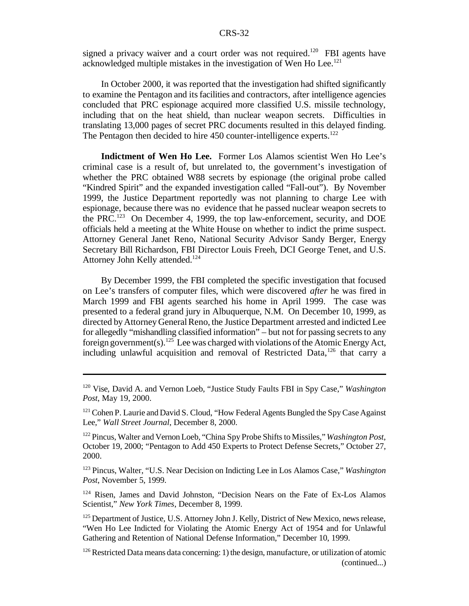signed a privacy waiver and a court order was not required.<sup>120</sup> FBI agents have acknowledged multiple mistakes in the investigation of Wen Ho Lee.<sup>121</sup>

In October 2000, it was reported that the investigation had shifted significantly to examine the Pentagon and itsfacilities and contractors, after intelligence agencies concluded that PRC espionage acquired more classified U.S. missile technology, including that on the heat shield, than nuclear weapon secrets. Difficulties in translating 13,000 pages of secret PRC documents resulted in this delayed finding. The Pentagon then decided to hire  $450$  counter-intelligence experts.<sup>122</sup>

**Indictment of Wen Ho Lee.** Former Los Alamos scientist Wen Ho Lee's criminal case is a result of, but unrelated to, the government's investigation of whether the PRC obtained W88 secrets by espionage (the original probe called "Kindred Spirit" and the expanded investigation called "Fall-out"). By November 1999, the Justice Department reportedly was not planning to charge Lee with espionage, because there was no evidence that he passed nuclear weapon secrets to the PRC.<sup>123</sup> On December 4, 1999, the top law-enforcement, security, and DOE officials held a meeting at the White House on whether to indict the prime suspect. Attorney General Janet Reno, National Security Advisor Sandy Berger, Energy Secretary Bill Richardson, FBI Director Louis Freeh, DCI George Tenet, and U.S. Attorney John Kelly attended.<sup>124</sup>

By December 1999, the FBI completed the specific investigation that focused on Lee's transfers of computer files, which were discovered *after* he was fired in March 1999 and FBI agents searched his home in April 1999. The case was presented to a federal grand jury in Albuquerque, N.M. On December 10, 1999, as directed by Attorney General Reno, the Justice Department arrested and indicted Lee for allegedly "mishandling classified information" – but not for passing secrets to any foreign government(s).<sup>125</sup> Lee was charged with violations of the Atomic Energy Act, including unlawful acquisition and removal of Restricted Data, $126$  that carry a

<sup>120</sup> Vise, David A. and Vernon Loeb, "Justice Study Faults FBI in Spy Case," *Washington Post*, May 19, 2000.

 $121$  Cohen P. Laurie and David S. Cloud, "How Federal Agents Bungled the Spy Case Against Lee," *Wall Street Journal*, December 8, 2000.

<sup>&</sup>lt;sup>122</sup> Pincus, Walter and Vernon Loeb, "China Spy Probe Shifts to Missiles," *Washington Post*, October 19, 2000; "Pentagon to Add 450 Experts to Protect Defense Secrets," October 27, 2000.

<sup>123</sup> Pincus, Walter, "U.S. Near Decision on Indicting Lee in Los Alamos Case," *Washington Post*, November 5, 1999.

<sup>&</sup>lt;sup>124</sup> Risen, James and David Johnston, "Decision Nears on the Fate of Ex-Los Alamos Scientist," *New York Times*, December 8, 1999.

<sup>&</sup>lt;sup>125</sup> Department of Justice, U.S. Attorney John J. Kelly, District of New Mexico, news release, "Wen Ho Lee Indicted for Violating the Atomic Energy Act of 1954 and for Unlawful Gathering and Retention of National Defense Information," December 10, 1999.

 $126$  Restricted Data means data concerning: 1) the design, manufacture, or utilization of atomic (continued...)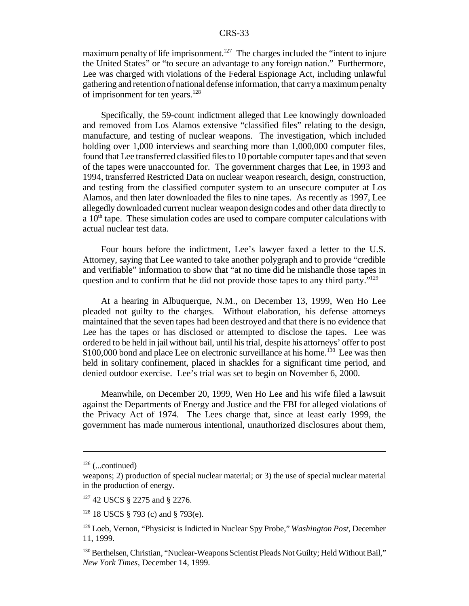maximum penalty of life imprisonment.<sup>127</sup> The charges included the "intent to injure" the United States" or "to secure an advantage to any foreign nation." Furthermore, Lee was charged with violations of the Federal Espionage Act, including unlawful gathering and retentionofnationaldefense information, that carrya maximumpenalty of imprisonment for ten years.<sup>128</sup>

Specifically, the 59-count indictment alleged that Lee knowingly downloaded and removed from Los Alamos extensive "classified files" relating to the design, manufacture, and testing of nuclear weapons. The investigation, which included holding over 1,000 interviews and searching more than 1,000,000 computer files, found that Lee transferred classified files to 10 portable computer tapes and that seven of the tapes were unaccounted for. The government charges that Lee, in 1993 and 1994, transferred Restricted Data on nuclear weapon research, design, construction, and testing from the classified computer system to an unsecure computer at Los Alamos, and then later downloaded the files to nine tapes. As recently as 1997, Lee allegedly downloaded current nuclear weapon design codes and other data directly to a  $10<sup>th</sup>$  tape. These simulation codes are used to compare computer calculations with actual nuclear test data.

Four hours before the indictment, Lee's lawyer faxed a letter to the U.S. Attorney, saying that Lee wanted to take another polygraph and to provide "credible and verifiable" information to show that "at no time did he mishandle those tapes in question and to confirm that he did not provide those tapes to any third party."<sup>129</sup>

At a hearing in Albuquerque, N.M., on December 13, 1999, Wen Ho Lee pleaded not guilty to the charges. Without elaboration, his defense attorneys maintained that the seven tapes had been destroyed and that there is no evidence that Lee has the tapes or has disclosed or attempted to disclose the tapes. Lee was ordered to be held in jail without bail, until histrial, despite his attorneys' offer to post \$100,000 bond and place Lee on electronic surveillance at his home.<sup>130</sup> Lee was then held in solitary confinement, placed in shackles for a significant time period, and denied outdoor exercise. Lee's trial was set to begin on November 6, 2000.

Meanwhile, on December 20, 1999, Wen Ho Lee and his wife filed a lawsuit against the Departments of Energy and Justice and the FBI for alleged violations of the Privacy Act of 1974. The Lees charge that, since at least early 1999, the government has made numerous intentional, unauthorized disclosures about them,

 $126$  (...continued)

weapons; 2) production of special nuclear material; or 3) the use of special nuclear material in the production of energy.

<sup>127</sup> 42 USCS § 2275 and § 2276.

<sup>128</sup> 18 USCS § 793 (c) and § 793(e).

<sup>129</sup> Loeb, Vernon, "Physicist is Indicted in Nuclear Spy Probe," *Washington Post*, December 11, 1999.

<sup>&</sup>lt;sup>130</sup> Berthelsen, Christian, "Nuclear-Weapons Scientist Pleads Not Guilty; Held Without Bail," *New York Times*, December 14, 1999.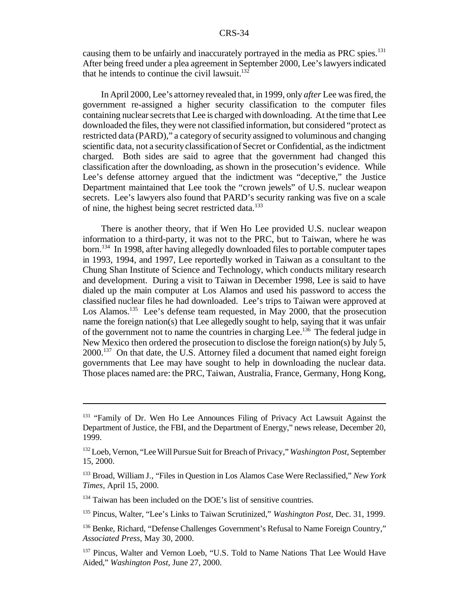causing them to be unfairly and inaccurately portrayed in the media as PRC spies.<sup>131</sup> After being freed under a plea agreement in September 2000, Lee'slawyersindicated that he intends to continue the civil lawsuit. $132$ 

In April 2000, Lee's attorney revealed that, in 1999, only *after* Lee wasfired, the government re-assigned a higher security classification to the computer files containing nuclear secrets that Lee is charged with downloading. At the time that Lee downloaded the files, they were not classified information, but considered "protect as restricted data (PARD)," a category of security assigned to voluminous and changing scientific data, not a securityclassification of Secret or Confidential, asthe indictment charged. Both sides are said to agree that the government had changed this classification after the downloading, as shown in the prosecution's evidence. While Lee's defense attorney argued that the indictment was "deceptive," the Justice Department maintained that Lee took the "crown jewels" of U.S. nuclear weapon secrets. Lee's lawyers also found that PARD's security ranking was five on a scale of nine, the highest being secret restricted data.<sup>133</sup>

There is another theory, that if Wen Ho Lee provided U.S. nuclear weapon information to a third-party, it was not to the PRC, but to Taiwan, where he was born.<sup>134</sup> In 1998, after having allegedly downloaded files to portable computer tapes in 1993, 1994, and 1997, Lee reportedly worked in Taiwan as a consultant to the Chung Shan Institute of Science and Technology, which conducts military research and development. During a visit to Taiwan in December 1998, Lee is said to have dialed up the main computer at Los Alamos and used his password to access the classified nuclear files he had downloaded. Lee's trips to Taiwan were approved at Los Alamos.<sup>135</sup> Lee's defense team requested, in May 2000, that the prosecution name the foreign nation(s) that Lee allegedly sought to help, saying that it was unfair of the government not to name the countries in charging Lee.<sup>136</sup> The federal judge in New Mexico then ordered the prosecution to disclose the foreign nation(s) by July 5, 2000.<sup>137</sup> On that date, the U.S. Attorney filed a document that named eight foreign governments that Lee may have sought to help in downloading the nuclear data. Those places named are: the PRC, Taiwan, Australia, France, Germany, Hong Kong,

<sup>&</sup>lt;sup>131</sup> "Family of Dr. Wen Ho Lee Announces Filing of Privacy Act Lawsuit Against the Department of Justice, the FBI, and the Department of Energy," news release, December 20, 1999.

<sup>&</sup>lt;sup>132</sup> Loeb, Vernon, "Lee Will Pursue Suit for Breach of Privacy," *Washington Post*, September 15, 2000.

<sup>133</sup> Broad, William J., "Files in Question in Los Alamos Case Were Reclassified," *New York Times*, April 15, 2000.

<sup>&</sup>lt;sup>134</sup> Taiwan has been included on the DOE's list of sensitive countries.

<sup>135</sup> Pincus, Walter, "Lee's Links to Taiwan Scrutinized," *Washington Post*, Dec. 31, 1999.

<sup>136</sup> Benke, Richard, "Defense Challenges Government's Refusal to Name Foreign Country," *Associated Press*, May 30, 2000.

<sup>&</sup>lt;sup>137</sup> Pincus, Walter and Vernon Loeb, "U.S. Told to Name Nations That Lee Would Have Aided," *Washington Post*, June 27, 2000.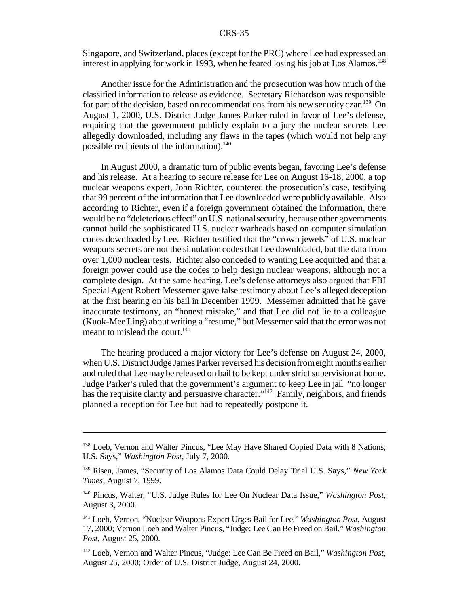Singapore, and Switzerland, places(except forthe PRC) where Lee had expressed an interest in applying for work in 1993, when he feared losing his job at Los Alamos.<sup>138</sup>

Another issue for the Administration and the prosecution was how much of the classified information to release as evidence. Secretary Richardson was responsible for part of the decision, based on recommendations from his new security czar.<sup>139</sup> On August 1, 2000, U.S. District Judge James Parker ruled in favor of Lee's defense, requiring that the government publicly explain to a jury the nuclear secrets Lee allegedly downloaded, including any flaws in the tapes (which would not help any possible recipients of the information).<sup>140</sup>

In August 2000, a dramatic turn of public events began, favoring Lee's defense and his release. At a hearing to secure release for Lee on August 16-18, 2000, a top nuclear weapons expert, John Richter, countered the prosecution's case, testifying that 99 percent ofthe information that Lee downloaded were publicly available. Also according to Richter, even if a foreign government obtained the information, there would be no "deleterious effect" on U.S. national security, because other governments cannot build the sophisticated U.S. nuclear warheads based on computer simulation codes downloaded by Lee. Richter testified that the "crown jewels" of U.S. nuclear weapons secrets are not the simulation codesthat Lee downloaded, but the data from over 1,000 nuclear tests. Richter also conceded to wanting Lee acquitted and that a foreign power could use the codes to help design nuclear weapons, although not a complete design. At the same hearing, Lee's defense attorneys also argued that FBI Special Agent Robert Messemer gave false testimony about Lee's alleged deception at the first hearing on his bail in December 1999. Messemer admitted that he gave inaccurate testimony, an "honest mistake," and that Lee did not lie to a colleague (Kuok-Mee Ling) about writing a "resume," but Messemersaid that the error was not meant to mislead the court.<sup>141</sup>

The hearing produced a major victory for Lee's defense on August 24, 2000, when U.S. District Judge James Parker reversed his decision from eight months earlier and ruled that Lee may be released on bail to be kept under strict supervision at home. Judge Parker's ruled that the government's argument to keep Lee in jail "no longer has the requisite clarity and persuasive character."<sup>142</sup> Family, neighbors, and friends planned a reception for Lee but had to repeatedly postpone it.

<sup>138</sup> Loeb, Vernon and Walter Pincus, "Lee May Have Shared Copied Data with 8 Nations, U.S. Says," *Washington Post*, July 7, 2000.

<sup>139</sup> Risen, James, "Security of Los Alamos Data Could Delay Trial U.S. Says," *New York Times*, August 7, 1999.

<sup>140</sup> Pincus, Walter, "U.S. Judge Rules for Lee On Nuclear Data Issue," *Washington Post*, August 3, 2000.

<sup>141</sup> Loeb, Vernon, "Nuclear Weapons Expert Urges Bail for Lee," *Washington Post*, August 17, 2000; Vernon Loeb and Walter Pincus, "Judge: Lee Can Be Freed on Bail," *Washington Post*, August 25, 2000.

<sup>142</sup> Loeb, Vernon and Walter Pincus, "Judge: Lee Can Be Freed on Bail," *Washington Post*, August 25, 2000; Order of U.S. District Judge, August 24, 2000.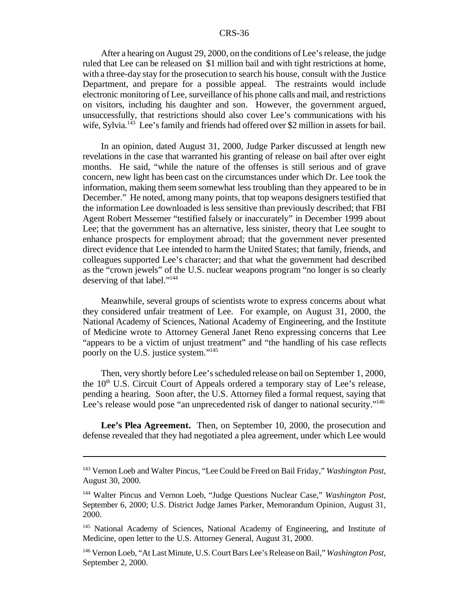After a hearing on August 29, 2000, on the conditions of Lee's release, the judge ruled that Lee can be released on \$1 million bail and with tight restrictions at home, with a three-day stay for the prosecution to search his house, consult with the Justice Department, and prepare for a possible appeal. The restraints would include electronic monitoring of Lee, surveillance of his phone calls and mail, and restrictions on visitors, including his daughter and son. However, the government argued, unsuccessfully, that restrictions should also cover Lee's communications with his wife, Sylvia.<sup>143</sup> Lee's family and friends had offered over \$2 million in assets for bail.

In an opinion, dated August 31, 2000, Judge Parker discussed at length new revelations in the case that warranted his granting of release on bail after over eight months. He said, "while the nature of the offenses is still serious and of grave concern, new light has been cast on the circumstances under which Dr. Lee took the information, making them seem somewhat less troubling than they appeared to be in December." He noted, among many points, that top weapons designers testified that the information Lee downloaded is less sensitive than previously described; that FBI Agent Robert Messemer "testified falsely or inaccurately" in December 1999 about Lee; that the government has an alternative, less sinister, theory that Lee sought to enhance prospects for employment abroad; that the government never presented direct evidence that Lee intended to harm the United States; that family, friends, and colleagues supported Lee's character; and that what the government had described as the "crown jewels" of the U.S. nuclear weapons program "no longer is so clearly deserving of that label."<sup>144</sup>

Meanwhile, several groups of scientists wrote to express concerns about what they considered unfair treatment of Lee. For example, on August 31, 2000, the National Academy of Sciences, National Academy of Engineering, and the Institute of Medicine wrote to Attorney General Janet Reno expressing concerns that Lee "appears to be a victim of unjust treatment" and "the handling of his case reflects poorly on the U.S. justice system."<sup>145</sup>

Then, very shortly before Lee'sscheduled release on bail on September 1, 2000, the  $10<sup>th</sup>$  U.S. Circuit Court of Appeals ordered a temporary stay of Lee's release, pending a hearing. Soon after, the U.S. Attorney filed a formal request, saying that Lee's release would pose "an unprecedented risk of danger to national security."<sup>146</sup>

**Lee's Plea Agreement.** Then, on September 10, 2000, the prosecution and defense revealed that they had negotiated a plea agreement, under which Lee would

<sup>143</sup> Vernon Loeb and Walter Pincus, "Lee Could be Freed on Bail Friday," *Washington Post*, August 30, 2000.

<sup>144</sup> Walter Pincus and Vernon Loeb, "Judge Questions Nuclear Case," *Washington Post*, September 6, 2000; U.S. District Judge James Parker, Memorandum Opinion, August 31, 2000.

<sup>&</sup>lt;sup>145</sup> National Academy of Sciences, National Academy of Engineering, and Institute of Medicine, open letter to the U.S. Attorney General, August 31, 2000.

<sup>146</sup> Vernon Loeb, "At Last Minute, U.S.CourtBars Lee'sReleaseonBail," *Washington Post*, September 2, 2000.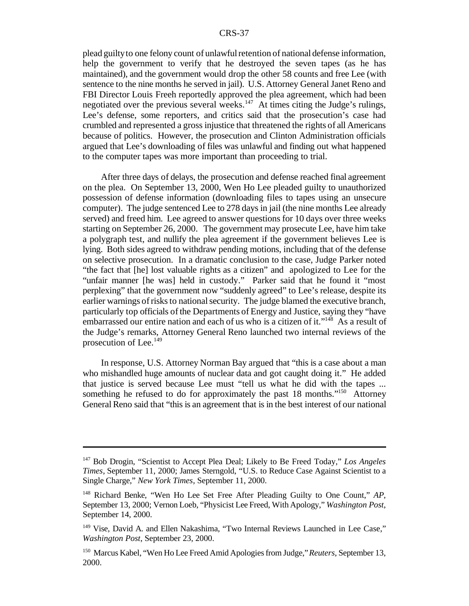plead guiltyto one felony count of unlawfulretention of national defense information, help the government to verify that he destroyed the seven tapes (as he has maintained), and the government would drop the other 58 counts and free Lee (with sentence to the nine months he served in jail). U.S. Attorney General Janet Reno and FBI Director Louis Freeh reportedly approved the plea agreement, which had been negotiated over the previous several weeks. $147$  At times citing the Judge's rulings, Lee's defense, some reporters, and critics said that the prosecution's case had crumbled and represented a gross injustice that threatened the rights of all Americans because of politics. However, the prosecution and Clinton Administration officials argued that Lee's downloading of files was unlawful and finding out what happened to the computer tapes was more important than proceeding to trial.

After three days of delays, the prosecution and defense reached final agreement on the plea. On September 13, 2000, Wen Ho Lee pleaded guilty to unauthorized possession of defense information (downloading files to tapes using an unsecure computer). The judge sentenced Lee to 278 days in jail (the nine months Lee already served) and freed him. Lee agreed to answer questions for 10 days over three weeks starting on September 26, 2000. The government may prosecute Lee, have him take a polygraph test, and nullify the plea agreement if the government believes Lee is lying. Both sides agreed to withdraw pending motions, including that of the defense on selective prosecution. In a dramatic conclusion to the case, Judge Parker noted "the fact that [he] lost valuable rights as a citizen" and apologized to Lee for the "unfair manner [he was] held in custody." Parker said that he found it "most perplexing" that the government now "suddenly agreed" to Lee's release, despite its earlier warnings of risks to national security. The judge blamed the executive branch, particularly top officials of the Departments of Energy and Justice, saying they "have embarrassed our entire nation and each of us who is a citizen of it."<sup>148</sup> As a result of the Judge's remarks, Attorney General Reno launched two internal reviews of the prosecution of Lee.<sup>149</sup>

In response, U.S. Attorney Norman Bay argued that "this is a case about a man who mishandled huge amounts of nuclear data and got caught doing it." He added that justice is served because Lee must "tell us what he did with the tapes ... something he refused to do for approximately the past 18 months."<sup>150</sup> Attorney General Reno said that "this is an agreement that is in the best interest of our national

<sup>147</sup> Bob Drogin, "Scientist to Accept Plea Deal; Likely to Be Freed Today," *Los Angeles Times*, September 11, 2000; James Sterngold, "U.S. to Reduce Case Against Scientist to a Single Charge," *New York Times*, September 11, 2000.

<sup>148</sup> Richard Benke, "Wen Ho Lee Set Free After Pleading Guilty to One Count," *AP*, September 13, 2000; Vernon Loeb, "Physicist Lee Freed, With Apology," *Washington Post*, September 14, 2000.

<sup>&</sup>lt;sup>149</sup> Vise, David A. and Ellen Nakashima, "Two Internal Reviews Launched in Lee Case," *Washington Post*, September 23, 2000.

<sup>150</sup> Marcus Kabel, "Wen Ho Lee Freed Amid Apologies from Judge," *Reuters*, September 13, 2000.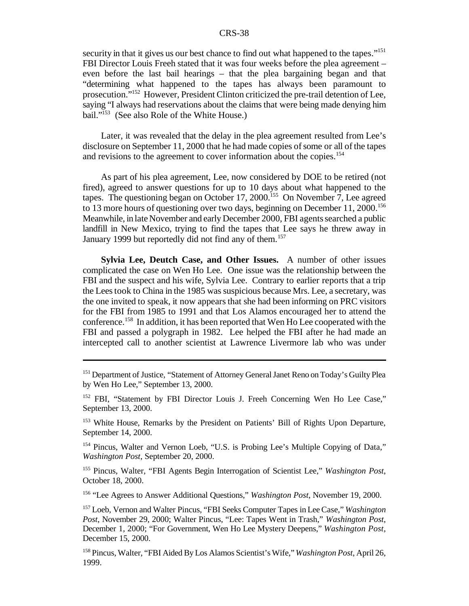security in that it gives us our best chance to find out what happened to the tapes."<sup>151</sup> FBI Director Louis Freeh stated that it was four weeks before the plea agreement – even before the last bail hearings – that the plea bargaining began and that "determining what happened to the tapes has always been paramount to prosecution."<sup>152</sup> However, President Clinton criticized the pre-trail detention of Lee, saying "I always had reservations about the claims that were being made denying him bail."<sup>153</sup> (See also Role of the White House.)

Later, it was revealed that the delay in the plea agreement resulted from Lee's disclosure on September 11, 2000 that he had made copies ofsome or all ofthe tapes and revisions to the agreement to cover information about the copies.<sup>154</sup>

As part of his plea agreement, Lee, now considered by DOE to be retired (not fired), agreed to answer questions for up to 10 days about what happened to the tapes. The questioning began on October 17, 2000.<sup>155</sup> On November 7, Lee agreed to 13 more hours of questioning over two days, beginning on December 11, 2000.<sup>156</sup> Meanwhile, in late November and early December 2000, FBI agents searched a public landfill in New Mexico, trying to find the tapes that Lee says he threw away in January 1999 but reportedly did not find any of them.<sup>157</sup>

**Sylvia Lee, Deutch Case, and Other Issues.** A number of other issues complicated the case on Wen Ho Lee. One issue was the relationship between the FBI and the suspect and his wife, Sylvia Lee. Contrary to earlier reports that a trip the Leestook to China in the 1985 was suspicious because Mrs. Lee, a secretary, was the one invited to speak, it now appears that she had been informing on PRC visitors for the FBI from 1985 to 1991 and that Los Alamos encouraged her to attend the conference.<sup>158</sup> In addition, it has been reported that Wen Ho Lee cooperated with the FBI and passed a polygraph in 1982. Lee helped the FBI after he had made an intercepted call to another scientist at Lawrence Livermore lab who was under

<sup>153</sup> White House, Remarks by the President on Patients' Bill of Rights Upon Departure, September 14, 2000.

<sup>154</sup> Pincus, Walter and Vernon Loeb, "U.S. is Probing Lee's Multiple Copying of Data," *Washington Post*, September 20, 2000.

<sup>155</sup> Pincus, Walter, "FBI Agents Begin Interrogation of Scientist Lee," *Washington Post*, October 18, 2000.

<sup>156</sup> "Lee Agrees to Answer Additional Questions," *Washington Post*, November 19, 2000.

<sup>157</sup> Loeb, Vernon and Walter Pincus, "FBI Seeks Computer Tapes in Lee Case," *Washington Post*, November 29, 2000; Walter Pincus, "Lee: Tapes Went in Trash," *Washington Post*, December 1, 2000; "For Government, Wen Ho Lee Mystery Deepens," *Washington Post*, December 15, 2000.

<sup>158</sup> Pincus, Walter, "FBI Aided By Los Alamos Scientist's Wife," *Washington Post*, April 26, 1999.

<sup>&</sup>lt;sup>151</sup> Department of Justice, "Statement of Attorney General Janet Reno on Today's Guilty Plea by Wen Ho Lee," September 13, 2000.

<sup>&</sup>lt;sup>152</sup> FBI, "Statement by FBI Director Louis J. Freeh Concerning Wen Ho Lee Case," September 13, 2000.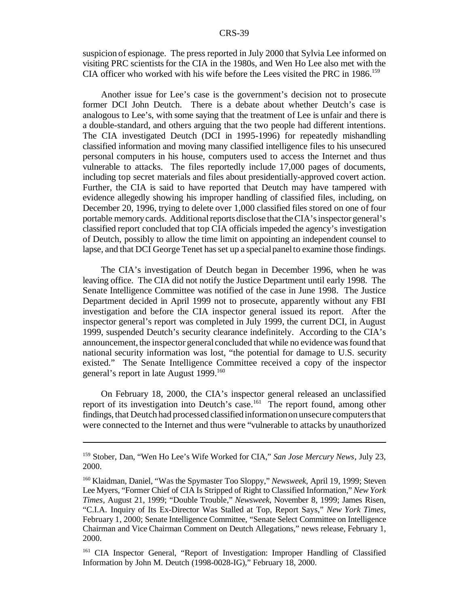suspicion of espionage. The press reported in July 2000 that Sylvia Lee informed on visiting PRC scientists for the CIA in the 1980s, and Wen Ho Lee also met with the CIA officer who worked with his wife before the Lees visited the PRC in  $1986$ <sup>159</sup>

Another issue for Lee's case is the government's decision not to prosecute former DCI John Deutch. There is a debate about whether Deutch's case is analogous to Lee's, with some saying that the treatment of Lee is unfair and there is a double-standard, and others arguing that the two people had different intentions. The CIA investigated Deutch (DCI in 1995-1996) for repeatedly mishandling classified information and moving many classified intelligence files to his unsecured personal computers in his house, computers used to access the Internet and thus vulnerable to attacks. The files reportedly include 17,000 pages of documents, including top secret materials and files about presidentially-approved covert action. Further, the CIA is said to have reported that Deutch may have tampered with evidence allegedly showing his improper handling of classified files, including, on December 20, 1996, trying to delete over 1,000 classified files stored on one of four portable memorycards. Additional reports disclose that the CIA's inspector general's classified report concluded that top CIA officials impeded the agency's investigation of Deutch, possibly to allow the time limit on appointing an independent counsel to lapse, and that DCI George Tenet has set up a special panel to examine those findings.

The CIA's investigation of Deutch began in December 1996, when he was leaving office. The CIA did not notify the Justice Department until early 1998. The Senate Intelligence Committee was notified of the case in June 1998. The Justice Department decided in April 1999 not to prosecute, apparently without any FBI investigation and before the CIA inspector general issued its report. After the inspector general's report was completed in July 1999, the current DCI, in August 1999, suspended Deutch's security clearance indefinitely. According to the CIA's announcement, the inspector general concluded that while no evidence was found that national security information was lost, "the potential for damage to U.S. security existed." The Senate Intelligence Committee received a copy of the inspector general's report in late August 1999.<sup>160</sup>

On February 18, 2000, the CIA's inspector general released an unclassified report of its investigation into Deutch's case.<sup>161</sup> The report found, among other findings, that Deutch had processed classifiedinformationonunsecure computersthat were connected to the Internet and thus were "vulnerable to attacks by unauthorized

<sup>159</sup> Stober, Dan, "Wen Ho Lee's Wife Worked for CIA," *San Jose Mercury News*, July 23, 2000.

<sup>160</sup> Klaidman, Daniel, "Was the Spymaster Too Sloppy," *Newsweek*, April 19, 1999; Steven Lee Myers, "Former Chief of CIA Is Stripped of Right to Classified Information," *New York Times*, August 21, 1999; "Double Trouble," *Newsweek*, November 8, 1999; James Risen, "C.I.A. Inquiry of Its Ex-Director Was Stalled at Top, Report Says," *New York Times*, February 1, 2000; Senate Intelligence Committee, "Senate Select Committee on Intelligence Chairman and Vice Chairman Comment on Deutch Allegations," news release, February 1, 2000.

<sup>161</sup> CIA Inspector General, "Report of Investigation: Improper Handling of Classified Information by John M. Deutch (1998-0028-IG)," February 18, 2000.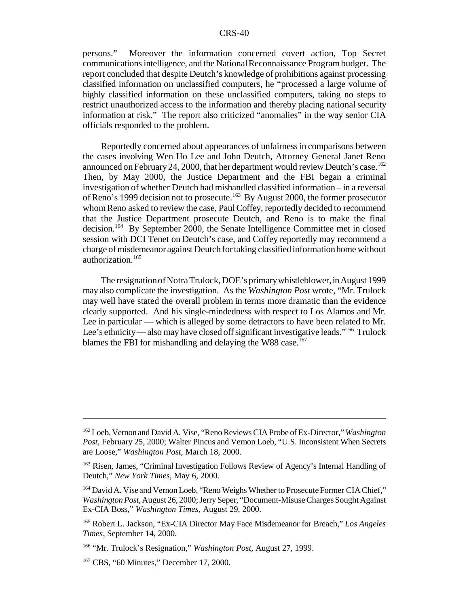persons." Moreover the information concerned covert action, Top Secret communications intelligence, and the National Reconnaissance Program budget. The report concluded that despite Deutch's knowledge of prohibitions against processing classified information on unclassified computers, he "processed a large volume of highly classified information on these unclassified computers, taking no steps to restrict unauthorized access to the information and thereby placing national security information at risk." The report also criticized "anomalies" in the way senior CIA officials responded to the problem.

Reportedly concerned about appearances of unfairness in comparisons between the cases involving Wen Ho Lee and John Deutch, Attorney General Janet Reno announced on February 24, 2000, that her department would review Deutch's case.<sup>162</sup> Then, by May 2000, the Justice Department and the FBI began a criminal investigation of whether Deutch had mishandled classified information – in a reversal of Reno's 1999 decision not to prosecute.<sup>163</sup> By August 2000, the former prosecutor whom Reno asked to review the case, Paul Coffey, reportedly decided to recommend that the Justice Department prosecute Deutch, and Reno is to make the final decision.<sup>164</sup> By September 2000, the Senate Intelligence Committee met in closed session with DCI Tenet on Deutch's case, and Coffey reportedly may recommend a charge of misdemeanor against Deutch for taking classified information home without authorization.<sup>165</sup>

The resignation of Notra Trulock, DOE's primary whistleblower, in August 1999 may also complicate the investigation. As the *Washington Post* wrote, "Mr. Trulock may well have stated the overall problem in terms more dramatic than the evidence clearly supported. And his single-mindedness with respect to Los Alamos and Mr. Lee in particular — which is alleged by some detractors to have been related to Mr. Lee's ethnicity—also may have closed off significant investigative leads."<sup>166</sup> Trulock blames the FBI for mishandling and delaying the W88 case.<sup>167</sup>

<sup>162</sup>Loeb,Vernon and David A. Vise, "RenoReviews CIA Probe of Ex-Director,"*Washington Post*, February 25, 2000; Walter Pincus and Vernon Loeb, "U.S. Inconsistent When Secrets are Loose," *Washington Post*, March 18, 2000.

<sup>&</sup>lt;sup>163</sup> Risen, James, "Criminal Investigation Follows Review of Agency's Internal Handling of Deutch," *New York Times*, May 6, 2000.

<sup>&</sup>lt;sup>164</sup> David A. Vise and Vernon Loeb, "Reno Weighs Whether to Prosecute Former CIA Chief," *Washington Post*, August 26, 2000; Jerry Seper, "Document-Misuse Charges Sought Against Ex-CIA Boss," *Washington Times*, August 29, 2000.

<sup>165</sup> Robert L. Jackson, "Ex-CIA Director May Face Misdemeanor for Breach," *Los Angeles Times*, September 14, 2000.

<sup>166</sup> "Mr. Trulock's Resignation," *Washington Post*, August 27, 1999.

<sup>167</sup> CBS, "60 Minutes," December 17, 2000.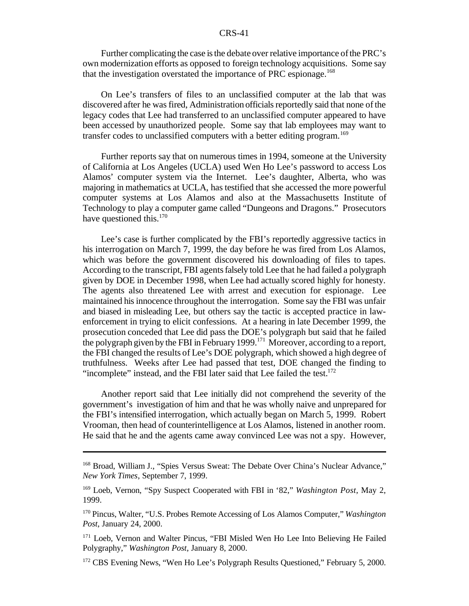Further complicating the case is the debate over relative importance of the PRC's own modernization efforts as opposed to foreign technology acquisitions. Some say that the investigation overstated the importance of PRC espionage.<sup>168</sup>

On Lee's transfers of files to an unclassified computer at the lab that was discovered after he was fired, Administration officials reportedly said that none of the legacy codes that Lee had transferred to an unclassified computer appeared to have been accessed by unauthorized people. Some say that lab employees may want to transfer codes to unclassified computers with a better editing program.<sup>169</sup>

Further reports say that on numerous times in 1994, someone at the University of California at Los Angeles (UCLA) used Wen Ho Lee's password to access Los Alamos' computer system via the Internet. Lee's daughter, Alberta, who was majoring in mathematics at UCLA, has testified that she accessed the more powerful computer systems at Los Alamos and also at the Massachusetts Institute of Technology to play a computer game called "Dungeons and Dragons." Prosecutors have questioned this. $170$ 

Lee's case is further complicated by the FBI's reportedly aggressive tactics in his interrogation on March 7, 1999, the day before he was fired from Los Alamos, which was before the government discovered his downloading of files to tapes. According to the transcript, FBI agentsfalsely told Lee that he had failed a polygraph given by DOE in December 1998, when Lee had actually scored highly for honesty. The agents also threatened Lee with arrest and execution for espionage. Lee maintained hisinnocence throughout the interrogation. Some say the FBI was unfair and biased in misleading Lee, but others say the tactic is accepted practice in lawenforcement in trying to elicit confessions. At a hearing in late December 1999, the prosecution conceded that Lee did pass the DOE's polygraph but said that he failed the polygraph given by the FBI in February 1999.<sup>171</sup> Moreover, according to a report, the FBI changed the results of Lee's DOE polygraph, which showed a high degree of truthfulness. Weeks after Lee had passed that test, DOE changed the finding to "incomplete" instead, and the FBI later said that Lee failed the test.<sup>172</sup>

Another report said that Lee initially did not comprehend the severity of the government's investigation of him and that he was wholly naive and unprepared for the FBI's intensified interrogation, which actually began on March 5, 1999. Robert Vrooman, then head of counterintelligence at Los Alamos, listened in another room. He said that he and the agents came away convinced Lee was not a spy. However,

<sup>168</sup> Broad, William J., "Spies Versus Sweat: The Debate Over China's Nuclear Advance," *New York Times*, September 7, 1999.

<sup>169</sup> Loeb, Vernon, "Spy Suspect Cooperated with FBI in '82," *Washington Post*, May 2, 1999.

<sup>170</sup> Pincus, Walter, "U.S. Probes Remote Accessing of Los Alamos Computer," *Washington Post*, January 24, 2000.

<sup>&</sup>lt;sup>171</sup> Loeb, Vernon and Walter Pincus, "FBI Misled Wen Ho Lee Into Believing He Failed Polygraphy," *Washington Post*, January 8, 2000.

<sup>&</sup>lt;sup>172</sup> CBS Evening News, "Wen Ho Lee's Polygraph Results Questioned," February 5, 2000.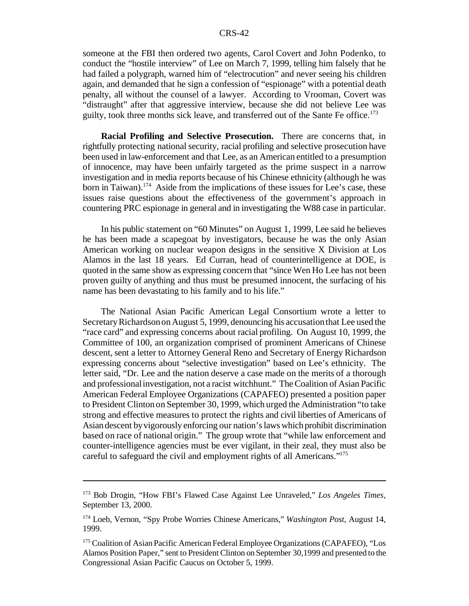someone at the FBI then ordered two agents, Carol Covert and John Podenko, to conduct the "hostile interview" of Lee on March 7, 1999, telling him falsely that he had failed a polygraph, warned him of "electrocution" and never seeing his children again, and demanded that he sign a confession of "espionage" with a potential death penalty, all without the counsel of a lawyer. According to Vrooman, Covert was "distraught" after that aggressive interview, because she did not believe Lee was guilty, took three months sick leave, and transferred out of the Sante Fe office.<sup>173</sup>

**Racial Profiling and Selective Prosecution.** There are concerns that, in rightfully protecting national security, racial profiling and selective prosecution have been used in law-enforcement and that Lee, as an American entitled to a presumption of innocence, may have been unfairly targeted as the prime suspect in a narrow investigation and in media reports because of his Chinese ethnicity (although he was born in Taiwan).<sup>174</sup> Aside from the implications of these issues for Lee's case, these issues raise questions about the effectiveness of the government's approach in countering PRC espionage in general and in investigating the W88 case in particular.

In his public statement on "60 Minutes" on August 1, 1999, Lee said he believes he has been made a scapegoat by investigators, because he was the only Asian American working on nuclear weapon designs in the sensitive X Division at Los Alamos in the last 18 years. Ed Curran, head of counterintelligence at DOE, is quoted in the same show as expressing concern that "since Wen Ho Lee has not been proven guilty of anything and thus must be presumed innocent, the surfacing of his name has been devastating to his family and to his life."

The National Asian Pacific American Legal Consortium wrote a letter to SecretaryRichardsononAugust 5, 1999, denouncing his accusationthat Lee used the "race card" and expressing concerns about racial profiling. On August 10, 1999, the Committee of 100, an organization comprised of prominent Americans of Chinese descent, sent a letter to Attorney General Reno and Secretary of Energy Richardson expressing concerns about "selective investigation" based on Lee's ethnicity. The letter said, "Dr. Lee and the nation deserve a case made on the merits of a thorough and professionalinvestigation, not a racist witchhunt." The Coalition of Asian Pacific American Federal Employee Organizations (CAPAFEO) presented a position paper to President Clinton on September 30, 1999, which urged the Administration "to take strong and effective measures to protect the rights and civil liberties of Americans of Asian descent byvigorously enforcing our nation'slaws which prohibit discrimination based on race of national origin." The group wrote that "while law enforcement and counter-intelligence agencies must be ever vigilant, in their zeal, they must also be careful to safeguard the civil and employment rights of all Americans."175

<sup>173</sup> Bob Drogin, "How FBI's Flawed Case Against Lee Unraveled," *Los Angeles Times*, September 13, 2000.

<sup>174</sup> Loeb, Vernon, "Spy Probe Worries Chinese Americans," *Washington Post*, August 14, 1999.

<sup>&</sup>lt;sup>175</sup> Coalition of Asian Pacific American Federal Employee Organizations (CAPAFEO), "Los Alamos Position Paper," sent to President Clinton on September 30,1999 and presented to the Congressional Asian Pacific Caucus on October 5, 1999.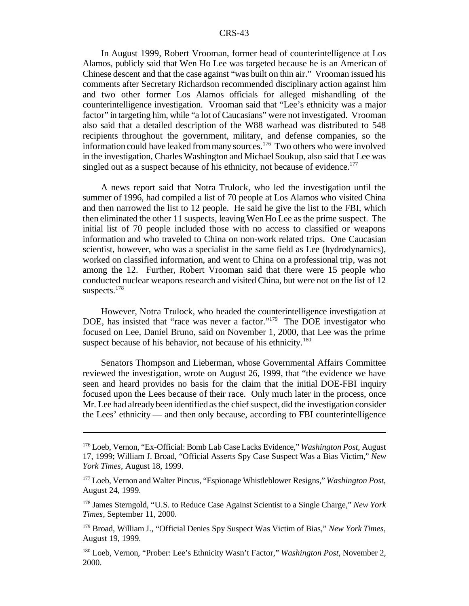In August 1999, Robert Vrooman, former head of counterintelligence at Los Alamos, publicly said that Wen Ho Lee was targeted because he is an American of Chinese descent and that the case against "was built on thin air." Vrooman issued his comments after Secretary Richardson recommended disciplinary action against him and two other former Los Alamos officials for alleged mishandling of the counterintelligence investigation. Vrooman said that "Lee's ethnicity was a major factor" in targeting him, while "a lot of Caucasians" were not investigated. Vrooman also said that a detailed description of the W88 warhead was distributed to 548 recipients throughout the government, military, and defense companies, so the information could have leaked frommany sources.<sup>176</sup> Two others who were involved in the investigation, Charles Washington and Michael Soukup, also said that Lee was singled out as a suspect because of his ethnicity, not because of evidence.<sup>177</sup>

A news report said that Notra Trulock, who led the investigation until the summer of 1996, had compiled a list of 70 people at Los Alamos who visited China and then narrowed the list to 12 people. He said he give the list to the FBI, which then eliminated the other 11 suspects, leaving Wen Ho Lee asthe prime suspect. The initial list of 70 people included those with no access to classified or weapons information and who traveled to China on non-work related trips. One Caucasian scientist, however, who was a specialist in the same field as Lee (hydrodynamics), worked on classified information, and went to China on a professional trip, was not among the 12. Further, Robert Vrooman said that there were 15 people who conducted nuclear weapons research and visited China, but were not on the list of 12 suspects.<sup>178</sup>

However, Notra Trulock, who headed the counterintelligence investigation at DOE, has insisted that "race was never a factor."<sup>179</sup> The DOE investigator who focused on Lee, Daniel Bruno, said on November 1, 2000, that Lee was the prime suspect because of his behavior, not because of his ethnicity.<sup>180</sup>

Senators Thompson and Lieberman, whose Governmental Affairs Committee reviewed the investigation, wrote on August 26, 1999, that "the evidence we have seen and heard provides no basis for the claim that the initial DOE-FBI inquiry focused upon the Lees because of their race. Only much later in the process, once Mr. Lee had already been identified as the chief suspect, did the investigation consider the Lees' ethnicity — and then only because, according to FBI counterintelligence

<sup>176</sup> Loeb, Vernon, "Ex-Official: Bomb Lab Case Lacks Evidence," *Washington Post*, August 17, 1999; William J. Broad, "Official Asserts Spy Case Suspect Was a Bias Victim," *New York Times*, August 18, 1999.

<sup>177</sup> Loeb, Vernon and Walter Pincus, "Espionage Whistleblower Resigns," *Washington Post*, August 24, 1999.

<sup>178</sup> James Sterngold, "U.S. to Reduce Case Against Scientist to a Single Charge," *New York Times*, September 11, 2000.

<sup>179</sup> Broad, William J., "Official Denies Spy Suspect Was Victim of Bias," *New York Times*, August 19, 1999.

<sup>180</sup> Loeb, Vernon, "Prober: Lee's Ethnicity Wasn't Factor," *Washington Post*, November 2, 2000.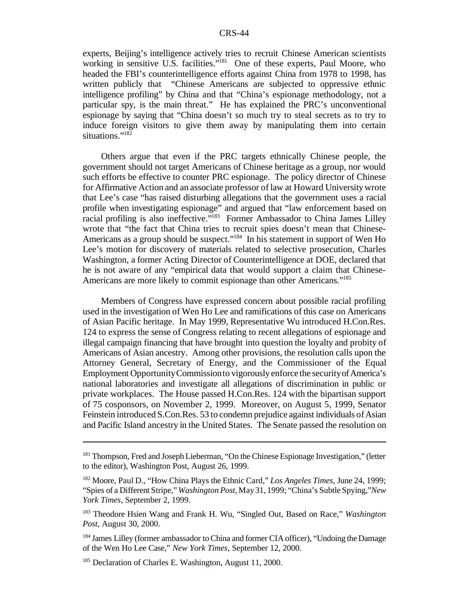experts, Beijing's intelligence actively tries to recruit Chinese American scientists working in sensitive U.S. facilities."<sup>181</sup> One of these experts, Paul Moore, who headed the FBI's counterintelligence efforts against China from 1978 to 1998, has written publicly that "Chinese Americans are subjected to oppressive ethnic intelligence profiling" by China and that "China's espionage methodology, not a particular spy, is the main threat." He has explained the PRC's unconventional espionage by saying that "China doesn't so much try to steal secrets as to try to induce foreign visitors to give them away by manipulating them into certain situations."<sup>182</sup>

Others argue that even if the PRC targets ethnically Chinese people, the government should not target Americans of Chinese heritage as a group, nor would such efforts be effective to counter PRC espionage. The policy director of Chinese for Affirmative Action and an associate professor of law at Howard University wrote that Lee's case "has raised disturbing allegations that the government uses a racial profile when investigating espionage" and argued that "law enforcement based on racial profiling is also ineffective."<sup>183</sup> Former Ambassador to China James Lilley wrote that "the fact that China tries to recruit spies doesn't mean that Chinese-Americans as a group should be suspect."<sup>184</sup> In his statement in support of Wen Ho Lee's motion for discovery of materials related to selective prosecution, Charles Washington, a former Acting Director of Counterintelligence at DOE, declared that he is not aware of any "empirical data that would support a claim that Chinese-Americans are more likely to commit espionage than other Americans."<sup>185</sup>

Members of Congress have expressed concern about possible racial profiling used in the investigation of Wen Ho Lee and ramifications of this case on Americans of Asian Pacific heritage. In May 1999, Representative Wu introduced H.Con.Res. 124 to express the sense of Congress relating to recent allegations of espionage and illegal campaign financing that have brought into question the loyalty and probity of Americans of Asian ancestry. Among other provisions, the resolution calls upon the Attorney General, Secretary of Energy, and the Commissioner of the Equal Employment OpportunityCommissionto vigorously enforce the security of America's national laboratories and investigate all allegations of discrimination in public or private workplaces. The House passed H.Con.Res. 124 with the bipartisan support of 75 cosponsors, on November 2, 1999. Moreover, on August 5, 1999, Senator Feinstein introduced S.Con.Res. 53 to condemn prejudice against individuals of Asian and Pacific Island ancestry in the United States. The Senate passed the resolution on

<sup>&</sup>lt;sup>181</sup> Thompson, Fred and Joseph Lieberman, "On the Chinese Espionage Investigation," (letter to the editor), Washington Post, August 26, 1999.

<sup>182</sup> Moore, Paul D., "How China Plays the Ethnic Card," *Los Angeles Times*, June 24, 1999; "Spies of a Different Stripe,"*Washington Post*, May31, 1999; "China's Subtle Spying,"*New York Times*, September 2, 1999.

<sup>183</sup> Theodore Hsien Wang and Frank H. Wu, "Singled Out, Based on Race," *Washington Post*, August 30, 2000.

<sup>&</sup>lt;sup>184</sup> James Lilley (former ambassador to China and former CIA officer), "Undoing the Damage of the Wen Ho Lee Case," *New York Times*, September 12, 2000.

<sup>&</sup>lt;sup>185</sup> Declaration of Charles E. Washington, August 11, 2000.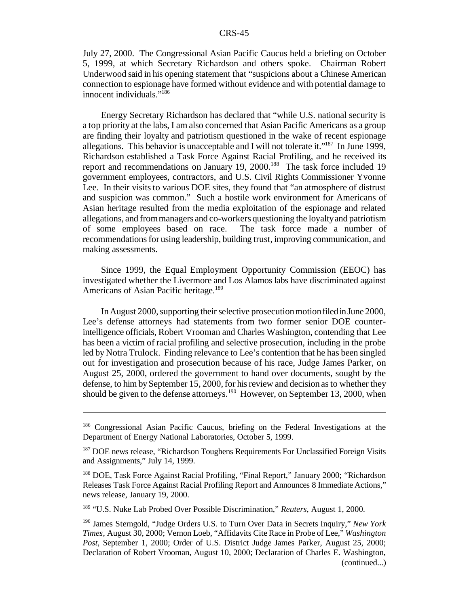July 27, 2000. The Congressional Asian Pacific Caucus held a briefing on October 5, 1999, at which Secretary Richardson and others spoke. Chairman Robert Underwood said in his opening statement that "suspicions about a Chinese American connection to espionage have formed without evidence and with potential damage to innocent individuals."<sup>186</sup>

Energy Secretary Richardson has declared that "while U.S. national security is a top priority at the labs, I am also concerned that Asian Pacific Americans as a group are finding their loyalty and patriotism questioned in the wake of recent espionage allegations. This behavior is unacceptable and I will not tolerate it."<sup>187</sup> In June 1999, Richardson established a Task Force Against Racial Profiling, and he received its report and recommendations on January 19, 2000.<sup>188</sup> The task force included 19 government employees, contractors, and U.S. Civil Rights Commissioner Yvonne Lee. In their visits to various DOE sites, they found that "an atmosphere of distrust" and suspicion was common." Such a hostile work environment for Americans of Asian heritage resulted from the media exploitation of the espionage and related allegations, and frommanagers and co-workers questioning the loyaltyand patriotism of some employees based on race. The task force made a number of recommendations for using leadership, building trust, improving communication, and making assessments.

Since 1999, the Equal Employment Opportunity Commission (EEOC) has investigated whether the Livermore and Los Alamoslabs have discriminated against Americans of Asian Pacific heritage.<sup>189</sup>

In August 2000, supporting their selective prosecution motion filed in June 2000, Lee's defense attorneys had statements from two former senior DOE counterintelligence officials, Robert Vrooman and Charles Washington, contending that Lee has been a victim of racial profiling and selective prosecution, including in the probe led by Notra Trulock. Finding relevance to Lee's contention that he has been singled out for investigation and prosecution because of his race, Judge James Parker, on August 25, 2000, ordered the government to hand over documents, sought by the defense, to him by September 15, 2000, for his review and decision as to whether they should be given to the defense attorneys.<sup>190</sup> However, on September 13, 2000, when

<sup>189</sup> "U.S. Nuke Lab Probed Over Possible Discrimination," *Reuters*, August 1, 2000.

<sup>186</sup> Congressional Asian Pacific Caucus, briefing on the Federal Investigations at the Department of Energy National Laboratories, October 5, 1999.

<sup>&</sup>lt;sup>187</sup> DOE news release, "Richardson Toughens Requirements For Unclassified Foreign Visits and Assignments," July 14, 1999.

<sup>&</sup>lt;sup>188</sup> DOE, Task Force Against Racial Profiling, "Final Report," January 2000; "Richardson Releases Task Force Against Racial Profiling Report and Announces 8 Immediate Actions," news release, January 19, 2000.

<sup>190</sup> James Sterngold, "Judge Orders U.S. to Turn Over Data in Secrets Inquiry," *New York Times*, August 30, 2000; Vernon Loeb, "Affidavits Cite Race in Probe of Lee," *Washington Post*, September 1, 2000; Order of U.S. District Judge James Parker, August 25, 2000; Declaration of Robert Vrooman, August 10, 2000; Declaration of Charles E. Washington, (continued...)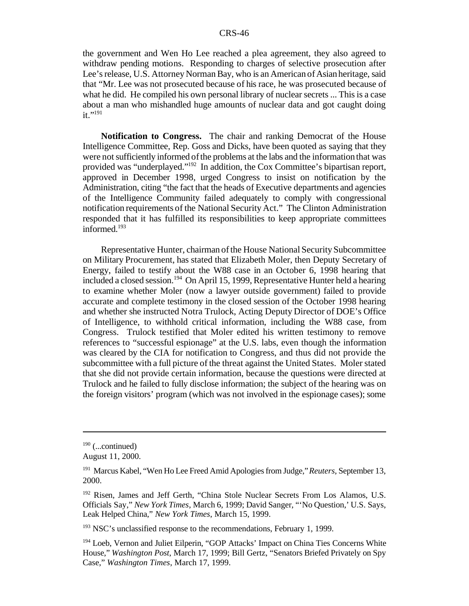the government and Wen Ho Lee reached a plea agreement, they also agreed to withdraw pending motions. Responding to charges of selective prosecution after Lee's release, U.S. Attorney Norman Bay, who is an American of Asian heritage, said that "Mr. Lee was not prosecuted because of his race, he was prosecuted because of what he did. He compiled his own personal library of nuclear secrets ... This is a case about a man who mishandled huge amounts of nuclear data and got caught doing  $it.$ "<sup>191</sup>

**Notification to Congress.** The chair and ranking Democrat of the House Intelligence Committee, Rep. Goss and Dicks, have been quoted as saying that they were not sufficiently informed of the problems at the labs and the information that was provided was "underplayed."<sup>192</sup> In addition, the Cox Committee's bipartisan report, approved in December 1998, urged Congress to insist on notification by the Administration, citing "the fact that the heads of Executive departments and agencies of the Intelligence Community failed adequately to comply with congressional notification requirements of the National Security Act." The Clinton Administration responded that it has fulfilled its responsibilities to keep appropriate committees informed.<sup>193</sup>

Representative Hunter, chairman of the House National Security Subcommittee on Military Procurement, has stated that Elizabeth Moler, then Deputy Secretary of Energy, failed to testify about the W88 case in an October 6, 1998 hearing that included a closed session.<sup>194</sup> On April 15, 1999, Representative Hunter held a hearing to examine whether Moler (now a lawyer outside government) failed to provide accurate and complete testimony in the closed session of the October 1998 hearing and whether she instructed Notra Trulock, Acting Deputy Director of DOE's Office of Intelligence, to withhold critical information, including the W88 case, from Congress. Trulock testified that Moler edited his written testimony to remove references to "successful espionage" at the U.S. labs, even though the information was cleared by the CIA for notification to Congress, and thus did not provide the subcommittee with a full picture of the threat against the United States. Moler stated that she did not provide certain information, because the questions were directed at Trulock and he failed to fully disclose information; the subject of the hearing was on the foreign visitors' program (which was not involved in the espionage cases); some

 $193$  NSC's unclassified response to the recommendations, February 1, 1999.

 $190$  (...continued)

August 11, 2000.

<sup>191</sup> Marcus Kabel, "Wen Ho Lee Freed Amid Apologies from Judge," *Reuters*, September 13, 2000.

<sup>&</sup>lt;sup>192</sup> Risen, James and Jeff Gerth, "China Stole Nuclear Secrets From Los Alamos, U.S. Officials Say," *New York Times*, March 6, 1999; David Sanger, "'No Question,' U.S. Says, Leak Helped China," *New York Times*, March 15, 1999.

<sup>&</sup>lt;sup>194</sup> Loeb, Vernon and Juliet Eilperin, "GOP Attacks' Impact on China Ties Concerns White House," *Washington Post*, March 17, 1999; Bill Gertz, "Senators Briefed Privately on Spy Case," *Washington Times*, March 17, 1999.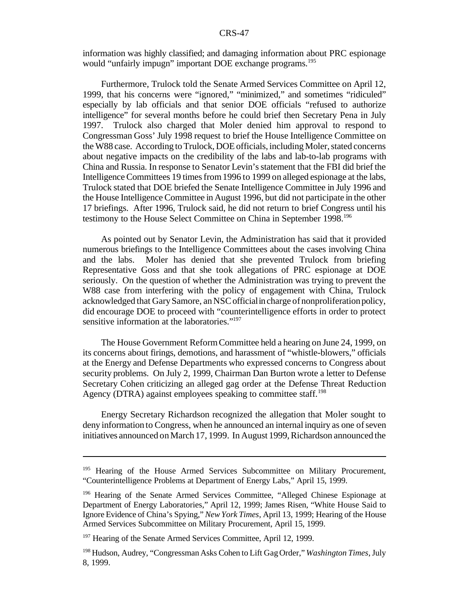information was highly classified; and damaging information about PRC espionage would "unfairly impugn" important DOE exchange programs.<sup>195</sup>

Furthermore, Trulock told the Senate Armed Services Committee on April 12, 1999, that his concerns were "ignored," "minimized," and sometimes "ridiculed" especially by lab officials and that senior DOE officials "refused to authorize intelligence" for several months before he could brief then Secretary Pena in July 1997. Trulock also charged that Moler denied him approval to respond to Congressman Goss' July 1998 request to brief the House Intelligence Committee on the W88 case. According to Trulock, DOE officials, including Moler, stated concerns about negative impacts on the credibility of the labs and lab-to-lab programs with China and Russia. In response to Senator Levin'sstatement that the FBI did brief the Intelligence Committees 19 times from 1996 to 1999 on alleged espionage at the labs, Trulock stated that DOE briefed the Senate Intelligence Committee in July 1996 and the House Intelligence Committee in August 1996, but did not participate in the other 17 briefings. After 1996, Trulock said, he did not return to brief Congress until his testimony to the House Select Committee on China in September 1998.<sup>196</sup>

As pointed out by Senator Levin, the Administration has said that it provided numerous briefings to the Intelligence Committees about the cases involving China and the labs. Moler has denied that she prevented Trulock from briefing Representative Goss and that she took allegations of PRC espionage at DOE seriously. On the question of whether the Administration was trying to prevent the W88 case from interfering with the policy of engagement with China, Trulock acknowledged that GarySamore, anNSCofficialincharge ofnonproliferationpolicy, did encourage DOE to proceed with "counterintelligence efforts in order to protect sensitive information at the laboratories."<sup>197</sup>

The House Government ReformCommittee held a hearing on June 24, 1999, on its concerns about firings, demotions, and harassment of "whistle-blowers," officials at the Energy and Defense Departments who expressed concerns to Congress about security problems. On July 2, 1999, Chairman Dan Burton wrote a letter to Defense Secretary Cohen criticizing an alleged gag order at the Defense Threat Reduction Agency (DTRA) against employees speaking to committee staff.<sup>198</sup>

Energy Secretary Richardson recognized the allegation that Moler sought to deny information to Congress, when he announced an internal inquiry as one of seven initiatives announced onMarch 17, 1999. In August 1999, Richardson announced the

<sup>&</sup>lt;sup>195</sup> Hearing of the House Armed Services Subcommittee on Military Procurement, "Counterintelligence Problems at Department of Energy Labs," April 15, 1999.

<sup>196</sup> Hearing of the Senate Armed Services Committee, "Alleged Chinese Espionage at Department of Energy Laboratories," April 12, 1999; James Risen, "White House Said to Ignore Evidence of China's Spying," *New York Times*, April 13, 1999; Hearing of the House Armed Services Subcommittee on Military Procurement, April 15, 1999.

<sup>&</sup>lt;sup>197</sup> Hearing of the Senate Armed Services Committee, April 12, 1999.

<sup>198</sup> Hudson, Audrey, "Congressman Asks Cohen to Lift GagOrder," *Washington Times*,July 8, 1999.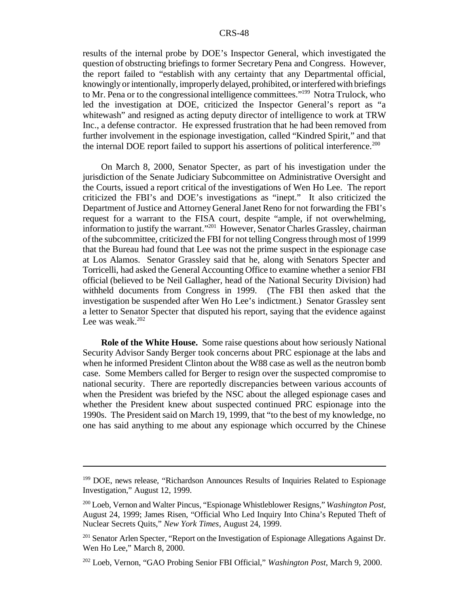results of the internal probe by DOE's Inspector General, which investigated the question of obstructing briefings to former Secretary Pena and Congress. However, the report failed to "establish with any certainty that any Departmental official, knowinglyorintentionally, improperly delayed, prohibited, or interfered with briefings to Mr. Pena or to the congressional intelligence committees."<sup>199</sup> Notra Trulock, who led the investigation at DOE, criticized the Inspector General's report as "a whitewash" and resigned as acting deputy director of intelligence to work at TRW Inc., a defense contractor. He expressed frustration that he had been removed from further involvement in the espionage investigation, called "Kindred Spirit," and that the internal DOE report failed to support his assertions of political interference.<sup>200</sup>

On March 8, 2000, Senator Specter, as part of his investigation under the jurisdiction of the Senate Judiciary Subcommittee on Administrative Oversight and the Courts, issued a report critical of the investigations of Wen Ho Lee. The report criticized the FBI's and DOE's investigations as "inept." It also criticized the Department of Justice and Attorney General Janet Reno for not forwarding the FBI's request for a warrant to the FISA court, despite "ample, if not overwhelming, information to justify the warrant."<sup>201</sup> However, Senator Charles Grassley, chairman ofthe subcommittee, criticized the FBI for not telling Congressthrough most of 1999 that the Bureau had found that Lee was not the prime suspect in the espionage case at Los Alamos. Senator Grassley said that he, along with Senators Specter and Torricelli, had asked the General Accounting Office to examine whether a senior FBI official (believed to be Neil Gallagher, head of the National Security Division) had withheld documents from Congress in 1999. (The FBI then asked that the investigation be suspended after Wen Ho Lee's indictment.) Senator Grassley sent a letter to Senator Specter that disputed his report, saying that the evidence against Lee was weak.<sup>202</sup>

**Role of the White House.** Some raise questions about how seriously National Security Advisor Sandy Berger took concerns about PRC espionage at the labs and when he informed President Clinton about the W88 case as well asthe neutron bomb case. Some Members called for Berger to resign over the suspected compromise to national security. There are reportedly discrepancies between various accounts of when the President was briefed by the NSC about the alleged espionage cases and whether the President knew about suspected continued PRC espionage into the 1990s. The President said on March 19, 1999, that "to the best of my knowledge, no one has said anything to me about any espionage which occurred by the Chinese

<sup>&</sup>lt;sup>199</sup> DOE, news release, "Richardson Announces Results of Inquiries Related to Espionage Investigation," August 12, 1999.

<sup>200</sup> Loeb, Vernon and Walter Pincus, "Espionage Whistleblower Resigns," *Washington Post*, August 24, 1999; James Risen, "Official Who Led Inquiry Into China's Reputed Theft of Nuclear Secrets Quits," *New York Times*, August 24, 1999.

<sup>&</sup>lt;sup>201</sup> Senator Arlen Specter, "Report on the Investigation of Espionage Allegations Against Dr. Wen Ho Lee," March 8, 2000.

<sup>202</sup> Loeb, Vernon, "GAO Probing Senior FBI Official," *Washington Post*, March 9, 2000.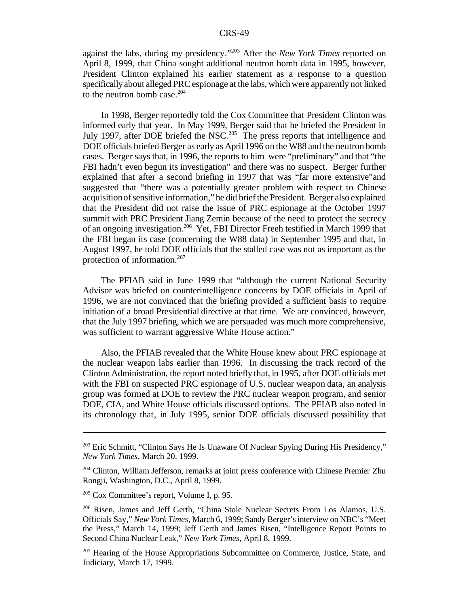against the labs, during my presidency."<sup>203</sup> After the *New York Times* reported on April 8, 1999, that China sought additional neutron bomb data in 1995, however, President Clinton explained his earlier statement as a response to a question specifically about alleged PRC espionage at the labs, which were apparently not linked to the neutron bomb case. $204$ 

In 1998, Berger reportedly told the Cox Committee that President Clinton was informed early that year. In May 1999, Berger said that he briefed the President in July 1997, after DOE briefed the NSC.<sup>205</sup> The press reports that intelligence and DOE officials briefed Berger as early as April 1996 on the W88 and the neutron bomb cases. Berger says that, in 1996, the reports to him were "preliminary" and that "the FBI hadn't even begun its investigation" and there was no suspect. Berger further explained that after a second briefing in 1997 that was "far more extensive"and suggested that "there was a potentially greater problem with respect to Chinese acquisition of sensitive information," he did brief the President. Berger also explained that the President did not raise the issue of PRC espionage at the October 1997 summit with PRC President Jiang Zemin because of the need to protect the secrecy of an ongoing investigation.<sup>206</sup> Yet, FBI Director Freeh testified in March 1999 that the FBI began its case (concerning the W88 data) in September 1995 and that, in August 1997, he told DOE officials that the stalled case was not as important as the protection of information.<sup>207</sup>

The PFIAB said in June 1999 that "although the current National Security Advisor was briefed on counterintelligence concerns by DOE officials in April of 1996, we are not convinced that the briefing provided a sufficient basis to require initiation of a broad Presidential directive at that time. We are convinced, however, that the July 1997 briefing, which we are persuaded was much more comprehensive, was sufficient to warrant aggressive White House action."

Also, the PFIAB revealed that the White House knew about PRC espionage at the nuclear weapon labs earlier than 1996. In discussing the track record of the Clinton Administration, the report noted briefly that, in 1995, after DOE officials met with the FBI on suspected PRC espionage of U.S. nuclear weapon data, an analysis group was formed at DOE to review the PRC nuclear weapon program, and senior DOE, CIA, and White House officials discussed options. The PFIAB also noted in its chronology that, in July 1995, senior DOE officials discussed possibility that

<sup>203</sup> Eric Schmitt, "Clinton Says He Is Unaware Of Nuclear Spying During His Presidency," *New York Times*, March 20, 1999.

<sup>&</sup>lt;sup>204</sup> Clinton, William Jefferson, remarks at joint press conference with Chinese Premier Zhu Rongji, Washington, D.C., April 8, 1999.

 $205$  Cox Committee's report, Volume I, p. 95.

<sup>206</sup> Risen, James and Jeff Gerth, "China Stole Nuclear Secrets From Los Alamos, U.S. Officials Say," *New York Times*, March 6, 1999; Sandy Berger'sinterview on NBC's "Meet the Press," March 14, 1999; Jeff Gerth and James Risen, "Intelligence Report Points to Second China Nuclear Leak," *New York Times*, April 8, 1999.

<sup>&</sup>lt;sup>207</sup> Hearing of the House Appropriations Subcommittee on Commerce, Justice, State, and Judiciary, March 17, 1999.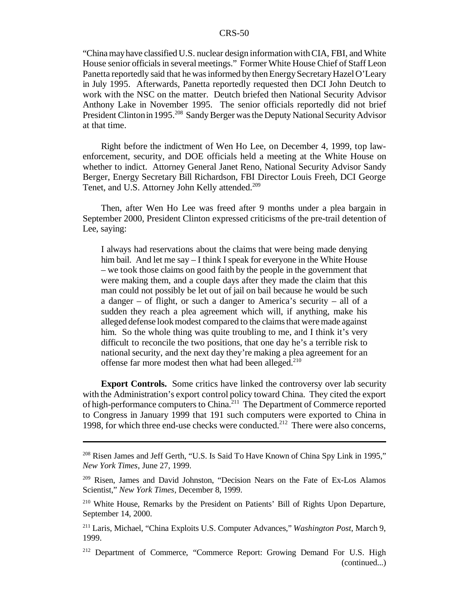"China mayhave classifiedU.S. nuclear design informationwithCIA, FBI, and White House senior officials in several meetings." Former White House Chief of Staff Leon Panetta reportedly said that he was informed by then Energy Secretary Hazel O'Leary in July 1995. Afterwards, Panetta reportedly requested then DCI John Deutch to work with the NSC on the matter. Deutch briefed then National Security Advisor Anthony Lake in November 1995. The senior officials reportedly did not brief President Clinton in 1995.<sup>208</sup> Sandy Berger was the Deputy National Security Advisor at that time.

Right before the indictment of Wen Ho Lee, on December 4, 1999, top lawenforcement, security, and DOE officials held a meeting at the White House on whether to indict. Attorney General Janet Reno, National Security Advisor Sandy Berger, Energy Secretary Bill Richardson, FBI Director Louis Freeh, DCI George Tenet, and U.S. Attorney John Kelly attended.<sup>209</sup>

Then, after Wen Ho Lee was freed after 9 months under a plea bargain in September 2000, President Clinton expressed criticisms of the pre-trail detention of Lee, saying:

I always had reservations about the claims that were being made denying him bail. And let me say – I think I speak for everyone in the White House – we took those claims on good faith by the people in the government that were making them, and a couple days after they made the claim that this man could not possibly be let out of jail on bail because he would be such a danger – of flight, or such a danger to America's security – all of a sudden they reach a plea agreement which will, if anything, make his alleged defense look modest compared to the claims that were made against him. So the whole thing was quite troubling to me, and I think it's very difficult to reconcile the two positions, that one day he's a terrible risk to national security, and the next day they're making a plea agreement for an offense far more modest then what had been alleged.<sup>210</sup>

**Export Controls.** Some critics have linked the controversy over lab security with the Administration's export control policy toward China. They cited the export of high-performance computers to China.<sup>211</sup> The Department of Commerce reported to Congress in January 1999 that 191 such computers were exported to China in 1998, for which three end-use checks were conducted.<sup>212</sup> There were also concerns,

<sup>&</sup>lt;sup>208</sup> Risen James and Jeff Gerth, "U.S. Is Said To Have Known of China Spy Link in 1995," *New York Times*, June 27, 1999.

<sup>209</sup> Risen, James and David Johnston, "Decision Nears on the Fate of Ex-Los Alamos Scientist," *New York Times*, December 8, 1999.

<sup>210</sup> White House, Remarks by the President on Patients' Bill of Rights Upon Departure, September 14, 2000.

<sup>211</sup> Laris, Michael, "China Exploits U.S. Computer Advances," *Washington Post*, March 9, 1999.

<sup>&</sup>lt;sup>212</sup> Department of Commerce, "Commerce Report: Growing Demand For U.S. High (continued...)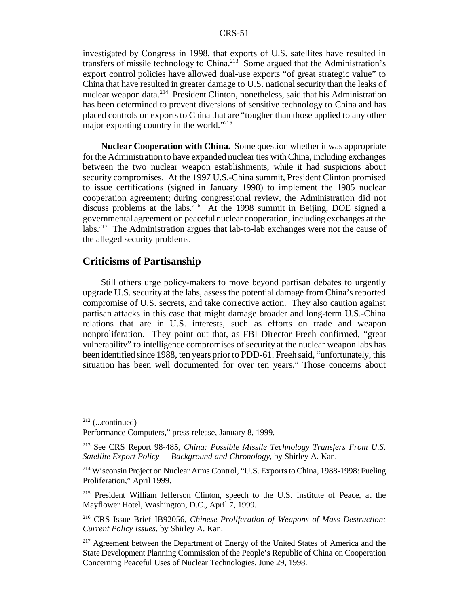investigated by Congress in 1998, that exports of U.S. satellites have resulted in transfers of missile technology to China.<sup>213</sup> Some argued that the Administration's export control policies have allowed dual-use exports "of great strategic value" to China that have resulted in greater damage to U.S. national security than the leaks of nuclear weapon data.<sup>214</sup> President Clinton, nonetheless, said that his Administration has been determined to prevent diversions of sensitive technology to China and has placed controls on exports to China that are "tougher than those applied to any other major exporting country in the world."<sup>215</sup>

**Nuclear Cooperation with China.** Some question whether it was appropriate forthe Administration to have expanded nuclear ties withChina, including exchanges between the two nuclear weapon establishments, while it had suspicions about security compromises. At the 1997 U.S.-China summit, President Clinton promised to issue certifications (signed in January 1998) to implement the 1985 nuclear cooperation agreement; during congressional review, the Administration did not discuss problems at the labs.<sup>216</sup> At the 1998 summit in Beijing, DOE signed a governmental agreement on peaceful nuclear cooperation, including exchanges at the labs.<sup>217</sup> The Administration argues that lab-to-lab exchanges were not the cause of the alleged security problems.

## **Criticisms of Partisanship**

Still others urge policy-makers to move beyond partisan debates to urgently upgrade U.S. security at the labs, assess the potential damage from China's reported compromise of U.S. secrets, and take corrective action. They also caution against partisan attacks in this case that might damage broader and long-term U.S.-China relations that are in U.S. interests, such as efforts on trade and weapon nonproliferation. They point out that, as FBI Director Freeh confirmed, "great vulnerability" to intelligence compromises ofsecurity at the nuclear weapon labs has been identified since 1988, ten years prior to PDD-61. Freeh said, "unfortunately, this situation has been well documented for over ten years." Those concerns about

 $212$  (...continued)

Performance Computers," press release, January 8, 1999.

<sup>213</sup> See CRS Report 98-485, *China: Possible Missile Technology Transfers From U.S. Satellite Export Policy — Background and Chronology*, by Shirley A. Kan.

<sup>&</sup>lt;sup>214</sup> Wisconsin Project on Nuclear Arms Control, "U.S. Exports to China, 1988-1998: Fueling Proliferation," April 1999.

<sup>215</sup> President William Jefferson Clinton, speech to the U.S. Institute of Peace, at the Mayflower Hotel, Washington, D.C., April 7, 1999.

<sup>216</sup> CRS Issue Brief IB92056, *Chinese Proliferation of Weapons of Mass Destruction: Current Policy Issues*, by Shirley A. Kan.

<sup>&</sup>lt;sup>217</sup> Agreement between the Department of Energy of the United States of America and the State Development Planning Commission of the People's Republic of China on Cooperation Concerning Peaceful Uses of Nuclear Technologies, June 29, 1998.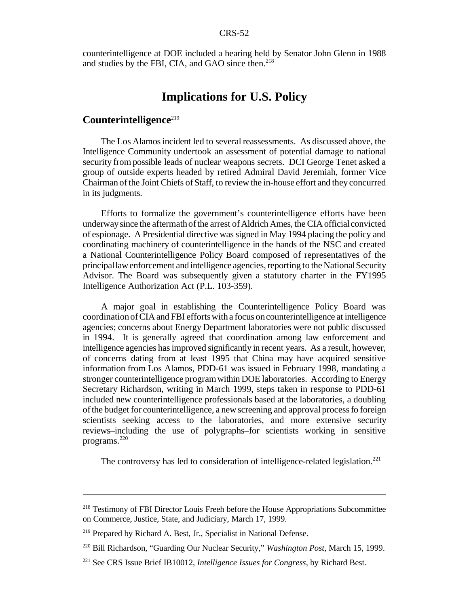counterintelligence at DOE included a hearing held by Senator John Glenn in 1988 and studies by the FBI, CIA, and GAO since then. $218$ 

## **Implications for U.S. Policy**

## **Counterintelligence**<sup>219</sup>

The Los Alamos incident led to several reassessments. As discussed above, the Intelligence Community undertook an assessment of potential damage to national security from possible leads of nuclear weapons secrets. DCI George Tenet asked a group of outside experts headed by retired Admiral David Jeremiah, former Vice Chairman ofthe Joint Chiefs ofStaff, to review the in-house effort and they concurred in its judgments.

Efforts to formalize the government's counterintelligence efforts have been underway since the aftermath of the arrest of Aldrich Ames, the CIA official convicted of espionage. A Presidential directive was signed in May 1994 placing the policy and coordinating machinery of counterintelligence in the hands of the NSC and created a National Counterintelligence Policy Board composed of representatives of the principal law enforcement and intelligence agencies, reporting to the National Security Advisor. The Board was subsequently given a statutory charter in the FY1995 Intelligence Authorization Act (P.L. 103-359).

A major goal in establishing the Counterintelligence Policy Board was coordinationofCIAand FBI effortswitha focus oncounterintelligence at intelligence agencies; concerns about Energy Department laboratories were not public discussed in 1994. It is generally agreed that coordination among law enforcement and intelligence agencies hasimproved significantly in recent years. As a result, however, of concerns dating from at least 1995 that China may have acquired sensitive information from Los Alamos, PDD-61 was issued in February 1998, mandating a stronger counterintelligence programwithin DOE laboratories. According to Energy Secretary Richardson, writing in March 1999, steps taken in response to PDD-61 included new counterintelligence professionals based at the laboratories, a doubling ofthe budget for counterintelligence, a new screening and approval processfo foreign scientists seeking access to the laboratories, and more extensive security reviews–including the use of polygraphs–for scientists working in sensitive programs.<sup>220</sup>

The controversy has led to consideration of intelligence-related legislation.<sup>221</sup>

<sup>&</sup>lt;sup>218</sup> Testimony of FBI Director Louis Freeh before the House Appropriations Subcommittee on Commerce, Justice, State, and Judiciary, March 17, 1999.

<sup>219</sup> Prepared by Richard A. Best, Jr., Specialist in National Defense.

<sup>220</sup> Bill Richardson, "Guarding Our Nuclear Security," *Washington Post*, March 15, 1999.

<sup>221</sup> See CRS Issue Brief IB10012, *Intelligence Issues for Congress*, by Richard Best.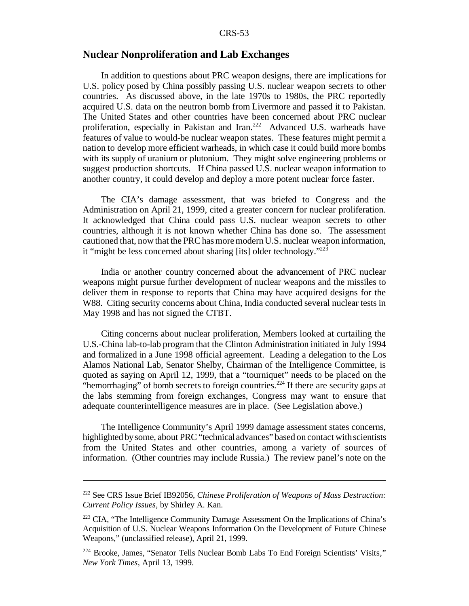## **Nuclear Nonproliferation and Lab Exchanges**

In addition to questions about PRC weapon designs, there are implications for U.S. policy posed by China possibly passing U.S. nuclear weapon secrets to other countries. As discussed above, in the late 1970s to 1980s, the PRC reportedly acquired U.S. data on the neutron bomb from Livermore and passed it to Pakistan. The United States and other countries have been concerned about PRC nuclear proliferation, especially in Pakistan and Iran.<sup>222</sup> Advanced U.S. warheads have features of value to would-be nuclear weapon states. These features might permit a nation to develop more efficient warheads, in which case it could build more bombs with its supply of uranium or plutonium. They might solve engineering problems or suggest production shortcuts. If China passed U.S. nuclear weapon information to another country, it could develop and deploy a more potent nuclear force faster.

The CIA's damage assessment, that was briefed to Congress and the Administration on April 21, 1999, cited a greater concern for nuclear proliferation. It acknowledged that China could pass U.S. nuclear weapon secrets to other countries, although it is not known whether China has done so. The assessment cautioned that, now that the PRChasmoremodernU.S. nuclear weapon information, it "might be less concerned about sharing [its] older technology."<sup>223</sup>

India or another country concerned about the advancement of PRC nuclear weapons might pursue further development of nuclear weapons and the missiles to deliver them in response to reports that China may have acquired designs for the W88. Citing security concerns about China, India conducted several nuclear tests in May 1998 and has not signed the CTBT.

Citing concerns about nuclear proliferation, Members looked at curtailing the U.S.-China lab-to-lab program that the Clinton Administration initiated in July 1994 and formalized in a June 1998 official agreement. Leading a delegation to the Los Alamos National Lab, Senator Shelby, Chairman of the Intelligence Committee, is quoted as saying on April 12, 1999, that a "tourniquet" needs to be placed on the "hemorrhaging" of bomb secrets to foreign countries.<sup>224</sup> If there are security gaps at the labs stemming from foreign exchanges, Congress may want to ensure that adequate counterintelligence measures are in place. (See Legislation above.)

The Intelligence Community's April 1999 damage assessment states concerns, highlighted by some, about PRC "technical advances" based on contact with scientists from the United States and other countries, among a variety of sources of information. (Other countries may include Russia.) The review panel's note on the

<sup>222</sup> See CRS Issue Brief IB92056, *Chinese Proliferation of Weapons of Mass Destruction: Current Policy Issues*, by Shirley A. Kan.

<sup>223</sup> CIA, "The Intelligence Community Damage Assessment On the Implications of China's Acquisition of U.S. Nuclear Weapons Information On the Development of Future Chinese Weapons," (unclassified release), April 21, 1999.

<sup>&</sup>lt;sup>224</sup> Brooke, James, "Senator Tells Nuclear Bomb Labs To End Foreign Scientists' Visits," *New York Times*, April 13, 1999.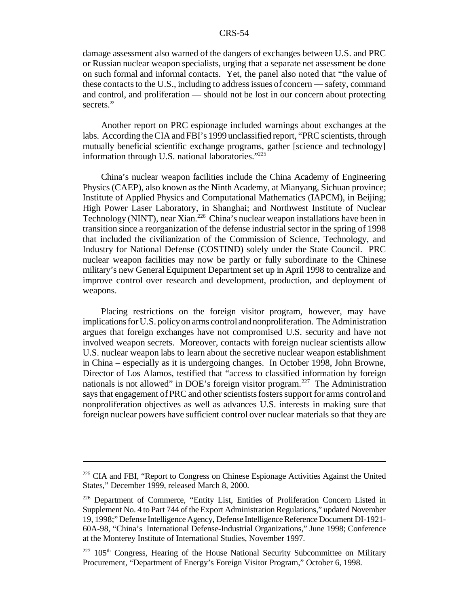damage assessment also warned of the dangers of exchanges between U.S. and PRC or Russian nuclear weapon specialists, urging that a separate net assessment be done on such formal and informal contacts. Yet, the panel also noted that "the value of these contacts to the U.S., including to address issues of concern — safety, command and control, and proliferation — should not be lost in our concern about protecting secrets."

Another report on PRC espionage included warnings about exchanges at the labs. According the CIA and FBI's 1999 unclassified report, "PRC scientists, through mutually beneficial scientific exchange programs, gather [science and technology] information through U.S. national laboratories."<sup>225</sup>

China's nuclear weapon facilities include the China Academy of Engineering Physics (CAEP), also known asthe Ninth Academy, at Mianyang, Sichuan province; Institute of Applied Physics and Computational Mathematics (IAPCM), in Beijing; High Power Laser Laboratory, in Shanghai; and Northwest Institute of Nuclear Technology (NINT), near Xian.<sup>226</sup> China's nuclear weapon installations have been in transition since a reorganization of the defense industrialsector in the spring of 1998 that included the civilianization of the Commission of Science, Technology, and Industry for National Defense (COSTIND) solely under the State Council. PRC nuclear weapon facilities may now be partly or fully subordinate to the Chinese military's new General Equipment Department set up in April 1998 to centralize and improve control over research and development, production, and deployment of weapons.

Placing restrictions on the foreign visitor program, however, may have implications for U.S. policy on arms control and nonproliferation. The Administration argues that foreign exchanges have not compromised U.S. security and have not involved weapon secrets. Moreover, contacts with foreign nuclear scientists allow U.S. nuclear weapon labs to learn about the secretive nuclear weapon establishment in China – especially as it is undergoing changes. In October 1998, John Browne, Director of Los Alamos, testified that "access to classified information by foreign nationals is not allowed" in DOE's foreign visitor program.<sup>227</sup> The Administration says that engagement of PRC and other scientists fosters support for arms control and nonproliferation objectives as well as advances U.S. interests in making sure that foreign nuclear powers have sufficient control over nuclear materials so that they are

<sup>&</sup>lt;sup>225</sup> CIA and FBI, "Report to Congress on Chinese Espionage Activities Against the United States," December 1999, released March 8, 2000.

<sup>226</sup> Department of Commerce, "Entity List, Entities of Proliferation Concern Listed in Supplement No. 4 to Part 744 of the Export Administration Regulations," updated November 19, 1998;" Defense Intelligence Agency, Defense Intelligence Reference Document DI-1921-60A-98, "China's International Defense-Industrial Organizations," June 1998; Conference at the Monterey Institute of International Studies, November 1997.

 $227$  105<sup>th</sup> Congress, Hearing of the House National Security Subcommittee on Military Procurement, "Department of Energy's Foreign Visitor Program," October 6, 1998.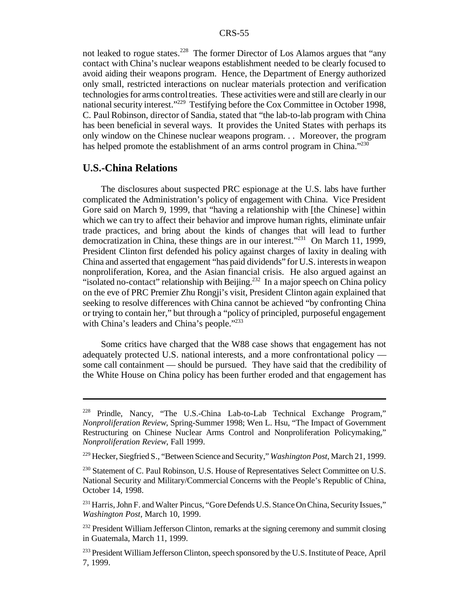not leaked to rogue states.<sup>228</sup> The former Director of Los Alamos argues that "any contact with China's nuclear weapons establishment needed to be clearly focused to avoid aiding their weapons program. Hence, the Department of Energy authorized only small, restricted interactions on nuclear materials protection and verification technologies for arms control treaties. These activities were and still are clearly in our national security interest."<sup>229</sup> Testifying before the Cox Committee in October 1998, C. Paul Robinson, director of Sandia, stated that "the lab-to-lab program with China has been beneficial in several ways. It provides the United States with perhaps its only window on the Chinese nuclear weapons program. . . Moreover, the program has helped promote the establishment of an arms control program in China.<sup>"230</sup>

## **U.S.-China Relations**

The disclosures about suspected PRC espionage at the U.S. labs have further complicated the Administration's policy of engagement with China. Vice President Gore said on March 9, 1999, that "having a relationship with [the Chinese] within which we can try to affect their behavior and improve human rights, eliminate unfair trade practices, and bring about the kinds of changes that will lead to further democratization in China, these things are in our interest."<sup>231</sup> On March 11, 1999, President Clinton first defended his policy against charges of laxity in dealing with China and asserted that engagement "has paid dividends" for U.S. interestsin weapon nonproliferation, Korea, and the Asian financial crisis. He also argued against an "isolated no-contact" relationship with Beijing.<sup>232</sup> In a major speech on China policy on the eve of PRC Premier Zhu Rongji's visit, President Clinton again explained that seeking to resolve differences with China cannot be achieved "by confronting China or trying to contain her," but through a "policy of principled, purposeful engagement with China's leaders and China's people."<sup>233</sup>

Some critics have charged that the W88 case shows that engagement has not adequately protected U.S. national interests, and a more confrontational policy some call containment — should be pursued. They have said that the credibility of the White House on China policy has been further eroded and that engagement has

<sup>228</sup> Prindle, Nancy, "The U.S.-China Lab-to-Lab Technical Exchange Program," *Nonproliferation Review*, Spring-Summer 1998; Wen L. Hsu, "The Impact of Government Restructuring on Chinese Nuclear Arms Control and Nonproliferation Policymaking," *Nonproliferation Review*, Fall 1999.

<sup>229</sup> Hecker, Siegfried S., "Between Science and Security," *Washington Post*, March 21, 1999.

<sup>&</sup>lt;sup>230</sup> Statement of C. Paul Robinson, U.S. House of Representatives Select Committee on U.S. National Security and Military/Commercial Concerns with the People's Republic of China, October 14, 1998.

<sup>&</sup>lt;sup>231</sup> Harris, John F. and Walter Pincus, "Gore Defends U.S. Stance On China, Security Issues," *Washington Post*, March 10, 1999.

 $^{232}$  President William Jefferson Clinton, remarks at the signing ceremony and summit closing in Guatemala, March 11, 1999.

<sup>&</sup>lt;sup>233</sup> President William Jefferson Clinton, speech sponsored by the U.S. Institute of Peace, April 7, 1999.